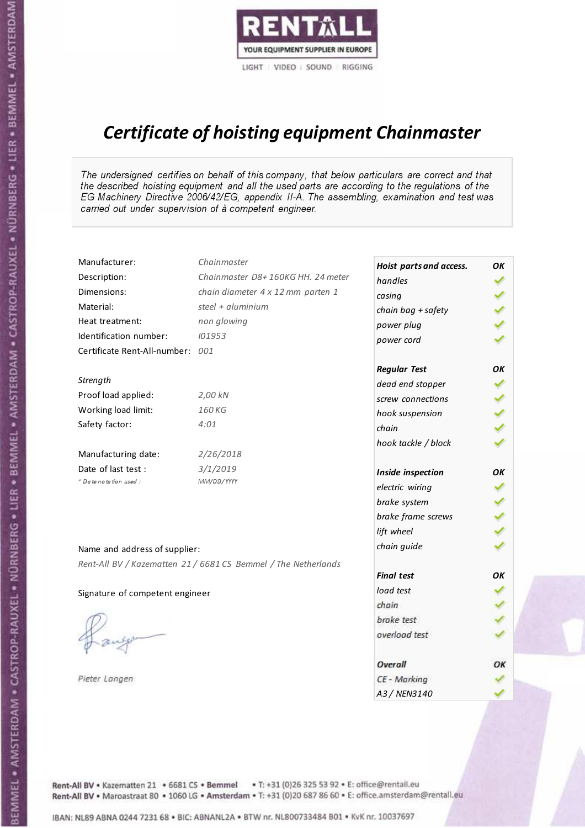

# Certificate of hoisting equipment Chainmaster

The undersigned certifies on behalf of this company, that below particulars are correct and that the described hoisting equipment and all the used parts are according to the regulations of the EG Machinery Directive 2006/42/EG, appendix II-A. The assembling, examination and test was carried out under supervision of à competent engineer.

| Manufacturer:                    | Chainmaster                                                    | Hoist parts and access. | OK  |
|----------------------------------|----------------------------------------------------------------|-------------------------|-----|
| Description:                     | Chainmaster D8+160KG HH. 24 meter                              | handles                 |     |
| Dimensions:                      | chain diameter 4 x 12 mm parten 1                              | casing                  |     |
| Material:                        | steel + aluminium                                              | chain bag + safety      |     |
| Heat treatment:                  | non glowing                                                    | power plug              |     |
| Identification number:           | 101953                                                         | power cord              |     |
| Certificate Rent-All-number: 001 |                                                                |                         |     |
|                                  |                                                                | <b>Regular Test</b>     | ΟK  |
| Strength                         |                                                                | dead end stopper        | ✔   |
| Proof load applied:              | 2,00 kN                                                        | screw connections       |     |
| Working load limit:              | 160KG                                                          | hook suspension         |     |
| Safety factor:                   | 4:01                                                           | chain                   | くくく |
|                                  |                                                                | hook tackle / block     |     |
| Manufacturing date:              | 2/26/2018                                                      |                         |     |
| Date of last test :              | 3/1/2019                                                       | Inside inspection       | ОΚ  |
| * Date notation used :           | MM/DD/YYYY                                                     | electric wiring         |     |
|                                  |                                                                | brake system            |     |
|                                  |                                                                | brake frame screws      |     |
|                                  |                                                                | lift wheel              |     |
| Name and address of supplier:    |                                                                | chain guide             |     |
|                                  | Rent-All BV / Kazematten 21 / 6681 CS Bemmel / The Netherlands |                         |     |
|                                  |                                                                | <b>Final test</b>       | OK  |
| Signature of competent engineer  |                                                                | load test               |     |
|                                  |                                                                | chain                   |     |
|                                  |                                                                | brake test              |     |
|                                  |                                                                | overload test           |     |
|                                  |                                                                | Overall                 | ОК  |
| Pieter Langen                    |                                                                | CE - Marking            |     |
|                                  |                                                                | A3 / NEN3140            |     |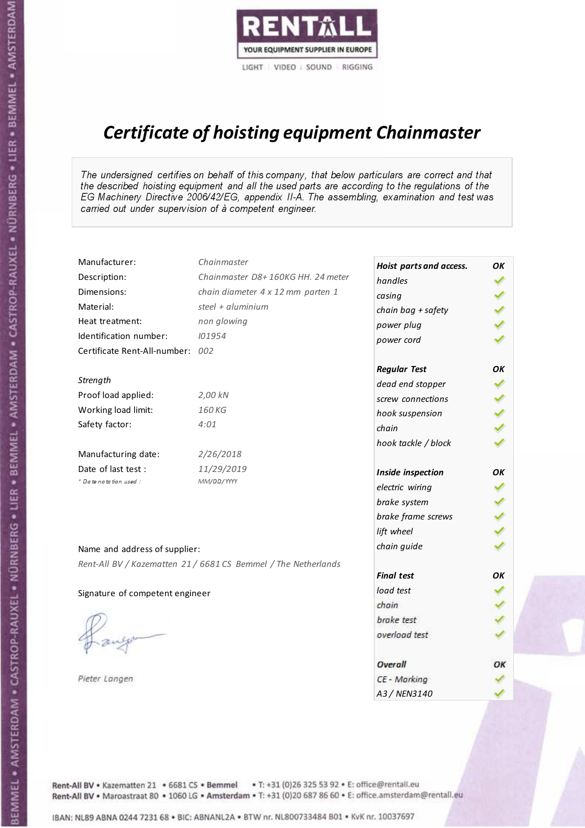

# Certificate of hoisting equipment Chainmaster

The undersigned certifies on behalf of this company, that below particulars are correct and that the described hoisting equipment and all the used parts are according to the regulations of the EG Machinery Directive 2006/42/EG, appendix II-A. The assembling, examination and test was carried out under supervision of à competent engineer.

| Manufacturer:                    | Chainmaster                                                    | Hoist parts and access. | OK |
|----------------------------------|----------------------------------------------------------------|-------------------------|----|
| Description:                     | Chainmaster D8+160KG HH. 24 meter                              | handles                 |    |
| Dimensions:                      | chain diameter 4 x 12 mm parten 1                              | casing                  |    |
| Material:                        | steel + aluminium                                              | chain bag + safety      |    |
| Heat treatment:                  | non glowing                                                    | power plug              |    |
| Identification number:           | 101954                                                         | power cord              |    |
| Certificate Rent-All-number: 002 |                                                                |                         |    |
|                                  |                                                                | <b>Regular Test</b>     | ΟK |
| Strength                         |                                                                | dead end stopper        | ✔  |
| Proof load applied:              | 2,00 kN                                                        | screw connections       | ✔  |
| Working load limit:              | 160 KG                                                         | hook suspension         |    |
| Safety factor:                   | 4:01                                                           | chain                   | りょ |
|                                  |                                                                | hook tackle / block     |    |
| Manufacturing date:              | 2/26/2018                                                      |                         |    |
| Date of last test :              | 11/29/2019                                                     | Inside inspection       | ΟK |
| * Date notation used :           | MM/DD/YYYY                                                     | electric wiring         |    |
|                                  |                                                                | brake system            |    |
|                                  |                                                                | brake frame screws      |    |
|                                  |                                                                | lift wheel              |    |
| Name and address of supplier:    |                                                                | chain guide             |    |
|                                  | Rent-All BV / Kazematten 21 / 6681 CS Bemmel / The Netherlands |                         |    |
|                                  |                                                                | <b>Final test</b>       | OK |
| Signature of competent engineer  |                                                                | load test               |    |
|                                  |                                                                | chain                   |    |
|                                  |                                                                | brake test              |    |
|                                  |                                                                | overload test           |    |
|                                  |                                                                | Overall                 | ОК |
| Pieter Langen                    |                                                                | CE - Marking            |    |
|                                  |                                                                | A3 / NEN3140            |    |

Rent-All BV . Kazematten 21 . 6681 CS . Bemmel . T: +31 (0)26 325 53 92 . E: office@rentall.eu Rent-All BV · Maroastraat 80 · 1060 LG · Amsterdam · T: +31 (0)20 687 86 60 · E: office.amsterdam@rentall.eu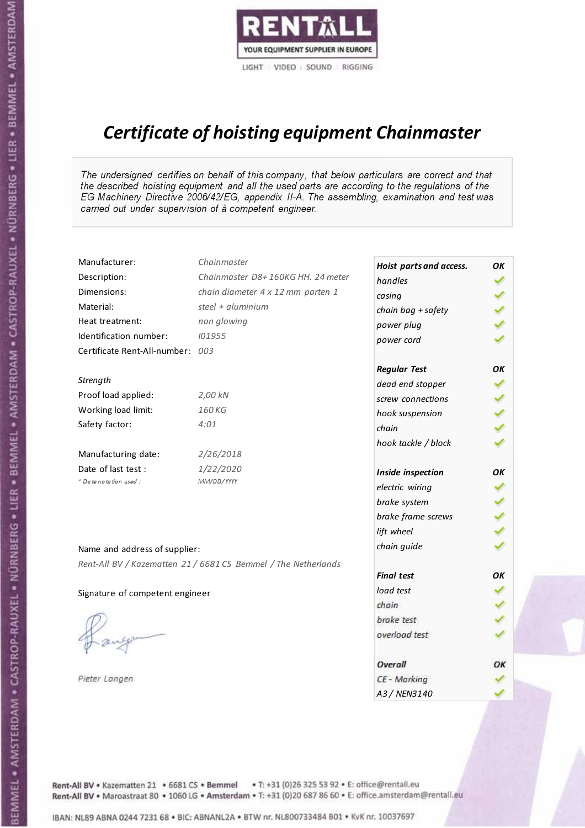

# Certificate of hoisting equipment Chainmaster

The undersigned certifies on behalf of this company, that below particulars are correct and that the described hoisting equipment and all the used parts are according to the regulations of the EG Machinery Directive 2006/42/EG, appendix II-A. The assembling, examination and test was carried out under supervision of à competent engineer.

| Manufacturer:                   | Chainmaster                                                    | Hoist parts and access. | OK  |
|---------------------------------|----------------------------------------------------------------|-------------------------|-----|
| Description:                    | Chainmaster D8+160KG HH. 24 meter                              | handles                 |     |
| Dimensions:                     | chain diameter 4 x 12 mm parten 1                              | casing                  |     |
| Material:                       | steel + aluminium                                              | chain bag + safety      |     |
| Heat treatment:                 | non glowing                                                    | power plug              |     |
| Identification number:          | 101955                                                         | power cord              |     |
| Certificate Rent-All-number:    | 003                                                            |                         |     |
|                                 |                                                                | <b>Regular Test</b>     | OK  |
| Strength                        |                                                                | dead end stopper        |     |
| Proof load applied:             | 2,00 kN                                                        | screw connections       |     |
| Working load limit:             | 160 KG                                                         | hook suspension         |     |
| Safety factor:                  | 4:01                                                           | chain                   | くくく |
|                                 |                                                                | hook tackle / block     |     |
| Manufacturing date:             | 2/26/2018                                                      |                         |     |
| Date of last test :             | 1/22/2020                                                      | Inside inspection       | ΟK  |
| * Date notation used :          | MM/DD/YYYY                                                     | electric wiring         |     |
|                                 |                                                                | brake system            |     |
|                                 |                                                                | brake frame screws      |     |
|                                 |                                                                | lift wheel              |     |
| Name and address of supplier:   |                                                                | chain guide             |     |
|                                 | Rent-All BV / Kazematten 21 / 6681 CS Bemmel / The Netherlands |                         |     |
|                                 |                                                                | <b>Final test</b>       | ΟK  |
| Signature of competent engineer |                                                                | load test               |     |
|                                 |                                                                | chain                   |     |
|                                 |                                                                | brake test              |     |
|                                 |                                                                | overload test           |     |
|                                 |                                                                | Overall                 | OK  |
| Pieter Langen                   |                                                                | CE - Marking            |     |
|                                 |                                                                | A3 / NEN3140            |     |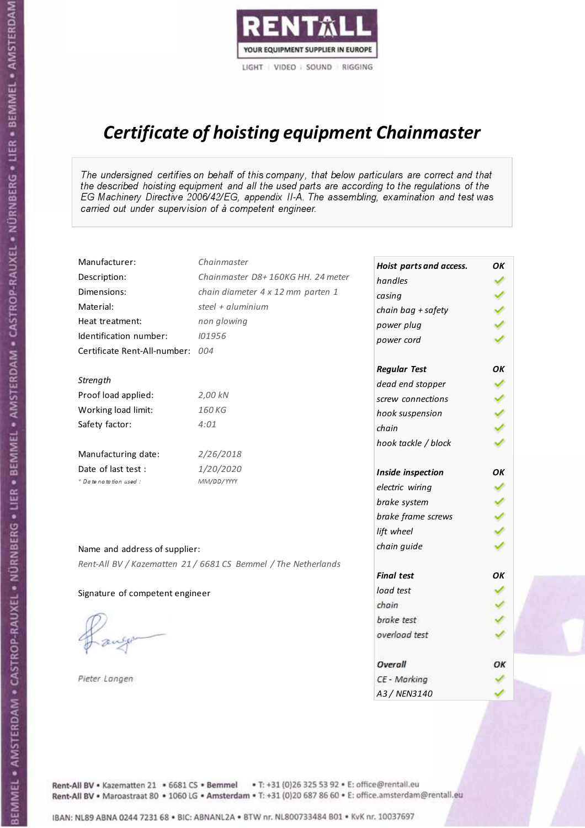

# Certificate of hoisting equipment Chainmaster

The undersigned certifies on behalf of this company, that below particulars are correct and that the described hoisting equipment and all the used parts are according to the regulations of the EG Machinery Directive 2006/42/EG, appendix II-A. The assembling, examination and test was carried out under supervision of à competent engineer.

| Manufacturer:                    | Chainmaster                                                    | Hoist parts and access. | OK  |
|----------------------------------|----------------------------------------------------------------|-------------------------|-----|
| Description:                     | Chainmaster D8+160KG HH. 24 meter                              | handles                 |     |
| Dimensions:                      | chain diameter 4 x 12 mm parten 1                              | casing                  |     |
| Material:                        | steel $+$ aluminium                                            | chain bag + safety      |     |
| Heat treatment:                  | non glowing                                                    | power plug              |     |
| Identification number:           | 101956                                                         | power cord              |     |
| Certificate Rent-All-number: 004 |                                                                |                         |     |
|                                  |                                                                | <b>Regular Test</b>     | OK  |
| Strength                         |                                                                | dead end stopper        | ✔   |
| Proof load applied:              | 2,00 kN                                                        | screw connections       |     |
| Working load limit:              | 160KG                                                          | hook suspension         |     |
| Safety factor:                   | 4:01                                                           | chain                   | くくく |
|                                  |                                                                | hook tackle / block     |     |
| Manufacturing date:              | 2/26/2018                                                      |                         |     |
| Date of last test :              | 1/20/2020                                                      | Inside inspection       | ΟK  |
| * Date notation used :           | MM/DD/YYYY                                                     | electric wiring         |     |
|                                  |                                                                | brake system            |     |
|                                  |                                                                | brake frame screws      |     |
|                                  |                                                                | lift wheel              |     |
| Name and address of supplier:    |                                                                | chain guide             |     |
|                                  | Rent-All BV / Kazematten 21 / 6681 CS Bemmel / The Netherlands |                         |     |
|                                  |                                                                | <b>Final test</b>       | OK  |
| Signature of competent engineer  |                                                                | load test               |     |
|                                  |                                                                | chain                   |     |
|                                  |                                                                | brake test              |     |
|                                  |                                                                | overload test           |     |
|                                  |                                                                | Overall                 | ОК  |
| Pieter Langen                    |                                                                | CE - Marking            |     |
|                                  |                                                                | A3 / NEN3140            |     |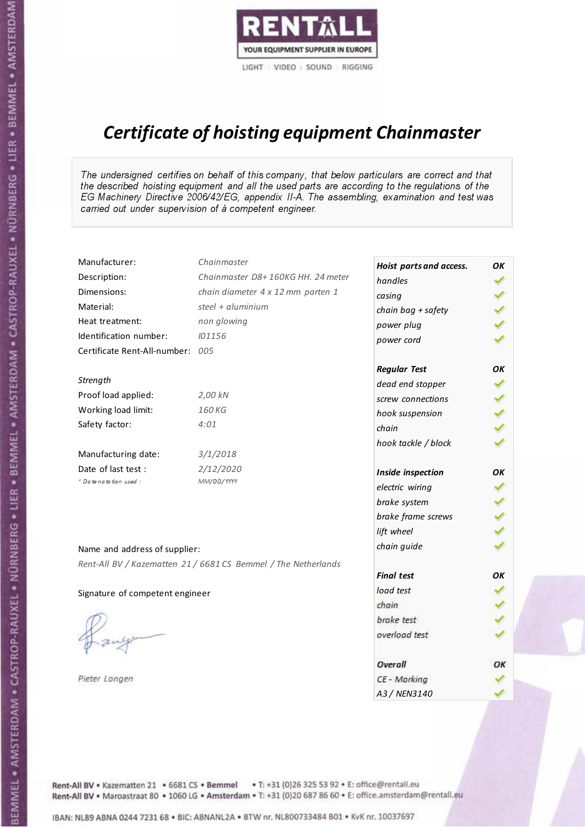

# Certificate of hoisting equipment Chainmaster

The undersigned certifies on behalf of this company, that below particulars are correct and that the described hoisting equipment and all the used parts are according to the regulations of the EG Machinery Directive 2006/42/EG, appendix II-A. The assembling, examination and test was carried out under supervision of à competent engineer.

| Manufacturer:                    | Chainmaster                                                    | Hoist parts and access. | OK  |
|----------------------------------|----------------------------------------------------------------|-------------------------|-----|
| Description:                     | Chainmaster D8+160KG HH. 24 meter                              | handles                 |     |
| Dimensions:                      | chain diameter 4 x 12 mm parten 1                              | casing                  |     |
| Material:                        | steel + $aluminim$                                             | chain bag + safety      |     |
| Heat treatment:                  | non glowing                                                    | power plug              |     |
| Identification number:           | 101156                                                         | power cord              |     |
| Certificate Rent-All-number: 005 |                                                                |                         |     |
|                                  |                                                                | <b>Regular Test</b>     | ΟK  |
| Strength                         |                                                                | dead end stopper        |     |
| Proof load applied:              | 2,00 kN                                                        | screw connections       |     |
| Working load limit:              | 160 KG                                                         | hook suspension         |     |
| Safety factor:                   | 4:01                                                           | chain                   | くくく |
|                                  |                                                                | hook tackle / block     |     |
| Manufacturing date:              | 3/1/2018                                                       |                         |     |
| Date of last test :              | 2/12/2020                                                      | Inside inspection       | ОΚ  |
| + Date notation used :           | MM/DD/YYYY                                                     | electric wiring         |     |
|                                  |                                                                | brake system            |     |
|                                  |                                                                | brake frame screws      |     |
|                                  |                                                                | lift wheel              |     |
| Name and address of supplier:    |                                                                | chain guide             |     |
|                                  | Rent-All BV / Kazematten 21 / 6681 CS Bemmel / The Netherlands |                         |     |
|                                  |                                                                | <b>Final test</b>       | OK  |
| Signature of competent engineer  |                                                                | load test               |     |
|                                  |                                                                | chain                   |     |
|                                  |                                                                | brake test              |     |
|                                  |                                                                | overload test           |     |
|                                  |                                                                | Overall                 | OK  |
| Pieter Langen                    |                                                                | CE - Marking            |     |
|                                  |                                                                | A3 / NEN3140            |     |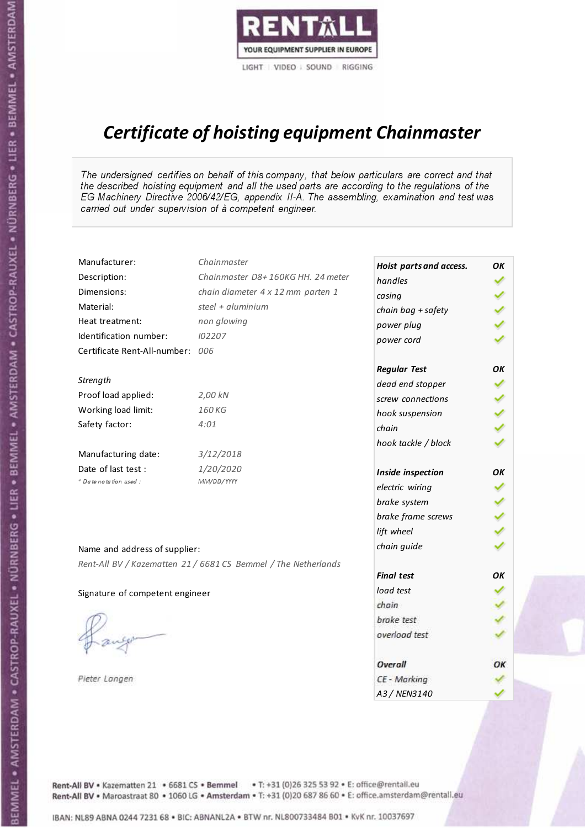

# Certificate of hoisting equipment Chainmaster

The undersigned certifies on behalf of this company, that below particulars are correct and that the described hoisting equipment and all the used parts are according to the regulations of the EG Machinery Directive 2006/42/EG, appendix II-A. The assembling, examination and test was carried out under supervision of à competent engineer.

| Manufacturer:                    | Chainmaster                                                    | Hoist parts and access. | OK  |
|----------------------------------|----------------------------------------------------------------|-------------------------|-----|
| Description:                     | Chainmaster D8+160KG HH. 24 meter                              | handles                 |     |
| Dimensions:                      | chain diameter 4 x 12 mm parten 1                              | casing                  |     |
| Material:                        | steel + aluminium                                              | chain bag + safety      |     |
| Heat treatment:                  | non glowing                                                    | power plug              |     |
| Identification number:           | 102207                                                         | power cord              |     |
| Certificate Rent-All-number: 006 |                                                                |                         |     |
|                                  |                                                                | <b>Regular Test</b>     | OK  |
| Strength                         |                                                                | dead end stopper        |     |
| Proof load applied:              | 2,00 kN                                                        | screw connections       |     |
| Working load limit:              | 160 KG                                                         | hook suspension         |     |
| Safety factor:                   | 4:01                                                           | chain                   | くくく |
|                                  |                                                                | hook tackle / block     |     |
| Manufacturing date:              | 3/12/2018                                                      |                         |     |
| Date of last test :              | 1/20/2020                                                      | Inside inspection       | ΟK  |
| * Date notation used :           | MM/DD/YYYY                                                     | electric wiring         |     |
|                                  |                                                                | brake system            |     |
|                                  |                                                                | brake frame screws      |     |
|                                  |                                                                | lift wheel              |     |
| Name and address of supplier:    |                                                                | chain guide             |     |
|                                  | Rent-All BV / Kazematten 21 / 6681 CS Bemmel / The Netherlands |                         |     |
|                                  |                                                                | <b>Final test</b>       | ΟK  |
| Signature of competent engineer  |                                                                | load test               |     |
|                                  |                                                                | chain                   |     |
|                                  |                                                                | brake test              |     |
|                                  |                                                                | overload test           |     |
|                                  |                                                                | Overall                 | ОК  |
| Pieter Langen                    |                                                                | CE - Marking            |     |
|                                  |                                                                | A3 / NEN3140            |     |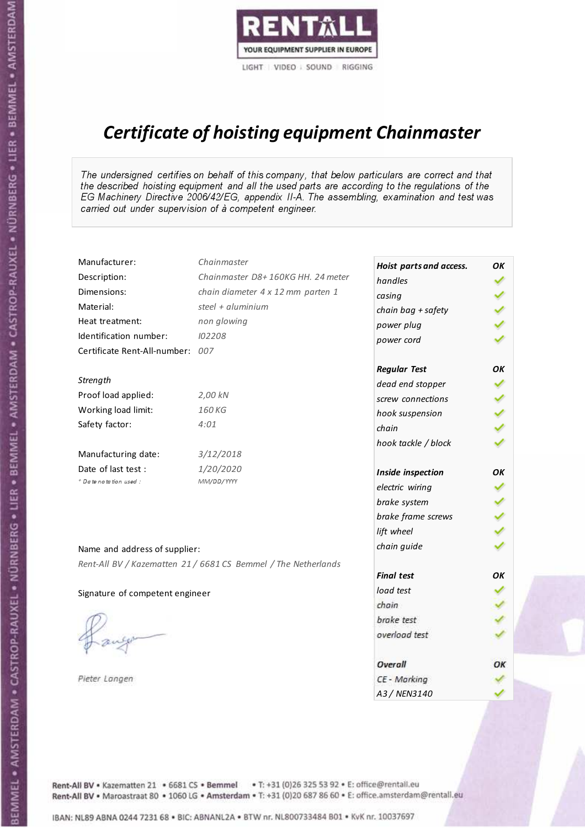

# Certificate of hoisting equipment Chainmaster

The undersigned certifies on behalf of this company, that below particulars are correct and that the described hoisting equipment and all the used parts are according to the regulations of the EG Machinery Directive 2006/42/EG, appendix II-A. The assembling, examination and test was carried out under supervision of à competent engineer.

| Manufacturer:                    | Chainmaster                                                    | Hoist parts and access. | OK  |
|----------------------------------|----------------------------------------------------------------|-------------------------|-----|
| Description:                     | Chainmaster D8+160KG HH. 24 meter                              | handles                 |     |
| Dimensions:                      | chain diameter 4 x 12 mm parten 1                              | casing                  |     |
| Material:                        | steel + aluminium                                              | chain bag + safety      |     |
| Heat treatment:                  | non glowing                                                    | power plug              |     |
| Identification number:           | 102208                                                         | power cord              |     |
| Certificate Rent-All-number: 007 |                                                                |                         |     |
|                                  |                                                                | <b>Regular Test</b>     | OK  |
| Strength                         |                                                                | dead end stopper        |     |
| Proof load applied:              | 2,00 kN                                                        | screw connections       |     |
| Working load limit:              | 160 KG                                                         | hook suspension         |     |
| Safety factor:                   | 4:01                                                           | chain                   | くくく |
|                                  |                                                                | hook tackle / block     |     |
| Manufacturing date:              | 3/12/2018                                                      |                         |     |
| Date of last test :              | 1/20/2020                                                      | Inside inspection       | ΟK  |
| * Date notation used :           | MM/DD/YYYY                                                     | electric wiring         |     |
|                                  |                                                                | brake system            |     |
|                                  |                                                                | brake frame screws      |     |
|                                  |                                                                | lift wheel              |     |
| Name and address of supplier:    |                                                                | chain guide             |     |
|                                  | Rent-All BV / Kazematten 21 / 6681 CS Bemmel / The Netherlands |                         |     |
|                                  |                                                                | <b>Final test</b>       | ΟK  |
| Signature of competent engineer  |                                                                | load test               |     |
|                                  |                                                                | chain                   |     |
|                                  |                                                                | brake test              |     |
|                                  |                                                                | overload test           |     |
|                                  |                                                                | Overall                 | ОК  |
| Pieter Langen                    |                                                                | CE - Marking            |     |
|                                  |                                                                | A3 / NEN3140            |     |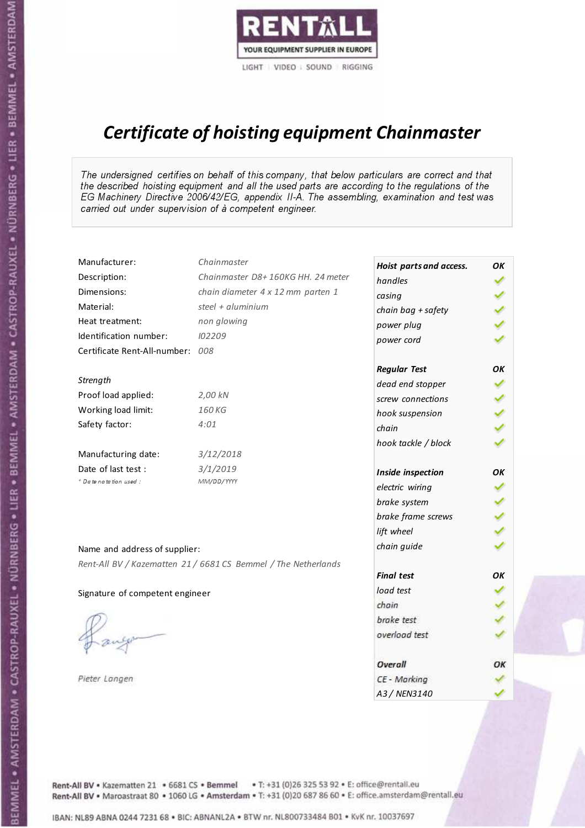

# Certificate of hoisting equipment Chainmaster

The undersigned certifies on behalf of this company, that below particulars are correct and that the described hoisting equipment and all the used parts are according to the regulations of the EG Machinery Directive 2006/42/EG, appendix II-A. The assembling, examination and test was carried out under supervision of à competent engineer.

| Manufacturer:                    | Chainmaster                                                    | Hoist parts and access. | OK  |
|----------------------------------|----------------------------------------------------------------|-------------------------|-----|
| Description:                     | Chainmaster D8+160KG HH. 24 meter                              | handles                 |     |
| Dimensions:                      | chain diameter 4 x 12 mm parten 1                              | casing                  |     |
| Material:                        | steel + aluminium                                              | chain bag + safety      |     |
| Heat treatment:                  | non glowing                                                    | power plug              |     |
| Identification number:           | 102209                                                         | power cord              |     |
| Certificate Rent-All-number: 008 |                                                                |                         |     |
|                                  |                                                                | <b>Regular Test</b>     | OK  |
| Strength                         |                                                                | dead end stopper        | ✔   |
| Proof load applied:              | 2,00 kN                                                        | screw connections       |     |
| Working load limit:              | 160 KG                                                         | hook suspension         |     |
| Safety factor:                   | 4:01                                                           | chain                   | くくく |
|                                  |                                                                | hook tackle / block     |     |
| Manufacturing date:              | 3/12/2018                                                      |                         |     |
| Date of last test :              | 3/1/2019                                                       | Inside inspection       | ОΚ  |
| + Date notation used:            | MM/DD/YYYY                                                     | electric wiring         |     |
|                                  |                                                                | brake system            | ✔   |
|                                  |                                                                | brake frame screws      |     |
|                                  |                                                                | lift wheel              |     |
| Name and address of supplier:    |                                                                | chain guide             |     |
|                                  | Rent-All BV / Kazematten 21 / 6681 CS Bemmel / The Netherlands |                         |     |
|                                  |                                                                | <b>Final test</b>       | OK  |
| Signature of competent engineer  |                                                                | load test               |     |
|                                  |                                                                | chain                   |     |
|                                  |                                                                | brake test              |     |
|                                  |                                                                | overload test           |     |
|                                  |                                                                | Overall                 | OK  |
| Pieter Langen                    |                                                                | CE - Marking            |     |
|                                  |                                                                | A3 / NEN3140            |     |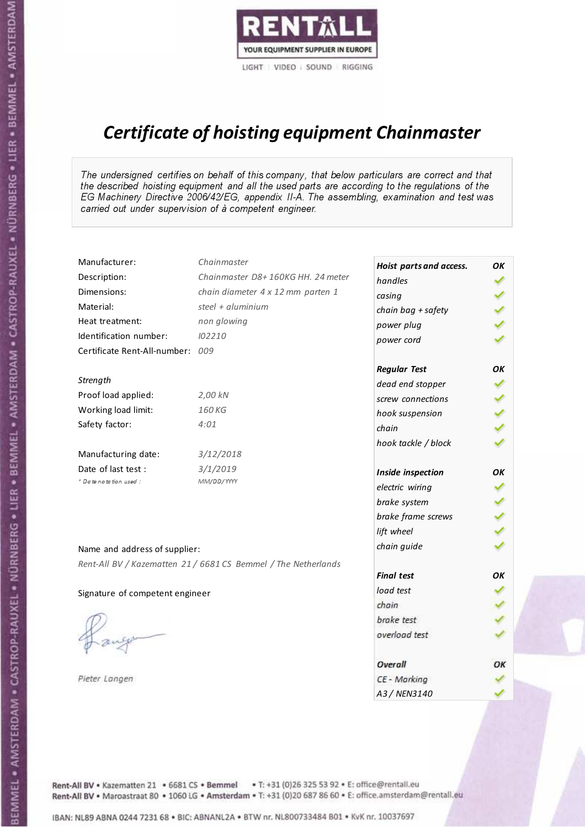

# Certificate of hoisting equipment Chainmaster

The undersigned certifies on behalf of this company, that below particulars are correct and that the described hoisting equipment and all the used parts are according to the regulations of the EG Machinery Directive 2006/42/EG, appendix II-A. The assembling, examination and test was carried out under supervision of à competent engineer.

| Manufacturer:                    | Chainmaster                                                    | Hoist parts and access. | OK  |
|----------------------------------|----------------------------------------------------------------|-------------------------|-----|
| Description:                     | Chainmaster D8+160KG HH. 24 meter                              | handles                 |     |
| Dimensions:                      | chain diameter 4 x 12 mm parten 1                              | casing                  |     |
| Material:                        | steel + aluminium                                              | chain bag + safety      |     |
| Heat treatment:                  | non glowing                                                    | power plug              |     |
| Identification number:           | 102210                                                         | power cord              |     |
| Certificate Rent-All-number: 009 |                                                                |                         |     |
|                                  |                                                                | <b>Regular Test</b>     | OK  |
| Strength                         |                                                                | dead end stopper        | ✔   |
| Proof load applied:              | 2,00 kN                                                        | screw connections       |     |
| Working load limit:              | 160 KG                                                         | hook suspension         |     |
| Safety factor:                   | 4:01                                                           | chain                   | くくく |
|                                  |                                                                | hook tackle / block     |     |
| Manufacturing date:              | 3/12/2018                                                      |                         |     |
| Date of last test :              | 3/1/2019                                                       | Inside inspection       | ОΚ  |
| + Date notation used:            | MM/DD/YYYY                                                     | electric wiring         |     |
|                                  |                                                                | brake system            | ✔   |
|                                  |                                                                | brake frame screws      |     |
|                                  |                                                                | lift wheel              |     |
| Name and address of supplier:    |                                                                | chain guide             |     |
|                                  | Rent-All BV / Kazematten 21 / 6681 CS Bemmel / The Netherlands |                         |     |
|                                  |                                                                | <b>Final test</b>       | OK  |
| Signature of competent engineer  |                                                                | load test               |     |
|                                  |                                                                | chain                   |     |
|                                  |                                                                | brake test              |     |
|                                  |                                                                | overload test           |     |
|                                  |                                                                | Overall                 | OK  |
| Pieter Langen                    |                                                                | CE - Marking            |     |
|                                  |                                                                | A3 / NEN3140            |     |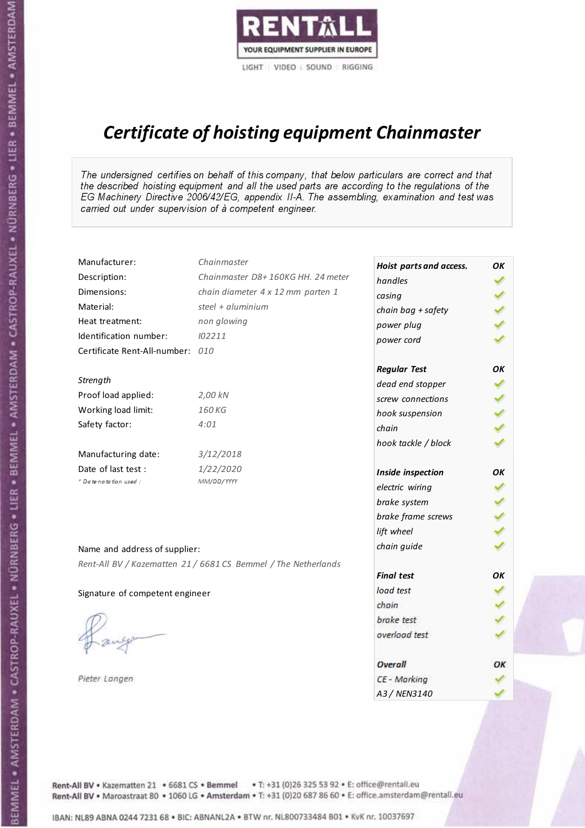

# Certificate of hoisting equipment Chainmaster

The undersigned certifies on behalf of this company, that below particulars are correct and that the described hoisting equipment and all the used parts are according to the regulations of the EG Machinery Directive 2006/42/EG, appendix II-A. The assembling, examination and test was carried out under supervision of à competent engineer.

| Manufacturer:                    | Chainmaster                                                    | Hoist parts and access. | OK  |
|----------------------------------|----------------------------------------------------------------|-------------------------|-----|
| Description:                     | Chainmaster D8+160KG HH. 24 meter                              | handles                 |     |
| Dimensions:                      | chain diameter 4 x 12 mm parten 1                              | casing                  |     |
| Material:                        | steel + aluminium                                              | chain bag + safety      | くくく |
| Heat treatment:                  | non glowing                                                    | power plug              |     |
| Identification number:           | 102211                                                         | power cord              |     |
| Certificate Rent-All-number: 010 |                                                                |                         |     |
|                                  |                                                                | <b>Regular Test</b>     | OK  |
| Strength                         |                                                                | dead end stopper        | ✔   |
| Proof load applied:              | 2,00 kN                                                        | screw connections       |     |
| Working load limit:              | 160 KG                                                         | hook suspension         |     |
| Safety factor:                   | 4:01                                                           | chain                   | くくく |
|                                  |                                                                | hook tackle / block     |     |
| Manufacturing date:              | 3/12/2018                                                      |                         |     |
| Date of last test :              | 1/22/2020                                                      | Inside inspection       | OK  |
| * Date notation used :           | MM/DD/YYYY                                                     | electric wiring         |     |
|                                  |                                                                | brake system            |     |
|                                  |                                                                | brake frame screws      | くくく |
|                                  |                                                                | lift wheel              |     |
| Name and address of supplier:    |                                                                | chain guide             |     |
|                                  | Rent-All BV / Kazematten 21 / 6681 CS Bemmel / The Netherlands |                         |     |
|                                  |                                                                | <b>Final test</b>       | OK  |
| Signature of competent engineer  |                                                                | load test               |     |
|                                  |                                                                | chain                   |     |
|                                  |                                                                | brake test              |     |
|                                  |                                                                | overload test           |     |
|                                  |                                                                | Overall                 | OK  |
| Pieter Langen                    |                                                                | CE - Marking            |     |
|                                  |                                                                | A3 / NEN3140            |     |

Rent-All BV . Kazematten 21 . 6681 CS . Bemmel . T: +31 (0)26 325 53 92 . E: office@rentall.eu Rent-All BV · Maroastraat 80 · 1060 LG · Amsterdam · T: +31 (0)20 687 86 60 · E: office.amsterdam@rentall.eu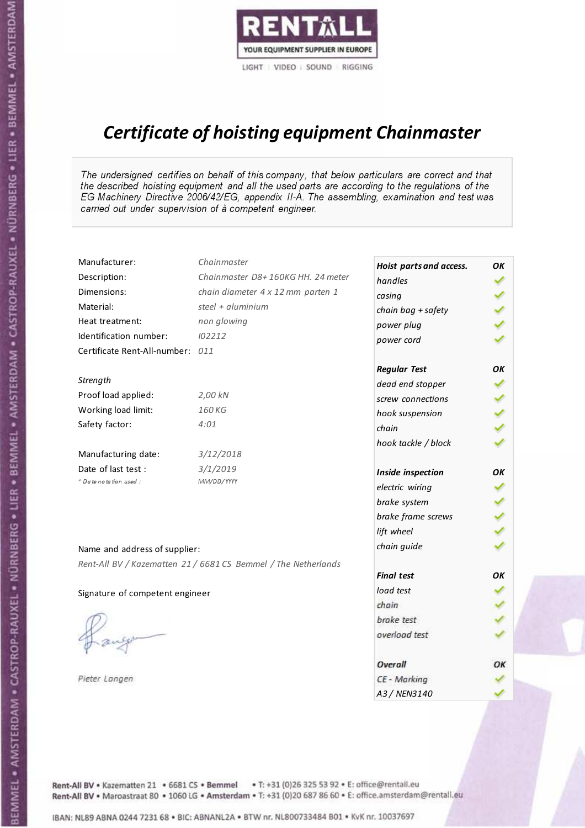

# Certificate of hoisting equipment Chainmaster

The undersigned certifies on behalf of this company, that below particulars are correct and that the described hoisting equipment and all the used parts are according to the regulations of the EG Machinery Directive 2006/42/EG, appendix II-A. The assembling, examination and test was carried out under supervision of à competent engineer.

| Manufacturer:                    | Chainmaster                                                    | Hoist parts and access. | OK  |
|----------------------------------|----------------------------------------------------------------|-------------------------|-----|
| Description:                     | Chainmaster D8+160KG HH. 24 meter                              | handles                 |     |
| Dimensions:                      | chain diameter 4 x 12 mm parten 1                              | casing                  |     |
| Material:                        | steel + $aluminim$                                             | chain bag + safety      |     |
| Heat treatment:                  | non glowing                                                    | power plug              |     |
| Identification number:           | 102212                                                         | power cord              |     |
| Certificate Rent-All-number: 011 |                                                                |                         |     |
|                                  |                                                                | <b>Regular Test</b>     | OK  |
| Strength                         |                                                                | dead end stopper        | ✔   |
| Proof load applied:              | 2,00 kN                                                        | screw connections       |     |
| Working load limit:              | 160KG                                                          | hook suspension         |     |
| Safety factor:                   | 4:01                                                           | chain                   | くくく |
|                                  |                                                                | hook tackle / block     |     |
| Manufacturing date:              | 3/12/2018                                                      |                         |     |
| Date of last test :              | 3/1/2019                                                       | Inside inspection       | OK  |
| + Date notation used :           | MM/DD/YYYY                                                     | electric wiring         |     |
|                                  |                                                                | brake system            |     |
|                                  |                                                                | brake frame screws      |     |
|                                  |                                                                | lift wheel              |     |
| Name and address of supplier:    |                                                                | chain guide             |     |
|                                  | Rent-All BV / Kazematten 21 / 6681 CS Bemmel / The Netherlands |                         |     |
|                                  |                                                                | <b>Final test</b>       | ΟK  |
| Signature of competent engineer  |                                                                | load test               |     |
|                                  |                                                                | chain                   |     |
|                                  |                                                                | brake test              |     |
|                                  |                                                                | overload test           |     |
|                                  |                                                                | Overall                 | OK  |
| Pieter Langen                    |                                                                | CE - Marking            |     |
|                                  |                                                                | A3 / NEN3140            |     |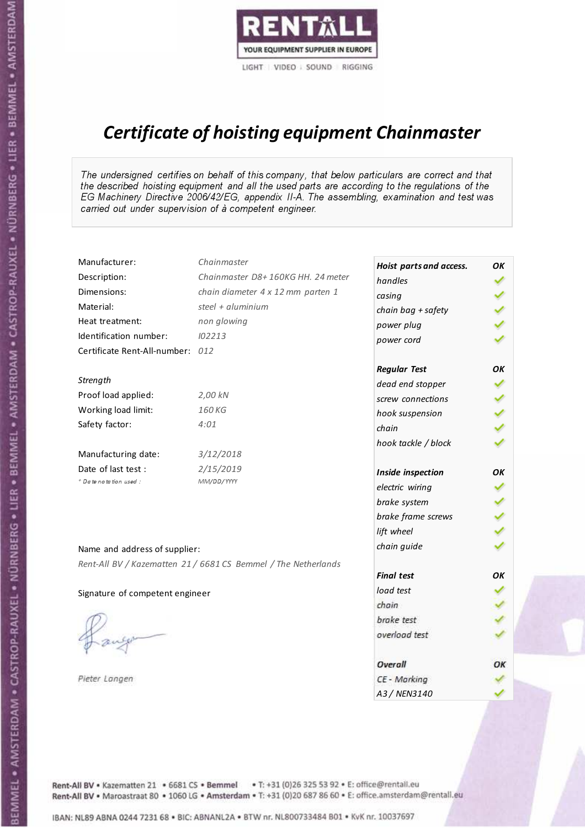

# Certificate of hoisting equipment Chainmaster

The undersigned certifies on behalf of this company, that below particulars are correct and that the described hoisting equipment and all the used parts are according to the regulations of the EG Machinery Directive 2006/42/EG, appendix II-A. The assembling, examination and test was carried out under supervision of à competent engineer.

| Manufacturer:                    | Chainmaster                                                    | Hoist parts and access. | OK  |
|----------------------------------|----------------------------------------------------------------|-------------------------|-----|
| Description:                     | Chainmaster D8+160KG HH. 24 meter                              | handles                 |     |
| Dimensions:                      | chain diameter 4 x 12 mm parten 1                              | casing                  |     |
| Material:                        | steel + aluminium                                              | chain bag + safety      |     |
| Heat treatment:                  | non glowing                                                    | power plug              |     |
| Identification number:           | 102213                                                         | power cord              |     |
| Certificate Rent-All-number: 012 |                                                                |                         |     |
|                                  |                                                                | <b>Regular Test</b>     | OK  |
| Strength                         |                                                                | dead end stopper        |     |
| Proof load applied:              | 2,00 kN                                                        | screw connections       |     |
| Working load limit:              | 160 KG                                                         | hook suspension         |     |
| Safety factor:                   | 4:01                                                           | chain                   | くくく |
|                                  |                                                                | hook tackle / block     |     |
| Manufacturing date:              | 3/12/2018                                                      |                         |     |
| Date of last test :              | 2/15/2019                                                      | Inside inspection       | ОΚ  |
| + Date notation used:            | MM/DD/YYYY                                                     | electric wiring         |     |
|                                  |                                                                | brake system            |     |
|                                  |                                                                | brake frame screws      |     |
|                                  |                                                                | lift wheel              |     |
| Name and address of supplier:    |                                                                | chain guide             |     |
|                                  | Rent-All BV / Kazematten 21 / 6681 CS Bemmel / The Netherlands |                         |     |
|                                  |                                                                | <b>Final test</b>       | OK  |
| Signature of competent engineer  |                                                                | load test               |     |
|                                  |                                                                | chain                   |     |
|                                  |                                                                | brake test              |     |
|                                  |                                                                | overload test           |     |
|                                  |                                                                |                         |     |
|                                  |                                                                | Overall                 | OK  |
| Pieter Langen                    |                                                                | CE - Marking            |     |
|                                  |                                                                | A3 / NEN3140            |     |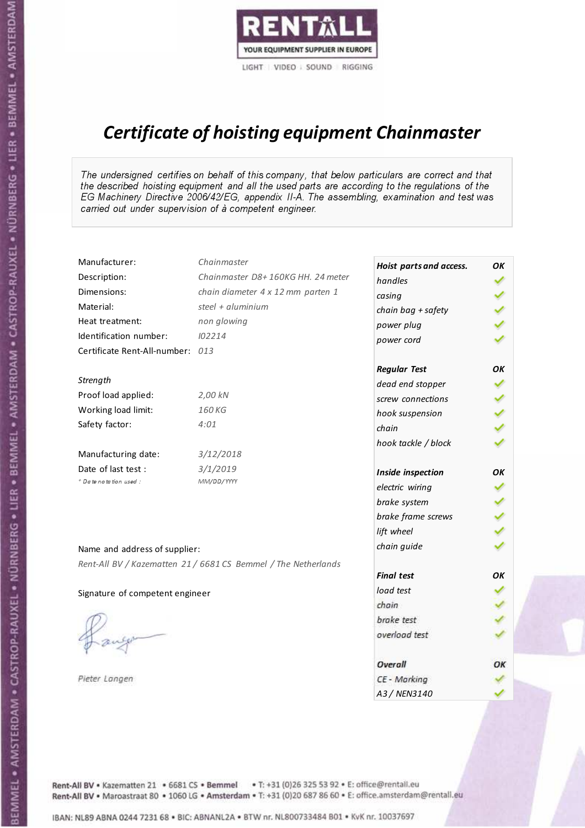

# Certificate of hoisting equipment Chainmaster

The undersigned certifies on behalf of this company, that below particulars are correct and that the described hoisting equipment and all the used parts are according to the regulations of the EG Machinery Directive 2006/42/EG, appendix II-A. The assembling, examination and test was carried out under supervision of à competent engineer.

| Manufacturer:                    | Chainmaster                                                    | Hoist parts and access. | OK  |
|----------------------------------|----------------------------------------------------------------|-------------------------|-----|
| Description:                     | Chainmaster D8+160KG HH. 24 meter                              | handles                 |     |
| Dimensions:                      | chain diameter 4 x 12 mm parten 1                              | casing                  |     |
| Material:                        | steel + aluminium                                              | chain bag + safety      |     |
| Heat treatment:                  | non glowing                                                    | power plug              |     |
| Identification number:           | 102214                                                         | power cord              |     |
| Certificate Rent-All-number: 013 |                                                                |                         |     |
|                                  |                                                                | <b>Regular Test</b>     | OK  |
| Strength                         |                                                                | dead end stopper        | ✔   |
| Proof load applied:              | 2,00 kN                                                        | screw connections       |     |
| Working load limit:              | 160 KG                                                         | hook suspension         |     |
| Safety factor:                   | 4:01                                                           | chain                   | くくく |
|                                  |                                                                | hook tackle / block     |     |
| Manufacturing date:              | 3/12/2018                                                      |                         |     |
| Date of last test :              | 3/1/2019                                                       | Inside inspection       | ОΚ  |
| + Date notation used:            | MM/DD/YYYY                                                     | electric wiring         |     |
|                                  |                                                                | brake system            |     |
|                                  |                                                                | brake frame screws      |     |
|                                  |                                                                | lift wheel              |     |
| Name and address of supplier:    |                                                                | chain guide             |     |
|                                  | Rent-All BV / Kazematten 21 / 6681 CS Bemmel / The Netherlands |                         |     |
|                                  |                                                                | <b>Final test</b>       | OK  |
| Signature of competent engineer  |                                                                | load test               |     |
|                                  |                                                                | chain                   |     |
|                                  |                                                                | brake test              |     |
|                                  |                                                                | overload test           |     |
|                                  |                                                                | Overall                 | ОК  |
| Pieter Langen                    |                                                                | CE - Marking            |     |
|                                  |                                                                | A3 / NEN3140            |     |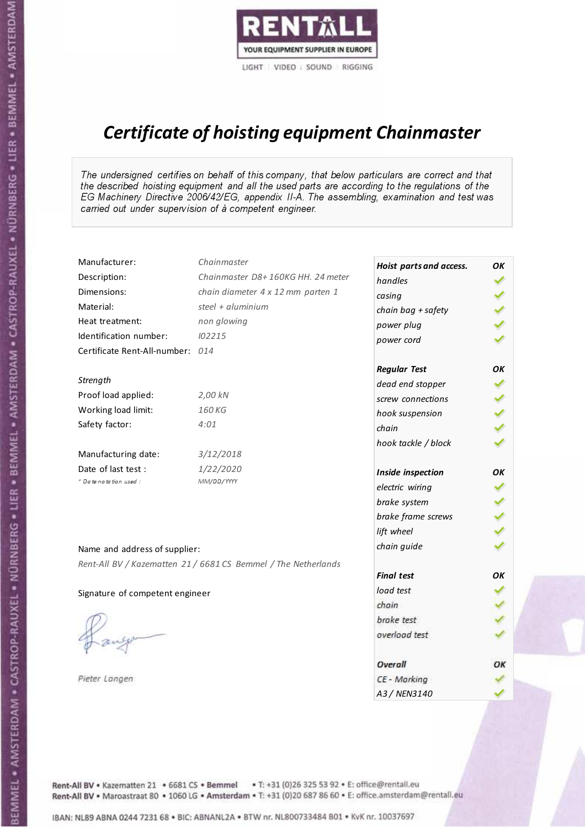

# Certificate of hoisting equipment Chainmaster

The undersigned certifies on behalf of this company, that below particulars are correct and that the described hoisting equipment and all the used parts are according to the regulations of the EG Machinery Directive 2006/42/EG, appendix II-A. The assembling, examination and test was carried out under supervision of à competent engineer.

| Manufacturer:                    | Chainmaster                                                    | Hoist parts and access. | OK  |
|----------------------------------|----------------------------------------------------------------|-------------------------|-----|
| Description:                     | Chainmaster D8+160KG HH. 24 meter                              | handles                 |     |
| Dimensions:                      | chain diameter 4 x 12 mm parten 1                              | casing                  |     |
| Material:                        | steel + aluminium                                              | chain bag + safety      |     |
| Heat treatment:                  | non glowing                                                    | power plug              |     |
| Identification number:           | 102215                                                         | power cord              |     |
| Certificate Rent-All-number: 014 |                                                                |                         |     |
|                                  |                                                                | <b>Regular Test</b>     | OK  |
| Strength                         |                                                                | dead end stopper        | ✔   |
| Proof load applied:              | 2,00 kN                                                        | screw connections       |     |
| Working load limit:              | 160 KG                                                         | hook suspension         |     |
| Safety factor:                   | 4:01                                                           | chain                   | くくく |
|                                  |                                                                | hook tackle / block     |     |
| Manufacturing date:              | 3/12/2018                                                      |                         |     |
| Date of last test :              | 1/22/2020                                                      | Inside inspection       | ОΚ  |
| + Date notation used:            | MM/DD/YYYY                                                     | electric wiring         |     |
|                                  |                                                                | brake system            | ✔   |
|                                  |                                                                | brake frame screws      |     |
|                                  |                                                                | lift wheel              |     |
| Name and address of supplier:    |                                                                | chain guide             |     |
|                                  | Rent-All BV / Kazematten 21 / 6681 CS Bemmel / The Netherlands |                         |     |
|                                  |                                                                | <b>Final test</b>       | OK  |
| Signature of competent engineer  |                                                                | load test               |     |
|                                  |                                                                | chain                   |     |
|                                  |                                                                | brake test              |     |
|                                  |                                                                | overload test           |     |
|                                  |                                                                | Overall                 | OK  |
| Pieter Langen                    |                                                                | CE - Marking            |     |
|                                  |                                                                | A3 / NEN3140            |     |

Rent-All BV . Kazematten 21 . 6681 CS . Bemmel . T: +31 (0)26 325 53 92 . E: office@rentall.eu Rent-All BV · Maroastraat 80 · 1060 LG · Amsterdam · T: +31 (0)20 687 86 60 · E: office.amsterdam@rentall.eu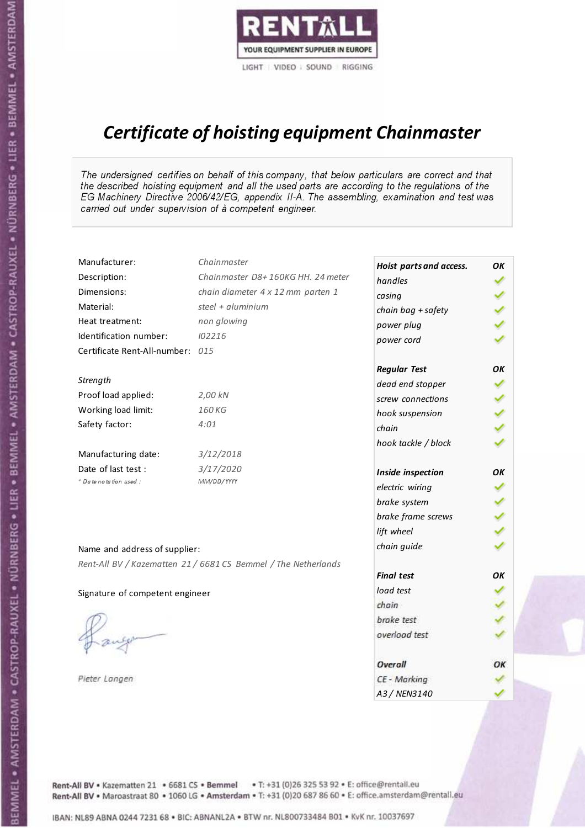

# Certificate of hoisting equipment Chainmaster

The undersigned certifies on behalf of this company, that below particulars are correct and that the described hoisting equipment and all the used parts are according to the regulations of the EG Machinery Directive 2006/42/EG, appendix II-A. The assembling, examination and test was carried out under supervision of à competent engineer.

| Manufacturer:                    | Chainmaster                                                    | Hoist parts and access. | OK  |
|----------------------------------|----------------------------------------------------------------|-------------------------|-----|
| Description:                     | Chainmaster D8+160KG HH. 24 meter                              | handles                 |     |
| Dimensions:                      | chain diameter 4 x 12 mm parten 1                              | casing                  |     |
| Material:                        | steel + aluminium                                              | chain bag + safety      |     |
| Heat treatment:                  | non glowing                                                    | power plug              |     |
| Identification number:           | 102216                                                         | power cord              |     |
| Certificate Rent-All-number: 015 |                                                                |                         |     |
|                                  |                                                                | <b>Regular Test</b>     | ΟK  |
| Strength                         |                                                                | dead end stopper        | ✔   |
| Proof load applied:              | 2,00 kN                                                        | screw connections       |     |
| Working load limit:              | 160KG                                                          | hook suspension         |     |
| Safety factor:                   | 4:01                                                           | chain                   | くくく |
|                                  |                                                                | hook tackle / block     |     |
| Manufacturing date:              | 3/12/2018                                                      |                         |     |
| Date of last test :              | 3/17/2020                                                      | Inside inspection       | ОΚ  |
| * Date notation used :           | MM/DD/YYYY                                                     | electric wiring         |     |
|                                  |                                                                | brake system            |     |
|                                  |                                                                | brake frame screws      |     |
|                                  |                                                                | lift wheel              |     |
| Name and address of supplier:    |                                                                | chain guide             |     |
|                                  | Rent-All BV / Kazematten 21 / 6681 CS Bemmel / The Netherlands |                         |     |
|                                  |                                                                | <b>Final test</b>       | OK  |
| Signature of competent engineer  |                                                                | load test               |     |
|                                  |                                                                | chain                   |     |
|                                  |                                                                | brake test              |     |
|                                  |                                                                | overload test           |     |
|                                  |                                                                | Overall                 | ОК  |
| Pieter Langen                    |                                                                | CE - Marking            |     |
|                                  |                                                                | A3 / NEN3140            |     |

Rent-All BV . Kazematten 21 . 6681 CS . Bemmel . T: +31 (0)26 325 53 92 . E: office@rentall.eu Rent-All BV · Maroastraat 80 · 1060 LG · Amsterdam · T: +31 (0)20 687 86 60 · E: office.amsterdam@rentall.eu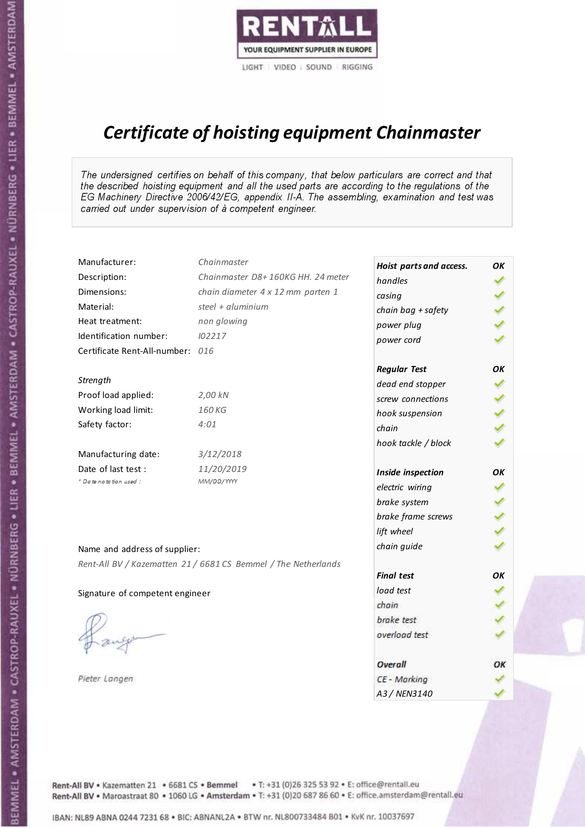

# Certificate of hoisting equipment Chainmaster

The undersigned certifies on behalf of this company, that below particulars are correct and that the described hoisting equipment and all the used parts are according to the regulations of the EG Machinery Directive 2006/42/EG, appendix II-A. The assembling, examination and test was carried out under supervision of à competent engineer.

| Manufacturer:                    | Chainmaster                                                    | Hoist parts and access. | OK  |
|----------------------------------|----------------------------------------------------------------|-------------------------|-----|
| Description:                     | Chainmaster D8+160KG HH. 24 meter                              | handles                 |     |
| Dimensions:                      | chain diameter 4 x 12 mm parten 1                              | casing                  |     |
| Material:                        | steel + aluminium                                              | chain bag + safety      |     |
| Heat treatment:                  | non glowing                                                    | power plug              |     |
| Identification number:           | 102217                                                         | power cord              |     |
| Certificate Rent-All-number: 016 |                                                                |                         |     |
|                                  |                                                                | <b>Regular Test</b>     | ΟK  |
| Strength                         |                                                                | dead end stopper        | ✔   |
| Proof load applied:              | 2,00 kN                                                        | screw connections       |     |
| Working load limit:              | 160KG                                                          | hook suspension         |     |
| Safety factor:                   | 4:01                                                           | chain                   | くくく |
|                                  |                                                                | hook tackle / block     |     |
| Manufacturing date:              | 3/12/2018                                                      |                         |     |
| Date of last test :              | 11/20/2019                                                     | Inside inspection       | ОΚ  |
| * Date notation used :           | MM/DD/YYYY                                                     | electric wiring         |     |
|                                  |                                                                | brake system            |     |
|                                  |                                                                | brake frame screws      |     |
|                                  |                                                                | lift wheel              |     |
| Name and address of supplier:    |                                                                | chain guide             |     |
|                                  | Rent-All BV / Kazematten 21 / 6681 CS Bemmel / The Netherlands |                         |     |
|                                  |                                                                | <b>Final test</b>       | OK  |
| Signature of competent engineer  |                                                                | load test               |     |
|                                  |                                                                | chain                   |     |
|                                  |                                                                | brake test              |     |
|                                  |                                                                | overload test           |     |
|                                  |                                                                | Overall                 | ОК  |
| Pieter Langen                    |                                                                | CE - Marking            |     |
|                                  |                                                                | A3 / NEN3140            |     |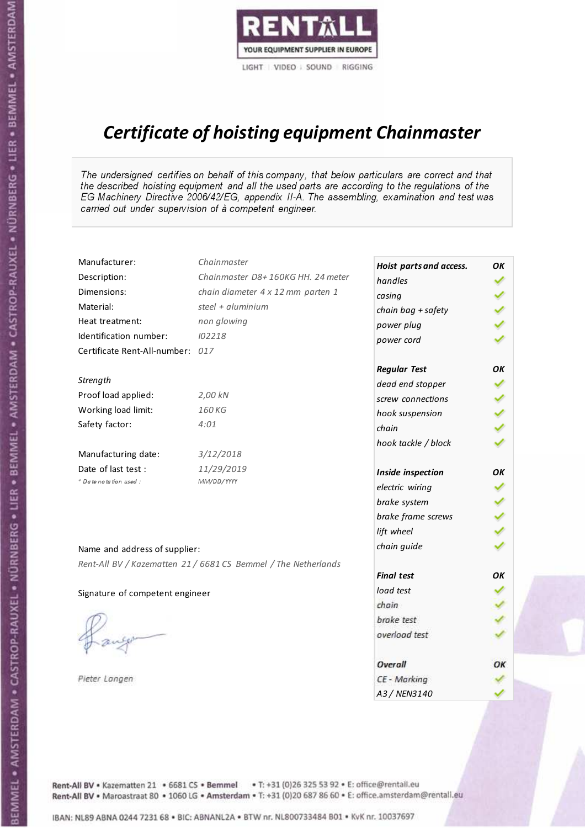

# Certificate of hoisting equipment Chainmaster

The undersigned certifies on behalf of this company, that below particulars are correct and that the described hoisting equipment and all the used parts are according to the regulations of the EG Machinery Directive 2006/42/EG, appendix II-A. The assembling, examination and test was carried out under supervision of à competent engineer.

| Manufacturer:                    | Chainmaster                                                    | Hoist parts and access. | OK  |
|----------------------------------|----------------------------------------------------------------|-------------------------|-----|
| Description:                     | Chainmaster D8+160KG HH. 24 meter                              | handles                 |     |
| Dimensions:                      | chain diameter 4 x 12 mm parten 1                              | casing                  |     |
| Material:                        | steel + aluminium                                              | chain bag + safety      |     |
| Heat treatment:                  | non glowing                                                    | power plug              |     |
| Identification number:           | 102218                                                         | power cord              |     |
| Certificate Rent-All-number: 017 |                                                                |                         |     |
|                                  |                                                                | <b>Regular Test</b>     | OΚ  |
| Strength                         |                                                                | dead end stopper        | ✔   |
| Proof load applied:              | 2,00 kN                                                        | screw connections       |     |
| Working load limit:              | 160KG                                                          | hook suspension         |     |
| Safety factor:                   | 4:01                                                           | chain                   | くくく |
|                                  |                                                                | hook tackle / block     |     |
| Manufacturing date:              | 3/12/2018                                                      |                         |     |
| Date of last test :              | 11/29/2019                                                     | Inside inspection       | ОΚ  |
| * Date notation used :           | MM/DD/YYYY                                                     | electric wiring         |     |
|                                  |                                                                | brake system            |     |
|                                  |                                                                | brake frame screws      |     |
|                                  |                                                                | lift wheel              |     |
| Name and address of supplier:    |                                                                | chain guide             |     |
|                                  | Rent-All BV / Kazematten 21 / 6681 CS Bemmel / The Netherlands |                         |     |
|                                  |                                                                | <b>Final test</b>       | OK  |
| Signature of competent engineer  |                                                                | load test               |     |
|                                  |                                                                | chain                   |     |
|                                  |                                                                | brake test              |     |
|                                  |                                                                | overload test           |     |
|                                  |                                                                | Overall                 | ОК  |
| Pieter Langen                    |                                                                | CE - Marking            |     |
|                                  |                                                                | A3 / NEN3140            |     |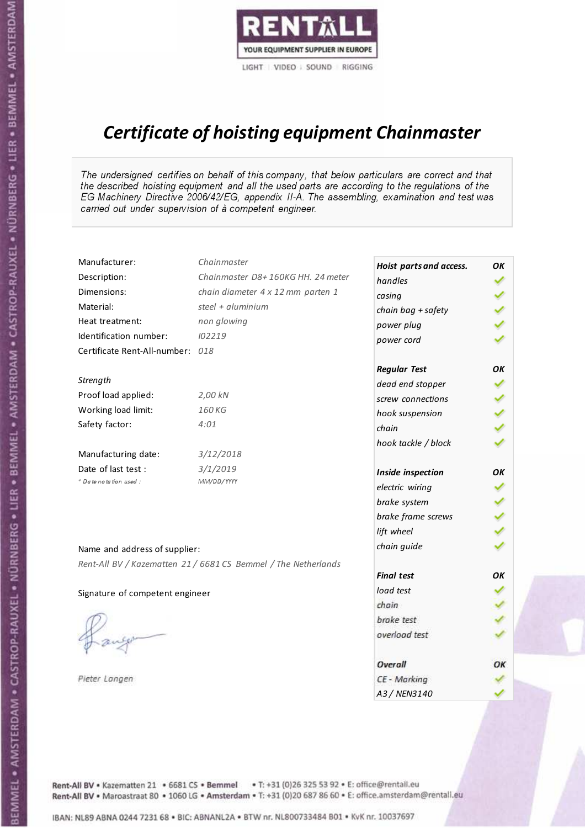

# Certificate of hoisting equipment Chainmaster

The undersigned certifies on behalf of this company, that below particulars are correct and that the described hoisting equipment and all the used parts are according to the regulations of the EG Machinery Directive 2006/42/EG, appendix II-A. The assembling, examination and test was carried out under supervision of à competent engineer.

| Manufacturer:                    | Chainmaster                                                    | Hoist parts and access. | OK  |
|----------------------------------|----------------------------------------------------------------|-------------------------|-----|
| Description:                     | Chainmaster D8+160KG HH. 24 meter                              | handles                 |     |
| Dimensions:                      | chain diameter 4 x 12 mm parten 1                              | casing                  |     |
| Material:                        | steel + aluminium                                              | chain bag + safety      |     |
| Heat treatment:                  | non glowing                                                    | power plug              |     |
| Identification number:           | 102219                                                         | power cord              |     |
| Certificate Rent-All-number: 018 |                                                                |                         |     |
|                                  |                                                                | <b>Regular Test</b>     | OK  |
| Strength                         |                                                                | dead end stopper        | ✔   |
| Proof load applied:              | 2,00 kN                                                        | screw connections       |     |
| Working load limit:              | 160 KG                                                         | hook suspension         |     |
| Safety factor:                   | 4:01                                                           | chain                   | くくく |
|                                  |                                                                | hook tackle / block     |     |
| Manufacturing date:              | 3/12/2018                                                      |                         |     |
| Date of last test :              | 3/1/2019                                                       | Inside inspection       | ОΚ  |
| + Date notation used:            | MM/DD/YYYY                                                     | electric wiring         |     |
|                                  |                                                                | brake system            |     |
|                                  |                                                                | brake frame screws      |     |
|                                  |                                                                | lift wheel              |     |
| Name and address of supplier:    |                                                                | chain guide             |     |
|                                  | Rent-All BV / Kazematten 21 / 6681 CS Bemmel / The Netherlands |                         |     |
|                                  |                                                                | <b>Final test</b>       | OK  |
| Signature of competent engineer  |                                                                | load test               |     |
|                                  |                                                                | chain                   |     |
|                                  |                                                                | brake test              |     |
|                                  |                                                                | overload test           |     |
|                                  |                                                                | Overall                 | ОК  |
| Pieter Langen                    |                                                                | CE - Marking            |     |
|                                  |                                                                | A3 / NEN3140            |     |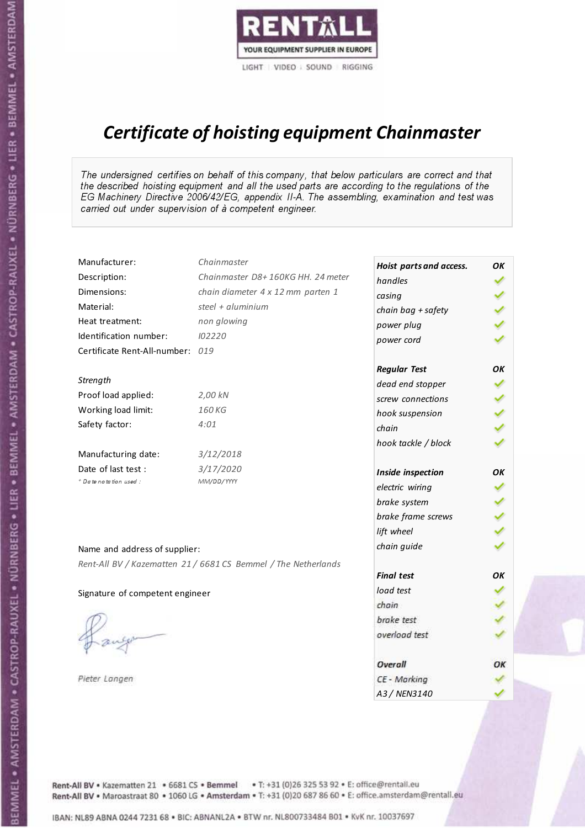

# Certificate of hoisting equipment Chainmaster

The undersigned certifies on behalf of this company, that below particulars are correct and that the described hoisting equipment and all the used parts are according to the regulations of the EG Machinery Directive 2006/42/EG, appendix II-A. The assembling, examination and test was carried out under supervision of à competent engineer.

| Manufacturer:                    | Chainmaster                                                    | Hoist parts and access. | OK  |
|----------------------------------|----------------------------------------------------------------|-------------------------|-----|
| Description:                     | Chainmaster D8+160KG HH. 24 meter                              | handles                 |     |
| Dimensions:                      | chain diameter 4 x 12 mm parten 1                              | casing                  |     |
| Material:                        | steel + $aluminim$                                             | chain bag + safety      |     |
| Heat treatment:                  | non glowing                                                    | power plug              |     |
| Identification number:           | 102220                                                         | power cord              |     |
| Certificate Rent-All-number: 019 |                                                                |                         |     |
|                                  |                                                                | <b>Regular Test</b>     | OΚ  |
| Strength                         |                                                                | dead end stopper        |     |
| Proof load applied:              | 2,00 kN                                                        | screw connections       |     |
| Working load limit:              | 160 KG                                                         | hook suspension         |     |
| Safety factor:                   | 4:01                                                           | chain                   | くくく |
|                                  |                                                                | hook tackle / block     |     |
| Manufacturing date:              | 3/12/2018                                                      |                         |     |
| Date of last test :              | 3/17/2020                                                      | Inside inspection       | ОΚ  |
| + Date notation used :           | MM/DD/YYYY                                                     | electric wiring         |     |
|                                  |                                                                | brake system            |     |
|                                  |                                                                | brake frame screws      |     |
|                                  |                                                                | lift wheel              |     |
| Name and address of supplier:    |                                                                | chain guide             |     |
|                                  | Rent-All BV / Kazematten 21 / 6681 CS Bemmel / The Netherlands |                         |     |
|                                  |                                                                | <b>Final test</b>       | OK  |
| Signature of competent engineer  |                                                                | load test               |     |
|                                  |                                                                | chain                   |     |
|                                  |                                                                | brake test              |     |
|                                  |                                                                | overload test           |     |
|                                  |                                                                | Overall                 | OK  |
| Pieter Langen                    |                                                                | CE - Marking            |     |
|                                  |                                                                | A3 / NEN3140            |     |

BEMMEL • AMSTERDAM • CASTROP-RAUXEL • NÜRNBERG • LIER • BEMMEL • AMSTERDAM • CASTROP-RAUXEL • NÜRNBERG • LIER • BEMMEL • AMSTERDAM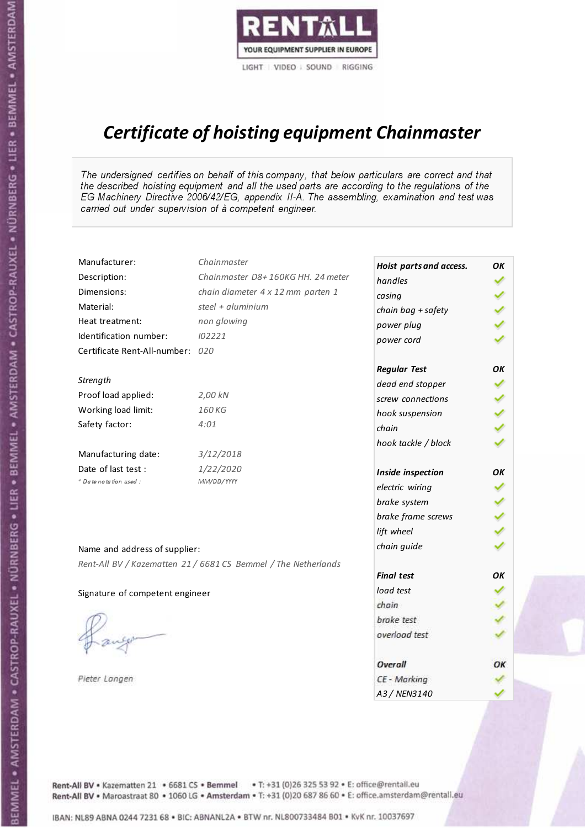

# Certificate of hoisting equipment Chainmaster

The undersigned certifies on behalf of this company, that below particulars are correct and that the described hoisting equipment and all the used parts are according to the regulations of the EG Machinery Directive 2006/42/EG, appendix II-A. The assembling, examination and test was carried out under supervision of à competent engineer.

| Manufacturer:                    | Chainmaster                                                    | Hoist parts and access. | OK  |
|----------------------------------|----------------------------------------------------------------|-------------------------|-----|
| Description:                     | Chainmaster D8+160KG HH. 24 meter                              | handles                 |     |
| Dimensions:                      | chain diameter 4 x 12 mm parten 1                              | casing                  |     |
| Material:                        | steel + $aluminim$                                             | chain bag + safety      |     |
| Heat treatment:                  | non glowing                                                    | power plug              |     |
| Identification number:           | 102221                                                         | power cord              |     |
| Certificate Rent-All-number: 020 |                                                                |                         |     |
|                                  |                                                                | <b>Regular Test</b>     | OΚ  |
| Strength                         |                                                                | dead end stopper        |     |
| Proof load applied:              | 2,00 kN                                                        | screw connections       |     |
| Working load limit:              | 160 KG                                                         | hook suspension         |     |
| Safety factor:                   | 4:01                                                           | chain                   | くくく |
|                                  |                                                                | hook tackle / block     |     |
| Manufacturing date:              | 3/12/2018                                                      |                         |     |
| Date of last test :              | 1/22/2020                                                      | Inside inspection       | ОΚ  |
| + Date notation used :           | MM/DD/YYYY                                                     | electric wiring         |     |
|                                  |                                                                | brake system            |     |
|                                  |                                                                | brake frame screws      |     |
|                                  |                                                                | lift wheel              |     |
| Name and address of supplier:    |                                                                | chain guide             |     |
|                                  | Rent-All BV / Kazematten 21 / 6681 CS Bemmel / The Netherlands |                         |     |
|                                  |                                                                | <b>Final test</b>       | OK  |
| Signature of competent engineer  |                                                                | load test               |     |
|                                  |                                                                | chain                   |     |
|                                  |                                                                | brake test              |     |
|                                  |                                                                | overload test           |     |
|                                  |                                                                | Overall                 | OK  |
| Pieter Langen                    |                                                                | CE - Marking            |     |
|                                  |                                                                | A3 / NEN3140            |     |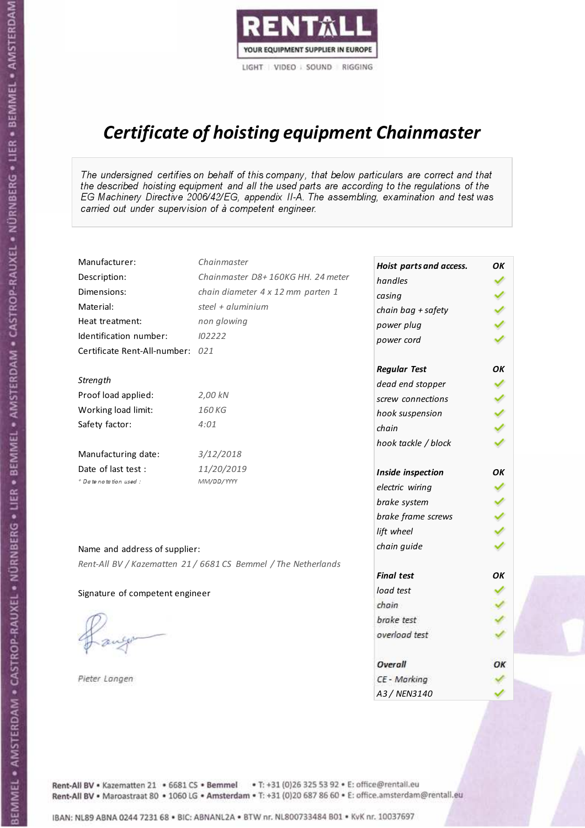

# Certificate of hoisting equipment Chainmaster

The undersigned certifies on behalf of this company, that below particulars are correct and that the described hoisting equipment and all the used parts are according to the regulations of the EG Machinery Directive 2006/42/EG, appendix II-A. The assembling, examination and test was carried out under supervision of à competent engineer.

| Manufacturer:                    | Chainmaster                                                    | Hoist parts and access. | OK  |
|----------------------------------|----------------------------------------------------------------|-------------------------|-----|
| Description:                     | Chainmaster D8+160KG HH. 24 meter                              | handles                 |     |
| Dimensions:                      | chain diameter 4 x 12 mm parten 1                              | casing                  |     |
| Material:                        | steel + aluminium                                              | chain bag + safety      |     |
| Heat treatment:                  | non glowing                                                    | power plug              |     |
| Identification number:           | 102222                                                         | power cord              |     |
| Certificate Rent-All-number: 021 |                                                                |                         |     |
|                                  |                                                                | <b>Regular Test</b>     | ΟK  |
| Strength                         |                                                                | dead end stopper        | ✔   |
| Proof load applied:              | 2,00 kN                                                        | screw connections       |     |
| Working load limit:              | 160KG                                                          | hook suspension         |     |
| Safety factor:                   | 4:01                                                           | chain                   | くくく |
|                                  |                                                                | hook tackle / block     |     |
| Manufacturing date:              | 3/12/2018                                                      |                         |     |
| Date of last test :              | 11/20/2019                                                     | Inside inspection       | ОΚ  |
| * Date notation used :           | MM/DD/YYYY                                                     | electric wiring         |     |
|                                  |                                                                | brake system            |     |
|                                  |                                                                | brake frame screws      |     |
|                                  |                                                                | lift wheel              |     |
| Name and address of supplier:    |                                                                | chain guide             |     |
|                                  | Rent-All BV / Kazematten 21 / 6681 CS Bemmel / The Netherlands |                         |     |
|                                  |                                                                | <b>Final test</b>       | OK  |
| Signature of competent engineer  |                                                                | load test               |     |
|                                  |                                                                | chain                   |     |
|                                  |                                                                | brake test              |     |
|                                  |                                                                | overload test           |     |
|                                  |                                                                | Overall                 | ОК  |
| Pieter Langen                    |                                                                | CE - Marking            |     |
|                                  |                                                                | A3 / NEN3140            |     |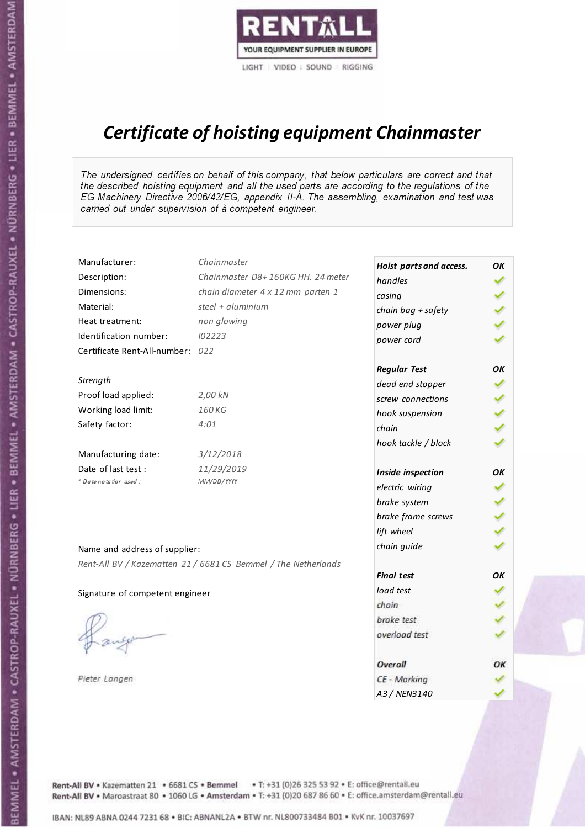

# Certificate of hoisting equipment Chainmaster

The undersigned certifies on behalf of this company, that below particulars are correct and that the described hoisting equipment and all the used parts are according to the regulations of the EG Machinery Directive 2006/42/EG, appendix II-A. The assembling, examination and test was carried out under supervision of à competent engineer.

| Manufacturer:                    | Chainmaster                                                    | Hoist parts and access. | OK  |
|----------------------------------|----------------------------------------------------------------|-------------------------|-----|
| Description:                     | Chainmaster D8+160KG HH. 24 meter                              | handles                 |     |
| Dimensions:                      | chain diameter 4 x 12 mm parten 1                              | casing                  |     |
| Material:                        | steel $+$ aluminium                                            | chain bag + safety      |     |
| Heat treatment:                  | non glowing                                                    | power plug              |     |
| Identification number:           | 102223                                                         | power cord              |     |
| Certificate Rent-All-number: 022 |                                                                |                         |     |
|                                  |                                                                | <b>Regular Test</b>     | OK  |
| Strength                         |                                                                | dead end stopper        | ✔   |
| Proof load applied:              | 2,00 kN                                                        | screw connections       |     |
| Working load limit:              | 160KG                                                          | hook suspension         |     |
| Safety factor:                   | 4:01                                                           | chain                   | くくく |
|                                  |                                                                | hook tackle / block     |     |
| Manufacturing date:              | 3/12/2018                                                      |                         |     |
| Date of last test :              | 11/29/2019                                                     | Inside inspection       | OΚ  |
| * Date notation used :           | MM/DD/YYYY                                                     | electric wiring         |     |
|                                  |                                                                | brake system            |     |
|                                  |                                                                | brake frame screws      |     |
|                                  |                                                                | lift wheel              |     |
| Name and address of supplier:    |                                                                | chain guide             |     |
|                                  | Rent-All BV / Kazematten 21 / 6681 CS Bemmel / The Netherlands |                         |     |
|                                  |                                                                | <b>Final test</b>       | OK  |
| Signature of competent engineer  |                                                                | load test               |     |
|                                  |                                                                | chain                   |     |
|                                  |                                                                | brake test              |     |
|                                  |                                                                | overload test           |     |
|                                  |                                                                | Overall                 | ОК  |
| Pieter Langen                    |                                                                | CE - Marking            |     |
|                                  |                                                                | A3 / NEN3140            |     |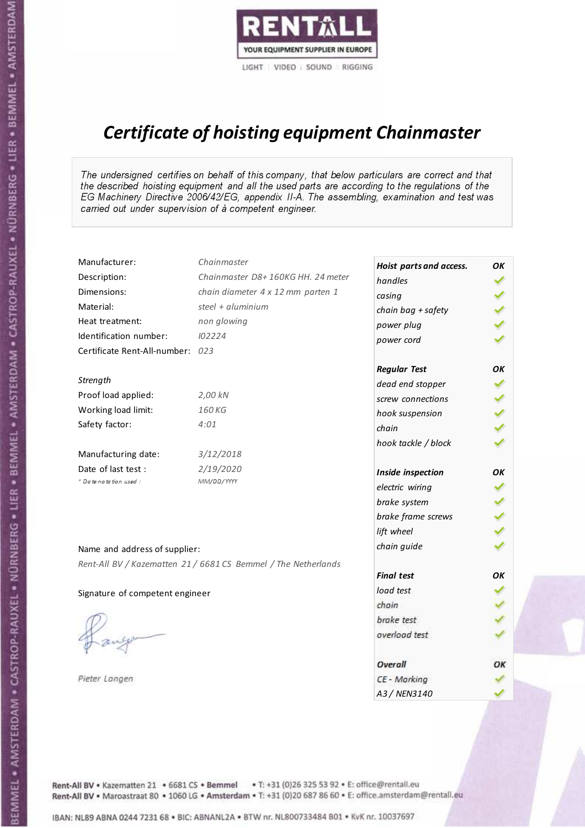

# Certificate of hoisting equipment Chainmaster

The undersigned certifies on behalf of this company, that below particulars are correct and that the described hoisting equipment and all the used parts are according to the regulations of the EG Machinery Directive 2006/42/EG, appendix II-A. The assembling, examination and test was carried out under supervision of à competent engineer.

| Manufacturer:                    | Chainmaster                                                    | Hoist parts and access. | OK  |
|----------------------------------|----------------------------------------------------------------|-------------------------|-----|
| Description:                     | Chainmaster D8+160KG HH. 24 meter                              | handles                 |     |
| Dimensions:                      | chain diameter 4 x 12 mm parten 1                              | casing                  |     |
| Material:                        | steel + $aluminim$                                             | chain bag + safety      |     |
| Heat treatment:                  | non glowing                                                    | power plug              |     |
| Identification number:           | 102224                                                         | power cord              |     |
| Certificate Rent-All-number: 023 |                                                                |                         |     |
|                                  |                                                                | <b>Regular Test</b>     | OΚ  |
| Strength                         |                                                                | dead end stopper        |     |
| Proof load applied:              | 2,00 kN                                                        | screw connections       |     |
| Working load limit:              | 160 KG                                                         | hook suspension         |     |
| Safety factor:                   | 4:01                                                           | chain                   | くくく |
|                                  |                                                                | hook tackle / block     |     |
| Manufacturing date:              | 3/12/2018                                                      |                         |     |
| Date of last test :              | 2/19/2020                                                      | Inside inspection       | ОΚ  |
| + Date notation used :           | MM/DD/YYYY                                                     | electric wiring         |     |
|                                  |                                                                | brake system            |     |
|                                  |                                                                | brake frame screws      |     |
|                                  |                                                                | lift wheel              |     |
| Name and address of supplier:    |                                                                | chain guide             |     |
|                                  | Rent-All BV / Kazematten 21 / 6681 CS Bemmel / The Netherlands |                         |     |
|                                  |                                                                | <b>Final test</b>       | OK  |
| Signature of competent engineer  |                                                                | load test               |     |
|                                  |                                                                | chain                   |     |
|                                  |                                                                | brake test              |     |
|                                  |                                                                | overload test           |     |
|                                  |                                                                | Overall                 | OK  |
| Pieter Langen                    |                                                                | CE - Marking            |     |
|                                  |                                                                | A3 / NEN3140            |     |

BEMMEL • AMSTERDAM • CASTROP-RAUXEL • NÜRNBERG • LIER • BEMMEL • AMSTERDAM • CASTROP-RAUXEL • NÜRNBERG • LIER • BEMMEL • AMSTERDAM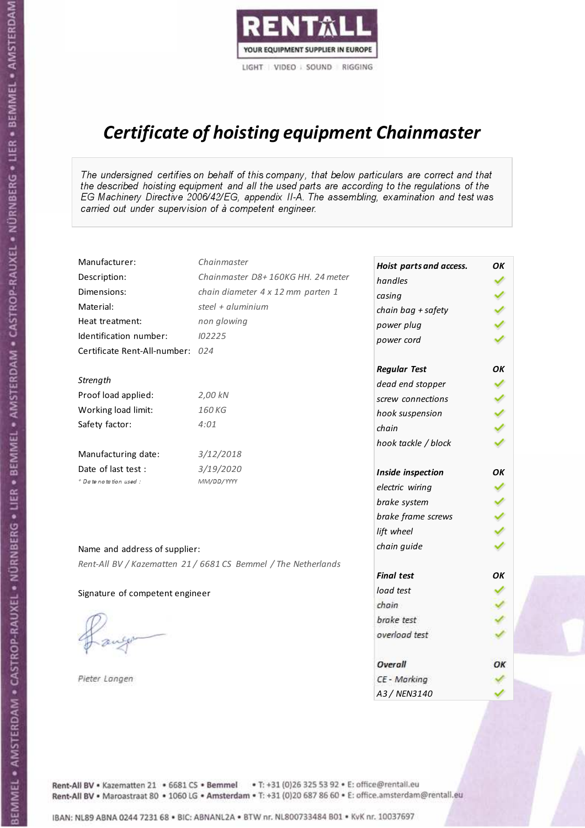

# Certificate of hoisting equipment Chainmaster

The undersigned certifies on behalf of this company, that below particulars are correct and that the described hoisting equipment and all the used parts are according to the regulations of the EG Machinery Directive 2006/42/EG, appendix II-A. The assembling, examination and test was carried out under supervision of à competent engineer.

| Manufacturer:                    | Chainmaster                                                    | Hoist parts and access. | OK  |
|----------------------------------|----------------------------------------------------------------|-------------------------|-----|
| Description:                     | Chainmaster D8+160KG HH. 24 meter                              | handles                 |     |
| Dimensions:                      | chain diameter 4 x 12 mm parten 1                              | casing                  |     |
| Material:                        | steel + $aluminim$                                             | chain bag + safety      |     |
| Heat treatment:                  | non glowing                                                    | power plug              |     |
| Identification number:           | 102225                                                         | power cord              |     |
| Certificate Rent-All-number: 024 |                                                                |                         |     |
|                                  |                                                                | <b>Regular Test</b>     | OΚ  |
| Strength                         |                                                                | dead end stopper        |     |
| Proof load applied:              | 2,00 kN                                                        | screw connections       |     |
| Working load limit:              | 160 KG                                                         | hook suspension         |     |
| Safety factor:                   | 4:01                                                           | chain                   | くくく |
|                                  |                                                                | hook tackle / block     |     |
| Manufacturing date:              | 3/12/2018                                                      |                         |     |
| Date of last test :              | 3/19/2020                                                      | Inside inspection       | ОΚ  |
| + Date notation used :           | MM/DD/YYYY                                                     | electric wiring         |     |
|                                  |                                                                | brake system            |     |
|                                  |                                                                | brake frame screws      |     |
|                                  |                                                                | lift wheel              |     |
| Name and address of supplier:    |                                                                | chain guide             |     |
|                                  | Rent-All BV / Kazematten 21 / 6681 CS Bemmel / The Netherlands |                         |     |
|                                  |                                                                | <b>Final test</b>       | OK  |
| Signature of competent engineer  |                                                                | load test               |     |
|                                  |                                                                | chain                   |     |
|                                  |                                                                | brake test              |     |
|                                  |                                                                | overload test           |     |
|                                  |                                                                | Overall                 | OK  |
| Pieter Langen                    |                                                                | CE - Marking            |     |
|                                  |                                                                | A3 / NEN3140            |     |

BEMMEL • AMSTERDAM • CASTROP-RAUXEL • NÜRNBERG • LIER • BEMMEL • AMSTERDAM • CASTROP-RAUXEL • NÜRNBERG • LIER • BEMMEL • AMSTERDAM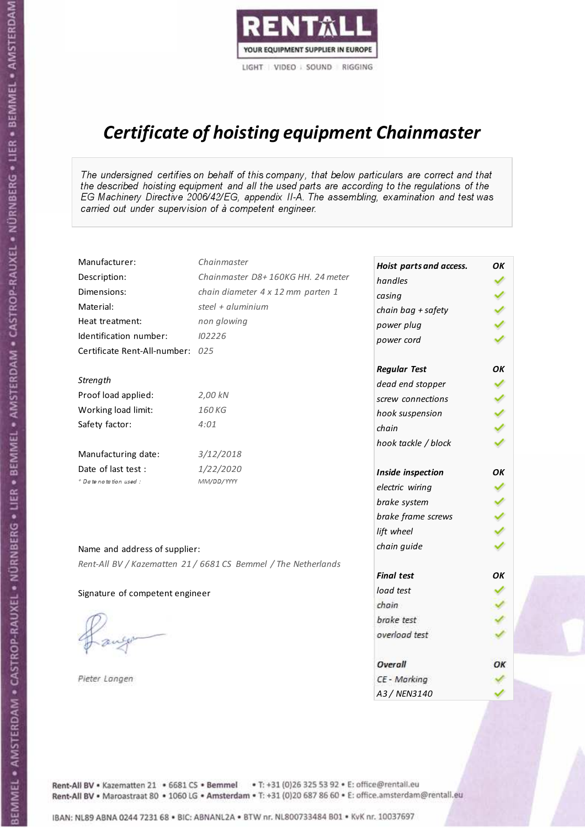

# Certificate of hoisting equipment Chainmaster

The undersigned certifies on behalf of this company, that below particulars are correct and that the described hoisting equipment and all the used parts are according to the regulations of the EG Machinery Directive 2006/42/EG, appendix II-A. The assembling, examination and test was carried out under supervision of à competent engineer.

| Manufacturer:                    | Chainmaster                                                    | Hoist parts and access. | OK  |
|----------------------------------|----------------------------------------------------------------|-------------------------|-----|
| Description:                     | Chainmaster D8+160KG HH. 24 meter                              | handles                 |     |
| Dimensions:                      | chain diameter 4 x 12 mm parten 1                              | casing                  |     |
| Material:                        | steel + $aluminim$                                             | chain bag + safety      |     |
| Heat treatment:                  | non glowing                                                    | power plug              |     |
| Identification number:           | 102226                                                         | power cord              |     |
| Certificate Rent-All-number: 025 |                                                                |                         |     |
|                                  |                                                                | <b>Regular Test</b>     | OK  |
| Strength                         |                                                                | dead end stopper        | ✔   |
| Proof load applied:              | 2,00 kN                                                        | screw connections       |     |
| Working load limit:              | 160KG                                                          | hook suspension         |     |
| Safety factor:                   | 4:01                                                           | chain                   | くくく |
|                                  |                                                                | hook tackle / block     |     |
| Manufacturing date:              | 3/12/2018                                                      |                         |     |
| Date of last test :              | 1/22/2020                                                      | Inside inspection       | OK  |
| + Date notation used :           | MM/DD/YYYY                                                     | electric wiring         |     |
|                                  |                                                                | brake system            |     |
|                                  |                                                                | brake frame screws      |     |
|                                  |                                                                | lift wheel              |     |
| Name and address of supplier:    |                                                                | chain guide             |     |
|                                  | Rent-All BV / Kazematten 21 / 6681 CS Bemmel / The Netherlands |                         |     |
|                                  |                                                                | <b>Final test</b>       | ΟK  |
| Signature of competent engineer  |                                                                | load test               |     |
|                                  |                                                                | chain                   |     |
|                                  |                                                                | brake test              |     |
|                                  |                                                                | overload test           |     |
|                                  |                                                                | Overall                 | OK  |
| Pieter Langen                    |                                                                | CE - Marking            |     |
|                                  |                                                                | A3 / NEN3140            |     |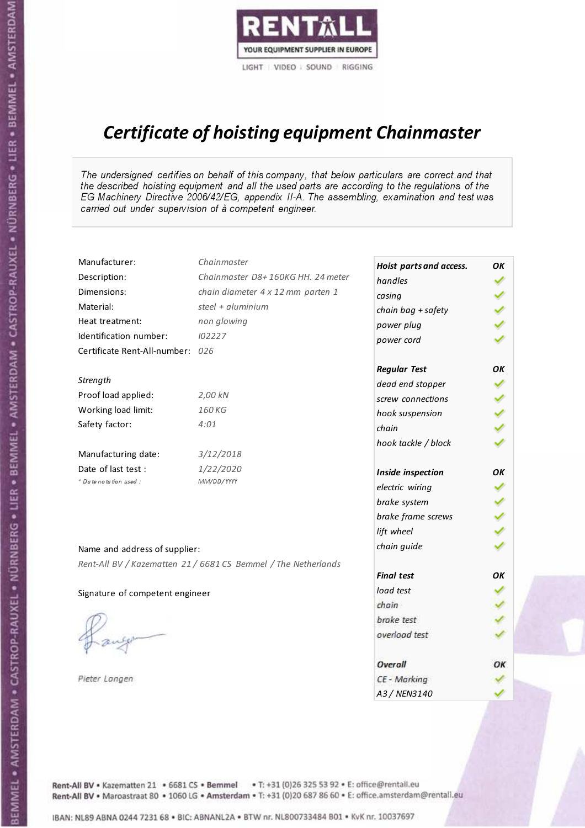

# Certificate of hoisting equipment Chainmaster

The undersigned certifies on behalf of this company, that below particulars are correct and that the described hoisting equipment and all the used parts are according to the regulations of the EG Machinery Directive 2006/42/EG, appendix II-A. The assembling, examination and test was carried out under supervision of à competent engineer.

| Manufacturer:                    | Chainmaster                                                    | Hoist parts and access. | OK  |
|----------------------------------|----------------------------------------------------------------|-------------------------|-----|
| Description:                     | Chainmaster D8+160KG HH. 24 meter                              | handles                 |     |
| Dimensions:                      | chain diameter 4 x 12 mm parten 1                              | casing                  |     |
| Material:                        | steel + aluminium                                              | chain bag + safety      |     |
| Heat treatment:                  | non glowing                                                    | power plug              |     |
| Identification number:           | 102227                                                         | power cord              |     |
| Certificate Rent-All-number: 026 |                                                                |                         |     |
|                                  |                                                                | <b>Regular Test</b>     | OK  |
| Strength                         |                                                                | dead end stopper        | ✔   |
| Proof load applied:              | 2,00 kN                                                        | screw connections       |     |
| Working load limit:              | 160 KG                                                         | hook suspension         |     |
| Safety factor:                   | 4:01                                                           | chain                   | くくく |
|                                  |                                                                | hook tackle / block     |     |
| Manufacturing date:              | 3/12/2018                                                      |                         |     |
| Date of last test :              | 1/22/2020                                                      | Inside inspection       | ОΚ  |
| + Date notation used:            | MM/DD/YYYY                                                     | electric wiring         |     |
|                                  |                                                                | brake system            | ✔   |
|                                  |                                                                | brake frame screws      |     |
|                                  |                                                                | lift wheel              |     |
| Name and address of supplier:    |                                                                | chain guide             |     |
|                                  | Rent-All BV / Kazematten 21 / 6681 CS Bemmel / The Netherlands |                         |     |
|                                  |                                                                | <b>Final test</b>       | OK  |
| Signature of competent engineer  |                                                                | load test               |     |
|                                  |                                                                | chain                   |     |
|                                  |                                                                | brake test              |     |
|                                  |                                                                | overload test           |     |
|                                  |                                                                | Overall                 | OK  |
| Pieter Langen                    |                                                                | CE - Marking            |     |
|                                  |                                                                | A3 / NEN3140            |     |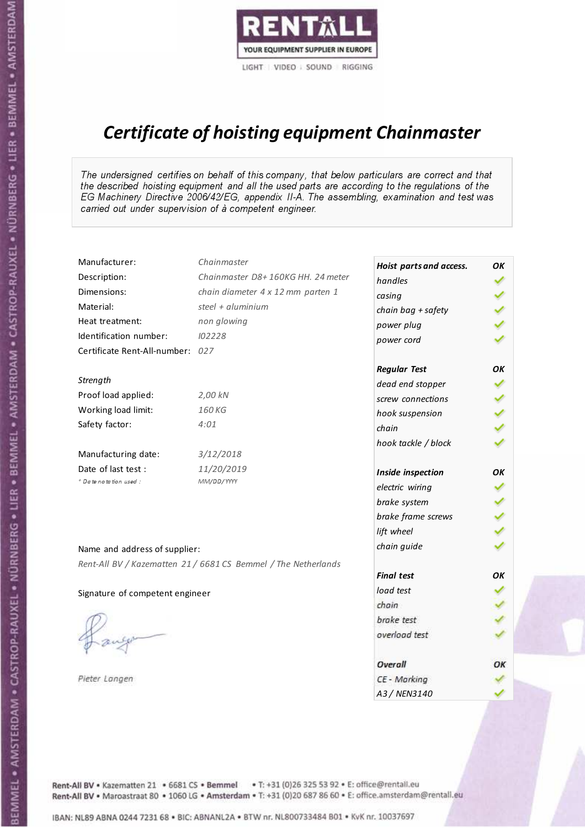

# Certificate of hoisting equipment Chainmaster

The undersigned certifies on behalf of this company, that below particulars are correct and that the described hoisting equipment and all the used parts are according to the regulations of the EG Machinery Directive 2006/42/EG, appendix II-A. The assembling, examination and test was carried out under supervision of à competent engineer.

| Manufacturer:                    | Chainmaster                                                    | Hoist parts and access. | OK  |
|----------------------------------|----------------------------------------------------------------|-------------------------|-----|
| Description:                     | Chainmaster D8+160KG HH. 24 meter                              | handles                 |     |
| Dimensions:                      | chain diameter 4 x 12 mm parten 1                              | casing                  |     |
| Material:                        | steel $+$ aluminium                                            | chain bag + safety      |     |
| Heat treatment:                  | non glowing                                                    | power plug              |     |
| Identification number:           | 102228                                                         | power cord              |     |
| Certificate Rent-All-number: 027 |                                                                |                         |     |
|                                  |                                                                | <b>Regular Test</b>     | OK  |
| Strength                         |                                                                | dead end stopper        | ✔   |
| Proof load applied:              | 2,00 kN                                                        | screw connections       |     |
| Working load limit:              | 160KG                                                          | hook suspension         |     |
| Safety factor:                   | 4:01                                                           | chain                   | くくく |
|                                  |                                                                | hook tackle / block     |     |
| Manufacturing date:              | 3/12/2018                                                      |                         |     |
| Date of last test :              | 11/20/2019                                                     | Inside inspection       | OΚ  |
| * Date notation used :           | MM/DD/YYYY                                                     | electric wiring         |     |
|                                  |                                                                | brake system            |     |
|                                  |                                                                | brake frame screws      |     |
|                                  |                                                                | lift wheel              |     |
| Name and address of supplier:    |                                                                | chain guide             |     |
|                                  | Rent-All BV / Kazematten 21 / 6681 CS Bemmel / The Netherlands |                         |     |
|                                  |                                                                | <b>Final test</b>       | OK  |
| Signature of competent engineer  |                                                                | load test               |     |
|                                  |                                                                | chain                   |     |
|                                  |                                                                | brake test              |     |
|                                  |                                                                | overload test           |     |
|                                  |                                                                | Overall                 | ОК  |
| Pieter Langen                    |                                                                | CE - Marking            |     |
|                                  |                                                                | A3 / NEN3140            |     |

Rent-All BV . Kazematten 21 . 6681 CS . Bemmel . T: +31 (0)26 325 53 92 . E: office@rentall.eu Rent-All BV · Maroastraat 80 · 1060 LG · Amsterdam · T: +31 (0)20 687 86 60 · E: office.amsterdam@rentall.eu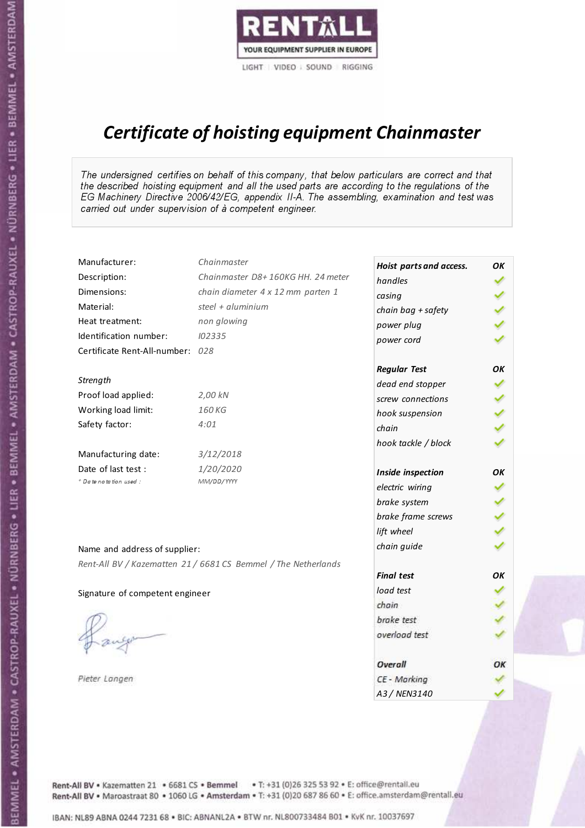

# Certificate of hoisting equipment Chainmaster

The undersigned certifies on behalf of this company, that below particulars are correct and that the described hoisting equipment and all the used parts are according to the regulations of the EG Machinery Directive 2006/42/EG, appendix II-A. The assembling, examination and test was carried out under supervision of à competent engineer.

| Manufacturer:                    | Chainmaster                                                    | Hoist parts and access. | OK  |
|----------------------------------|----------------------------------------------------------------|-------------------------|-----|
| Description:                     | Chainmaster D8+160KG HH. 24 meter                              | handles                 |     |
| Dimensions:                      | chain diameter 4 x 12 mm parten 1                              | casing                  |     |
| Material:                        | steel + aluminium                                              | chain bag + safety      |     |
| Heat treatment:                  | non glowing                                                    | power plug              |     |
| Identification number:           | 102335                                                         | power cord              |     |
| Certificate Rent-All-number: 028 |                                                                |                         |     |
|                                  |                                                                | <b>Regular Test</b>     | ΟK  |
| Strength                         |                                                                | dead end stopper        | ✔   |
| Proof load applied:              | 2,00 kN                                                        | screw connections       |     |
| Working load limit:              | 160KG                                                          | hook suspension         |     |
| Safety factor:                   | 4:01                                                           | chain                   | くくく |
|                                  |                                                                | hook tackle / block     |     |
| Manufacturing date:              | 3/12/2018                                                      |                         |     |
| Date of last test :              | 1/20/2020                                                      | Inside inspection       | ОΚ  |
| * Date notation used :           | MM/DD/YYYY                                                     | electric wiring         |     |
|                                  |                                                                | brake system            |     |
|                                  |                                                                | brake frame screws      |     |
|                                  |                                                                | lift wheel              |     |
| Name and address of supplier:    |                                                                | chain guide             |     |
|                                  | Rent-All BV / Kazematten 21 / 6681 CS Bemmel / The Netherlands |                         |     |
|                                  |                                                                | <b>Final test</b>       | OK  |
| Signature of competent engineer  |                                                                | load test               |     |
|                                  |                                                                | chain                   |     |
|                                  |                                                                | brake test              |     |
|                                  |                                                                | overload test           |     |
|                                  |                                                                | Overall                 | ОК  |
| Pieter Langen                    |                                                                | CE - Marking            |     |
|                                  |                                                                | A3 / NEN3140            |     |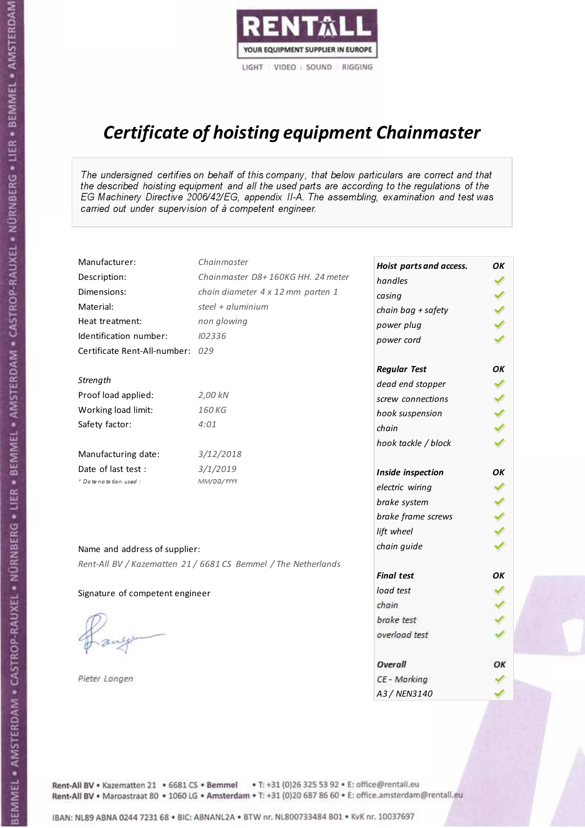

# Certificate of hoisting equipment Chainmaster

The undersigned certifies on behalf of this company, that below particulars are correct and that the described hoisting equipment and all the used parts are according to the regulations of the EG Machinery Directive 2006/42/EG, appendix II-A. The assembling, examination and test was carried out under supervision of à competent engineer.

| Manufacturer:                    | Chainmaster                                                    | Hoist parts and access. | OK  |
|----------------------------------|----------------------------------------------------------------|-------------------------|-----|
| Description:                     | Chainmaster D8+160KG HH. 24 meter                              | handles                 |     |
| Dimensions:                      | chain diameter 4 x 12 mm parten 1                              | casing                  |     |
| Material:                        | steel + $aluminim$                                             | chain bag + safety      |     |
| Heat treatment:                  | non glowing                                                    | power plug              |     |
| Identification number:           | 102336                                                         | power cord              |     |
| Certificate Rent-All-number: 029 |                                                                |                         |     |
|                                  |                                                                | <b>Regular Test</b>     | OK  |
| Strength                         |                                                                | dead end stopper        |     |
| Proof load applied:              | 2,00 kN                                                        | screw connections       |     |
| Working load limit:              | 160KG                                                          | hook suspension         |     |
| Safety factor:                   | 4:01                                                           | chain                   | くくく |
|                                  |                                                                | hook tackle / block     |     |
| Manufacturing date:              | 3/12/2018                                                      |                         |     |
| Date of last test :              | 3/1/2019                                                       | Inside inspection       | OK  |
| + Date notation used:            | MM/DD/YYYY                                                     | electric wiring         |     |
|                                  |                                                                | brake system            |     |
|                                  |                                                                | brake frame screws      |     |
|                                  |                                                                | lift wheel              |     |
|                                  |                                                                | chain guide             |     |
| Name and address of supplier:    |                                                                |                         |     |
|                                  | Rent-All BV / Kazematten 21 / 6681 CS Bemmel / The Netherlands | <b>Final test</b>       | OK  |
| Signature of competent engineer  |                                                                | load test               |     |
|                                  |                                                                | chain                   |     |
|                                  |                                                                | brake test              |     |
|                                  |                                                                | overload test           |     |
|                                  |                                                                |                         |     |
|                                  |                                                                | Overall                 | ОК  |
| Pieter Langen                    |                                                                | CE - Marking            |     |
|                                  |                                                                | A3 / NEN3140            |     |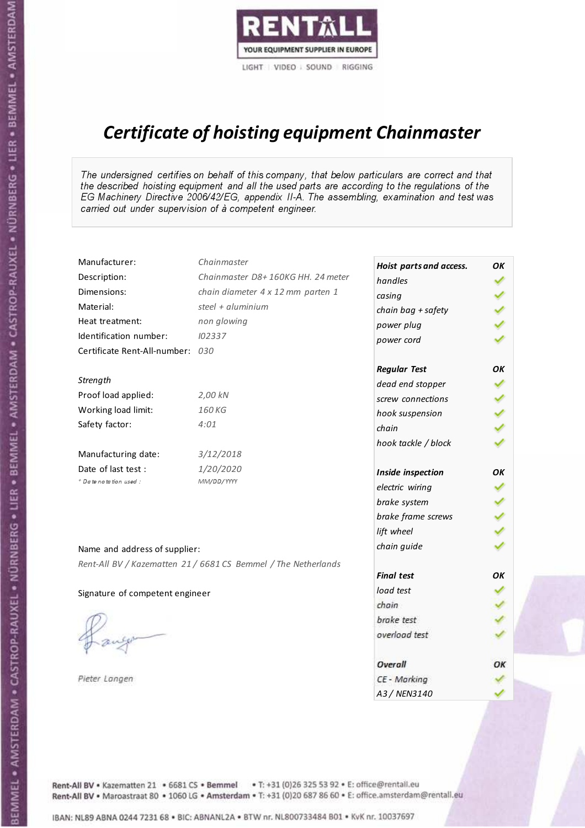

# Certificate of hoisting equipment Chainmaster

The undersigned certifies on behalf of this company, that below particulars are correct and that the described hoisting equipment and all the used parts are according to the regulations of the EG Machinery Directive 2006/42/EG, appendix II-A. The assembling, examination and test was carried out under supervision of à competent engineer.

| Manufacturer:                    | Chainmaster                                                    | Hoist parts and access. | OK  |
|----------------------------------|----------------------------------------------------------------|-------------------------|-----|
| Description:                     | Chainmaster D8+160KG HH. 24 meter                              | handles                 |     |
| Dimensions:                      | chain diameter 4 x 12 mm parten 1                              | casing                  |     |
| Material:                        | steel + aluminium                                              | chain bag + safety      |     |
| Heat treatment:                  | non glowing                                                    | power plug              |     |
| Identification number:           | 102337                                                         | power cord              |     |
| Certificate Rent-All-number: 030 |                                                                |                         |     |
|                                  |                                                                | <b>Regular Test</b>     | ΟK  |
| Strength                         |                                                                | dead end stopper        | ✔   |
| Proof load applied:              | 2,00 kN                                                        | screw connections       |     |
| Working load limit:              | 160KG                                                          | hook suspension         |     |
| Safety factor:                   | 4:01                                                           | chain                   | くくく |
|                                  |                                                                | hook tackle / block     |     |
| Manufacturing date:              | 3/12/2018                                                      |                         |     |
| Date of last test :              | 1/20/2020                                                      | Inside inspection       | ОΚ  |
| * Date notation used :           | MM/DD/YYYY                                                     | electric wiring         |     |
|                                  |                                                                | brake system            |     |
|                                  |                                                                | brake frame screws      |     |
|                                  |                                                                | lift wheel              |     |
| Name and address of supplier:    |                                                                | chain guide             |     |
|                                  | Rent-All BV / Kazematten 21 / 6681 CS Bemmel / The Netherlands |                         |     |
|                                  |                                                                | <b>Final test</b>       | OK  |
| Signature of competent engineer  |                                                                | load test               |     |
|                                  |                                                                | chain                   |     |
|                                  |                                                                | brake test              |     |
|                                  |                                                                | overload test           |     |
|                                  |                                                                | Overall                 | ОК  |
| Pieter Langen                    |                                                                | CE - Marking            |     |
|                                  |                                                                | A3 / NEN3140            |     |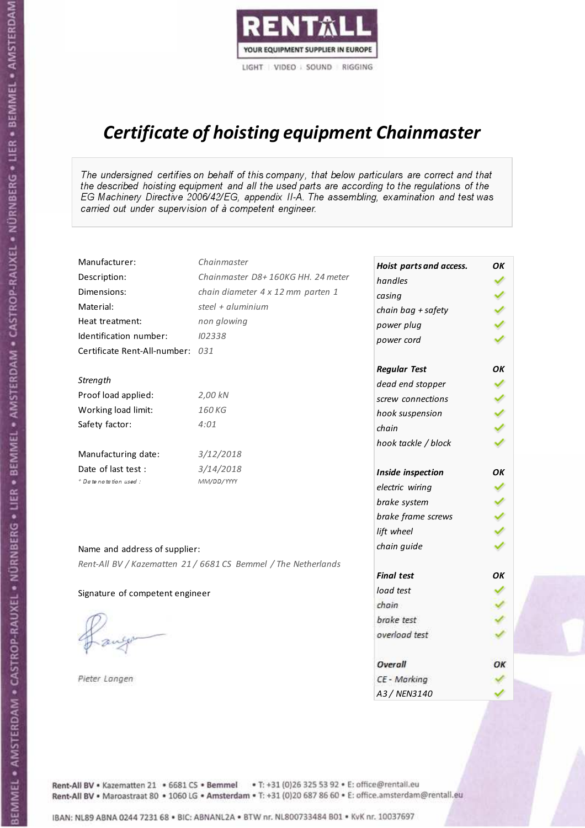

# Certificate of hoisting equipment Chainmaster

The undersigned certifies on behalf of this company, that below particulars are correct and that the described hoisting equipment and all the used parts are according to the regulations of the EG Machinery Directive 2006/42/EG, appendix II-A. The assembling, examination and test was carried out under supervision of à competent engineer.

| Manufacturer:                    | Chainmaster                                                    | Hoist parts and access. | OK  |
|----------------------------------|----------------------------------------------------------------|-------------------------|-----|
| Description:                     | Chainmaster D8+160KG HH. 24 meter                              | handles                 |     |
| Dimensions:                      | chain diameter 4 x 12 mm parten 1                              | casing                  |     |
| Material:                        | steel + $aluminim$                                             | chain bag + safety      |     |
| Heat treatment:                  | non glowing                                                    | power plug              |     |
| Identification number:           | 102338                                                         | power cord              |     |
| Certificate Rent-All-number: 031 |                                                                |                         |     |
|                                  |                                                                | <b>Regular Test</b>     | OΚ  |
| Strength                         |                                                                | dead end stopper        |     |
| Proof load applied:              | 2,00 kN                                                        | screw connections       |     |
| Working load limit:              | 160 KG                                                         | hook suspension         |     |
| Safety factor:                   | 4:01                                                           | chain                   | くくく |
|                                  |                                                                | hook tackle / block     |     |
| Manufacturing date:              | 3/12/2018                                                      |                         |     |
| Date of last test :              | 3/14/2018                                                      | Inside inspection       | ОΚ  |
| + Date notation used :           | MM/DD/YYYY                                                     | electric wiring         |     |
|                                  |                                                                | brake system            |     |
|                                  |                                                                | brake frame screws      |     |
|                                  |                                                                | lift wheel              |     |
| Name and address of supplier:    |                                                                | chain guide             |     |
|                                  | Rent-All BV / Kazematten 21 / 6681 CS Bemmel / The Netherlands |                         |     |
|                                  |                                                                | <b>Final test</b>       | OK  |
| Signature of competent engineer  |                                                                | load test               |     |
|                                  |                                                                | chain                   |     |
|                                  |                                                                | brake test              |     |
|                                  |                                                                | overload test           |     |
|                                  |                                                                | Overall                 | OK  |
| Pieter Langen                    |                                                                | CE - Marking            |     |
|                                  |                                                                | A3 / NEN3140            |     |

BEMMEL • AMSTERDAM • CASTROP-RAUXEL • NÜRNBERG • LIER • BEMMEL • AMSTERDAM • CASTROP-RAUXEL • NÜRNBERG • LIER • BEMMEL • AMSTERDAM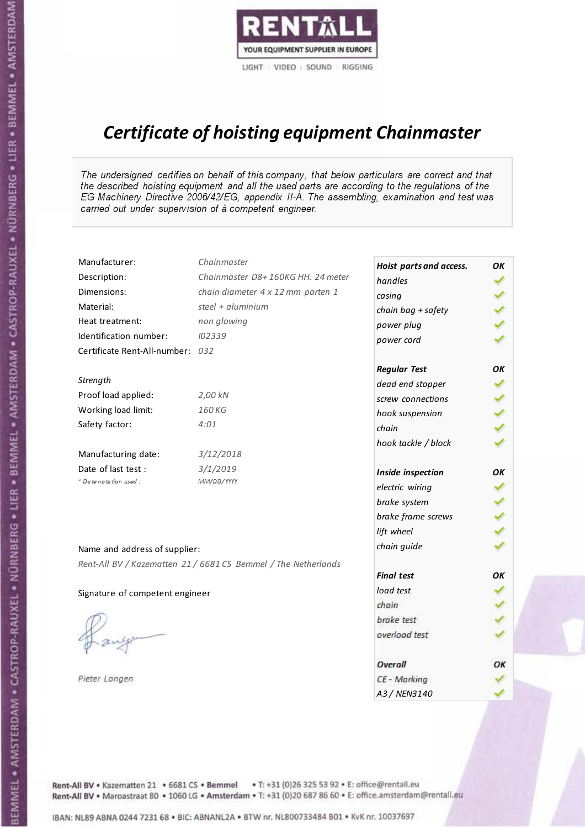

# Certificate of hoisting equipment Chainmaster

The undersigned certifies on behalf of this company, that below particulars are correct and that the described hoisting equipment and all the used parts are according to the regulations of the EG Machinery Directive 2006/42/EG, appendix II-A. The assembling, examination and test was carried out under supervision of à competent engineer.

| Manufacturer:                    | Chainmaster                                                    | Hoist parts and access. | OK  |
|----------------------------------|----------------------------------------------------------------|-------------------------|-----|
| Description:                     | Chainmaster D8+160KG HH. 24 meter                              | handles                 |     |
| Dimensions:                      | chain diameter 4 x 12 mm parten 1                              | casing                  |     |
| Material:                        | steel + aluminium                                              | chain bag + safety      |     |
| Heat treatment:                  | non glowing                                                    | power plug              |     |
| Identification number:           | 102339                                                         | power cord              |     |
| Certificate Rent-All-number: 032 |                                                                |                         |     |
|                                  |                                                                | <b>Regular Test</b>     | OK  |
| Strength                         |                                                                | dead end stopper        | ✔   |
| Proof load applied:              | 2,00 kN                                                        | screw connections       |     |
| Working load limit:              | 160 KG                                                         | hook suspension         |     |
| Safety factor:                   | 4:01                                                           | chain                   | くくく |
|                                  |                                                                | hook tackle / block     |     |
| Manufacturing date:              | 3/12/2018                                                      |                         |     |
| Date of last test :              | 3/1/2019                                                       | Inside inspection       | ОΚ  |
| + Date notation used:            | MM/DD/YYYY                                                     | electric wiring         |     |
|                                  |                                                                | brake system            | ✔   |
|                                  |                                                                | brake frame screws      |     |
|                                  |                                                                | lift wheel              |     |
| Name and address of supplier:    |                                                                | chain guide             |     |
|                                  | Rent-All BV / Kazematten 21 / 6681 CS Bemmel / The Netherlands |                         |     |
|                                  |                                                                | <b>Final test</b>       | OK  |
| Signature of competent engineer  |                                                                | load test               |     |
|                                  |                                                                | chain                   |     |
|                                  |                                                                | brake test              |     |
|                                  |                                                                | overload test           |     |
|                                  |                                                                | Overall                 | OK  |
| Pieter Langen                    |                                                                | CE - Marking            |     |
|                                  |                                                                | A3 / NEN3140            |     |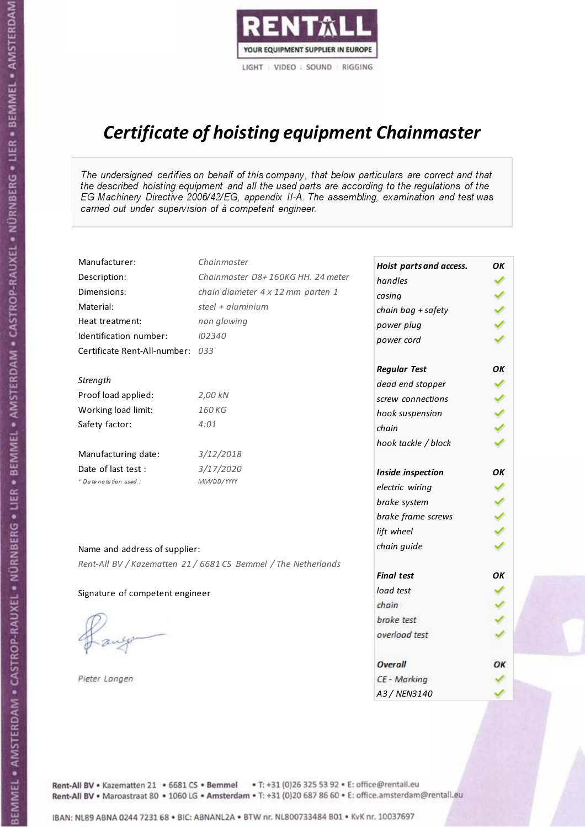

# Certificate of hoisting equipment Chainmaster

The undersigned certifies on behalf of this company, that below particulars are correct and that the described hoisting equipment and all the used parts are according to the regulations of the EG Machinery Directive 2006/42/EG, appendix II-A. The assembling, examination and test was carried out under supervision of à competent engineer.

| Manufacturer:                    | Chainmaster                                                    | Hoist parts and access. | OK  |
|----------------------------------|----------------------------------------------------------------|-------------------------|-----|
| Description:                     | Chainmaster D8+160KG HH. 24 meter                              | handles                 |     |
| Dimensions:                      | chain diameter 4 x 12 mm parten 1                              | casing                  |     |
| Material:                        | steel + aluminium                                              | chain bag + safety      |     |
| Heat treatment:                  | non glowing                                                    | power plug              |     |
| Identification number:           | 102340                                                         | power cord              |     |
| Certificate Rent-All-number: 033 |                                                                |                         |     |
|                                  |                                                                | <b>Regular Test</b>     | OK  |
| Strength                         |                                                                | dead end stopper        |     |
| Proof load applied:              | 2,00 kN                                                        | screw connections       |     |
| Working load limit:              | 160 KG                                                         | hook suspension         |     |
| Safety factor:                   | 4:01                                                           | chain                   | くくく |
|                                  |                                                                | hook tackle / block     |     |
| Manufacturing date:              | 3/12/2018                                                      |                         |     |
| Date of last test :              | 3/17/2020                                                      | Inside inspection       | ΟK  |
| * Date notation used :           | MM/DD/YYYY                                                     | electric wiring         |     |
|                                  |                                                                | brake system            |     |
|                                  |                                                                | brake frame screws      |     |
|                                  |                                                                | lift wheel              |     |
| Name and address of supplier:    |                                                                | chain guide             |     |
|                                  | Rent-All BV / Kazematten 21 / 6681 CS Bemmel / The Netherlands |                         |     |
|                                  |                                                                | <b>Final test</b>       | ΟK  |
| Signature of competent engineer  |                                                                | load test               |     |
|                                  |                                                                | chain                   |     |
|                                  |                                                                | brake test              |     |
|                                  |                                                                | overload test           |     |
|                                  |                                                                | Overall                 | OK  |
| Pieter Langen                    |                                                                | CE - Marking            |     |
|                                  |                                                                | A3 / NEN3140            |     |

Rent-All BV . Kazematten 21 . 6681 CS . Bemmel . T: +31 (0)26 325 53 92 . E: office@rentall.eu Rent-All BV · Maroastraat 80 · 1060 LG · Amsterdam · T: +31 (0)20 687 86 60 · E: office.amsterdam@rentall.eu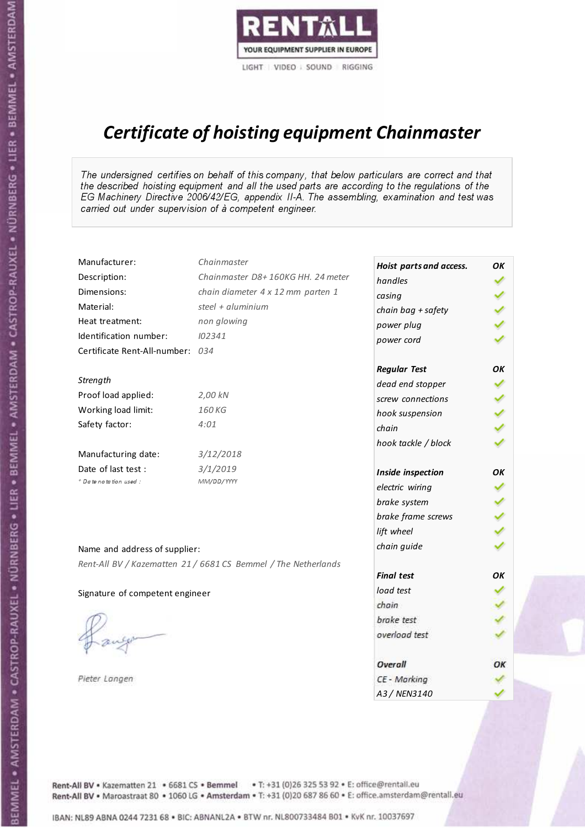

# Certificate of hoisting equipment Chainmaster

The undersigned certifies on behalf of this company, that below particulars are correct and that the described hoisting equipment and all the used parts are according to the regulations of the EG Machinery Directive 2006/42/EG, appendix II-A. The assembling, examination and test was carried out under supervision of à competent engineer.

| Manufacturer:                    | Chainmaster                                                    | Hoist parts and access. | OK  |
|----------------------------------|----------------------------------------------------------------|-------------------------|-----|
| Description:                     | Chainmaster D8+160KG HH. 24 meter                              | handles                 |     |
| Dimensions:                      | chain diameter 4 x 12 mm parten 1                              | casing                  |     |
| Material:                        | steel + aluminium                                              | chain bag + safety      |     |
| Heat treatment:                  | non glowing                                                    | power plug              |     |
| Identification number:           | 102341                                                         | power cord              |     |
| Certificate Rent-All-number: 034 |                                                                |                         |     |
|                                  |                                                                | <b>Regular Test</b>     | OK  |
| Strength                         |                                                                | dead end stopper        |     |
| Proof load applied:              | 2,00 kN                                                        | screw connections       |     |
| Working load limit:              | 160 KG                                                         | hook suspension         |     |
| Safety factor:                   | 4:01                                                           | chain                   | くくく |
|                                  |                                                                | hook tackle / block     |     |
| Manufacturing date:              | 3/12/2018                                                      |                         |     |
| Date of last test :              | 3/1/2019                                                       | Inside inspection       | ΟK  |
| * Date notation used :           | MM/DD/YYYY                                                     | electric wiring         |     |
|                                  |                                                                | brake system            |     |
|                                  |                                                                | brake frame screws      |     |
|                                  |                                                                | lift wheel              |     |
| Name and address of supplier:    |                                                                | chain guide             |     |
|                                  | Rent-All BV / Kazematten 21 / 6681 CS Bemmel / The Netherlands |                         |     |
|                                  |                                                                | <b>Final test</b>       | ΟK  |
| Signature of competent engineer  |                                                                | load test               |     |
|                                  |                                                                | chain                   |     |
|                                  |                                                                | brake test              |     |
|                                  |                                                                | overload test           |     |
|                                  |                                                                | Overall                 | OK  |
| Pieter Langen                    |                                                                | CE - Marking            |     |
|                                  |                                                                | A3 / NEN3140            |     |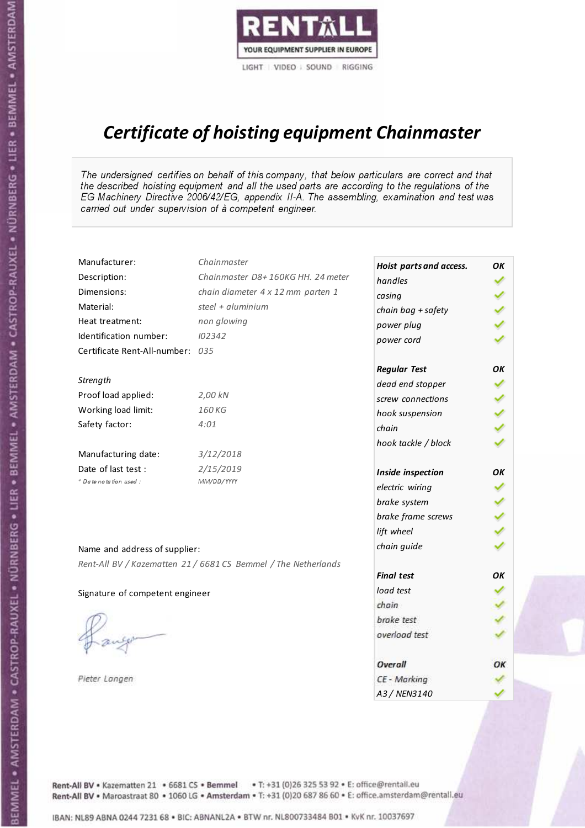

# Certificate of hoisting equipment Chainmaster

The undersigned certifies on behalf of this company, that below particulars are correct and that the described hoisting equipment and all the used parts are according to the regulations of the EG Machinery Directive 2006/42/EG, appendix II-A. The assembling, examination and test was carried out under supervision of à competent engineer.

| Manufacturer:                    | Chainmaster                                                    | Hoist parts and access. | OК  |
|----------------------------------|----------------------------------------------------------------|-------------------------|-----|
| Description:                     | Chainmaster D8+160KG HH. 24 meter                              | handles                 |     |
| Dimensions:                      | chain diameter 4 x 12 mm parten 1                              | casing                  |     |
| Material:                        | steel + $aluminim$                                             | chain bag + safety      |     |
| Heat treatment:                  | non glowing                                                    | power plug              |     |
| Identification number:           | 102342                                                         | power cord              |     |
| Certificate Rent-All-number: 035 |                                                                |                         |     |
|                                  |                                                                | <b>Regular Test</b>     | ΟK  |
| Strength                         |                                                                | dead end stopper        | ✔   |
| Proof load applied:              | 2,00 kN                                                        | screw connections       |     |
| Working load limit:              | 160 KG                                                         | hook suspension         |     |
| Safety factor:                   | 4:01                                                           | chain                   | くくく |
|                                  |                                                                | hook tackle / block     |     |
| Manufacturing date:              | 3/12/2018                                                      |                         |     |
| Date of last test :              | 2/15/2019                                                      | Inside inspection       | ΟK  |
| + Date notation used:            | MM/DD/YYYY                                                     | electric wiring         |     |
|                                  |                                                                | brake system            |     |
|                                  |                                                                | brake frame screws      |     |
|                                  |                                                                | lift wheel              |     |
| Name and address of supplier:    |                                                                | chain guide             |     |
|                                  | Rent-All BV / Kazematten 21 / 6681 CS Bemmel / The Netherlands |                         |     |
|                                  |                                                                | <b>Final test</b>       | OK  |
| Signature of competent engineer  |                                                                | load test               |     |
|                                  |                                                                | chain                   |     |
|                                  |                                                                | brake test              |     |
|                                  |                                                                | overload test           |     |
|                                  |                                                                | Overall                 | OK  |
| Pieter Langen                    |                                                                | CE - Marking            |     |
|                                  |                                                                | A3 / NEN3140            |     |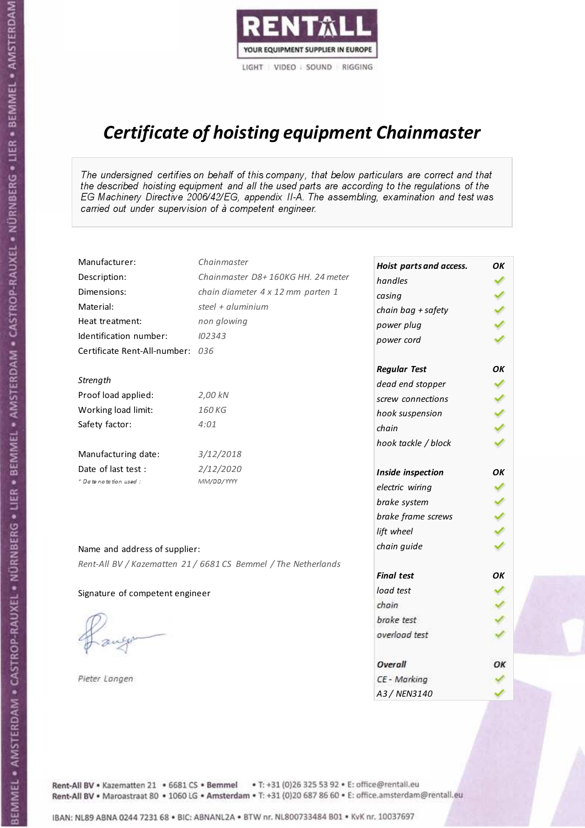

# Certificate of hoisting equipment Chainmaster

The undersigned certifies on behalf of this company, that below particulars are correct and that the described hoisting equipment and all the used parts are according to the regulations of the EG Machinery Directive 2006/42/EG, appendix II-A. The assembling, examination and test was carried out under supervision of à competent engineer.

| Manufacturer:                    | Chainmaster                                                    | Hoist parts and access. | OК  |
|----------------------------------|----------------------------------------------------------------|-------------------------|-----|
| Description:                     | Chainmaster D8+160KG HH. 24 meter                              | handles                 |     |
| Dimensions:                      | chain diameter 4 x 12 mm parten 1                              | casing                  |     |
| Material:                        | steel + aluminium                                              | chain bag + safety      | くりょ |
| Heat treatment:                  | non glowing                                                    | power plug              |     |
| Identification number:           | 102343                                                         | power cord              |     |
| Certificate Rent-All-number: 036 |                                                                |                         |     |
|                                  |                                                                | <b>Regular Test</b>     | OK  |
| Strength                         |                                                                | dead end stopper        | ✔   |
| Proof load applied:              | 2,00 kN                                                        | screw connections       |     |
| Working load limit:              | 160 KG                                                         | hook suspension         |     |
| Safety factor:                   | 4:01                                                           | chain                   | くくく |
|                                  |                                                                | hook tackle / block     |     |
| Manufacturing date:              | 3/12/2018                                                      |                         |     |
| Date of last test :              | 2/12/2020                                                      | Inside inspection       | OK  |
| * Date notation used :           | MM/DD/YYYY                                                     | electric wiring         |     |
|                                  |                                                                | brake system            |     |
|                                  |                                                                | brake frame screws      |     |
|                                  |                                                                | lift wheel              | くくく |
| Name and address of supplier:    |                                                                | chain guide             |     |
|                                  | Rent-All BV / Kazematten 21 / 6681 CS Bemmel / The Netherlands |                         |     |
|                                  |                                                                | <b>Final test</b>       | OK  |
| Signature of competent engineer  |                                                                | load test               |     |
|                                  |                                                                | chain                   |     |
|                                  |                                                                | brake test              |     |
|                                  |                                                                | overload test           |     |
|                                  |                                                                | Overall                 | ОК  |
| Pieter Langen                    |                                                                | CE - Marking            |     |
|                                  |                                                                | A3 / NEN3140            |     |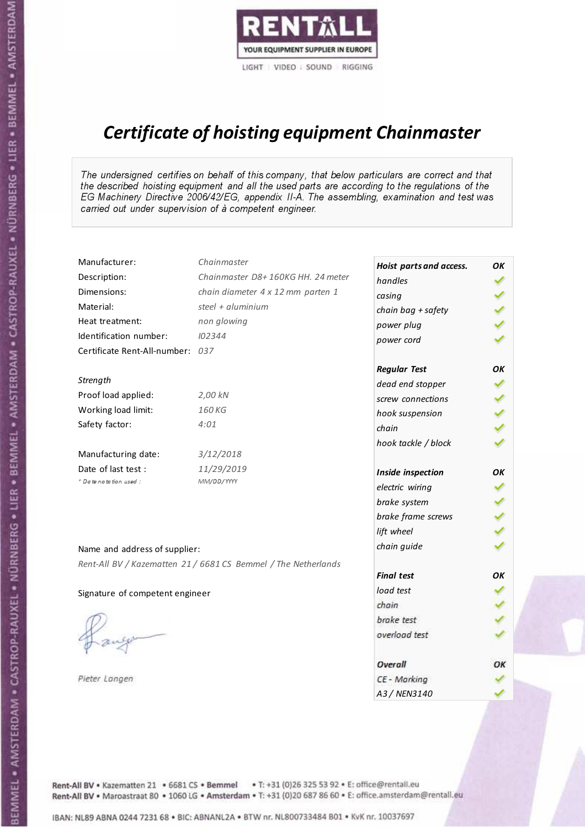

# Certificate of hoisting equipment Chainmaster

The undersigned certifies on behalf of this company, that below particulars are correct and that the described hoisting equipment and all the used parts are according to the regulations of the EG Machinery Directive 2006/42/EG, appendix II-A. The assembling, examination and test was carried out under supervision of à competent engineer.

| Manufacturer:                    | Chainmaster                                                    | Hoist parts and access. | OK  |
|----------------------------------|----------------------------------------------------------------|-------------------------|-----|
| Description:                     | Chainmaster D8+160KG HH. 24 meter                              | handles                 |     |
| Dimensions:                      | chain diameter 4 x 12 mm parten 1                              | casing                  |     |
| Material:                        | steel + aluminium                                              | chain bag + safety      |     |
| Heat treatment:                  | non glowing                                                    | power plug              |     |
| Identification number:           | 102344                                                         | power cord              |     |
| Certificate Rent-All-number: 037 |                                                                |                         |     |
|                                  |                                                                | <b>Regular Test</b>     | OK  |
| Strength                         |                                                                | dead end stopper        | ✔   |
| Proof load applied:              | 2,00 kN                                                        | screw connections       |     |
| Working load limit:              | 160 KG                                                         | hook suspension         |     |
| Safety factor:                   | 4:01                                                           | chain                   | くくく |
|                                  |                                                                | hook tackle / block     |     |
| Manufacturing date:              | 3/12/2018                                                      |                         |     |
| Date of last test :              | 11/29/2019                                                     | Inside inspection       | ОΚ  |
| + Date notation used :           | MM/DD/YYYY                                                     | electric wiring         |     |
|                                  |                                                                | brake system            |     |
|                                  |                                                                | brake frame screws      | くくく |
|                                  |                                                                | lift wheel              |     |
| Name and address of supplier:    |                                                                | chain guide             |     |
|                                  | Rent-All BV / Kazematten 21 / 6681 CS Bemmel / The Netherlands |                         |     |
|                                  |                                                                | <b>Final test</b>       | OK  |
| Signature of competent engineer  |                                                                | load test               |     |
|                                  |                                                                | chain                   |     |
|                                  |                                                                | brake test              |     |
|                                  |                                                                | overload test           |     |
|                                  |                                                                | Overall                 | OK  |
| Pieter Langen                    |                                                                | CE - Marking            |     |
|                                  |                                                                | A3 / NEN3140            |     |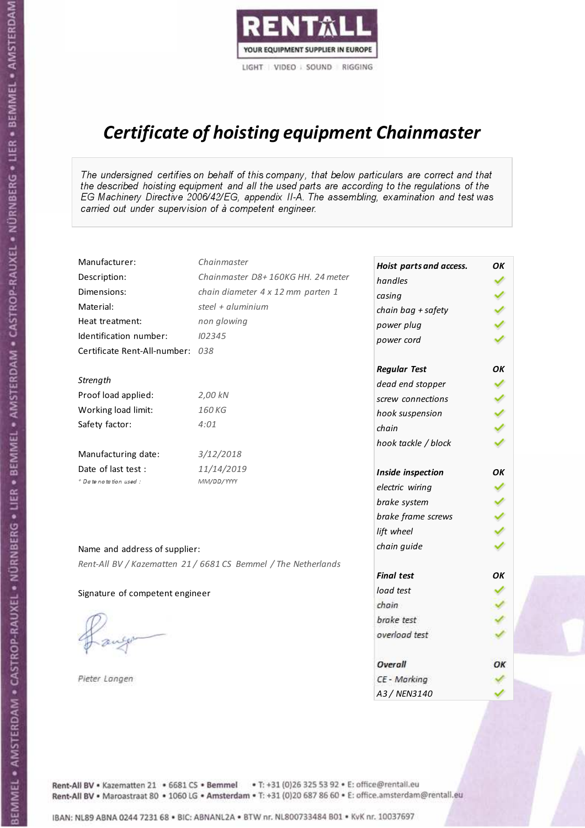

# Certificate of hoisting equipment Chainmaster

The undersigned certifies on behalf of this company, that below particulars are correct and that the described hoisting equipment and all the used parts are according to the regulations of the EG Machinery Directive 2006/42/EG, appendix II-A. The assembling, examination and test was carried out under supervision of à competent engineer.

| Manufacturer:                    | Chainmaster                                                    | Hoist parts and access. | OK  |
|----------------------------------|----------------------------------------------------------------|-------------------------|-----|
| Description:                     | Chainmaster D8+160KG HH. 24 meter                              | handles                 |     |
| Dimensions:                      | chain diameter 4 x 12 mm parten 1                              | casing                  |     |
| Material:                        | steel $+$ aluminium                                            | chain bag + safety      |     |
| Heat treatment:                  | non glowing                                                    | power plug              |     |
| Identification number:           | 102345                                                         | power cord              |     |
| Certificate Rent-All-number: 038 |                                                                |                         |     |
|                                  |                                                                | <b>Regular Test</b>     | OK  |
| Strength                         |                                                                | dead end stopper        | ✔   |
| Proof load applied:              | 2,00 kN                                                        | screw connections       |     |
| Working load limit:              | 160KG                                                          | hook suspension         |     |
| Safety factor:                   | 4:01                                                           | chain                   | くくく |
|                                  |                                                                | hook tackle / block     |     |
| Manufacturing date:              | 3/12/2018                                                      |                         |     |
| Date of last test :              | 11/14/2019                                                     | Inside inspection       | ΟK  |
| * Date notation used :           | MM/DD/YYYY                                                     | electric wiring         |     |
|                                  |                                                                | brake system            |     |
|                                  |                                                                | brake frame screws      |     |
|                                  |                                                                | lift wheel              |     |
| Name and address of supplier:    |                                                                | chain guide             |     |
|                                  | Rent-All BV / Kazematten 21 / 6681 CS Bemmel / The Netherlands |                         |     |
|                                  |                                                                | <b>Final test</b>       | OK  |
| Signature of competent engineer  |                                                                | load test               |     |
|                                  |                                                                | chain                   |     |
|                                  |                                                                | brake test              |     |
|                                  |                                                                | overload test           |     |
|                                  |                                                                | Overall                 | ОК  |
| Pieter Langen                    |                                                                | CE - Marking            |     |
|                                  |                                                                | A3 / NEN3140            |     |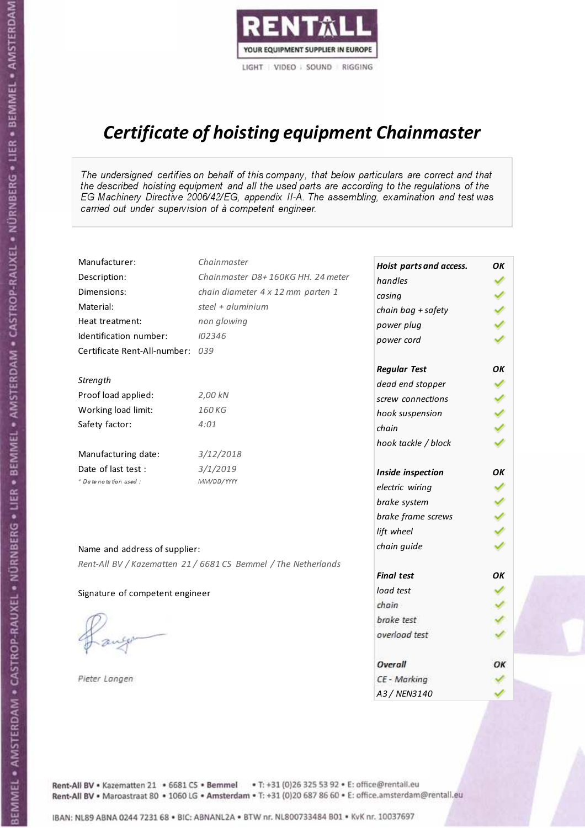

# Certificate of hoisting equipment Chainmaster

The undersigned certifies on behalf of this company, that below particulars are correct and that the described hoisting equipment and all the used parts are according to the regulations of the EG Machinery Directive 2006/42/EG, appendix II-A. The assembling, examination and test was carried out under supervision of à competent engineer.

| Manufacturer:                    | Chainmaster                                                    | Hoist parts and access. | OK  |
|----------------------------------|----------------------------------------------------------------|-------------------------|-----|
| Description:                     | Chainmaster D8+160KG HH. 24 meter                              | handles                 |     |
| Dimensions:                      | chain diameter 4 x 12 mm parten 1                              | casing                  |     |
| Material:                        | steel + aluminium                                              | chain bag + safety      |     |
| Heat treatment:                  | non glowing                                                    | power plug              |     |
| Identification number:           | 102346                                                         | power cord              |     |
| Certificate Rent-All-number: 039 |                                                                |                         |     |
|                                  |                                                                | <b>Regular Test</b>     | OK  |
| Strength                         |                                                                | dead end stopper        | ✔   |
| Proof load applied:              | 2,00 kN                                                        | screw connections       |     |
| Working load limit:              | 160 KG                                                         | hook suspension         |     |
| Safety factor:                   | 4:01                                                           | chain                   | くくく |
|                                  |                                                                | hook tackle / block     |     |
| Manufacturing date:              | 3/12/2018                                                      |                         |     |
| Date of last test :              | 3/1/2019                                                       | Inside inspection       | ОΚ  |
| + Date notation used:            | MM/DD/YYYY                                                     | electric wiring         |     |
|                                  |                                                                | brake system            | ✔   |
|                                  |                                                                | brake frame screws      |     |
|                                  |                                                                | lift wheel              |     |
| Name and address of supplier:    |                                                                | chain guide             |     |
|                                  | Rent-All BV / Kazematten 21 / 6681 CS Bemmel / The Netherlands |                         |     |
|                                  |                                                                | <b>Final test</b>       | OK  |
| Signature of competent engineer  |                                                                | load test               |     |
|                                  |                                                                | chain                   |     |
|                                  |                                                                | brake test              |     |
|                                  |                                                                | overload test           |     |
|                                  |                                                                | Overall                 | OK  |
| Pieter Langen                    |                                                                | CE - Marking            |     |
|                                  |                                                                | A3 / NEN3140            |     |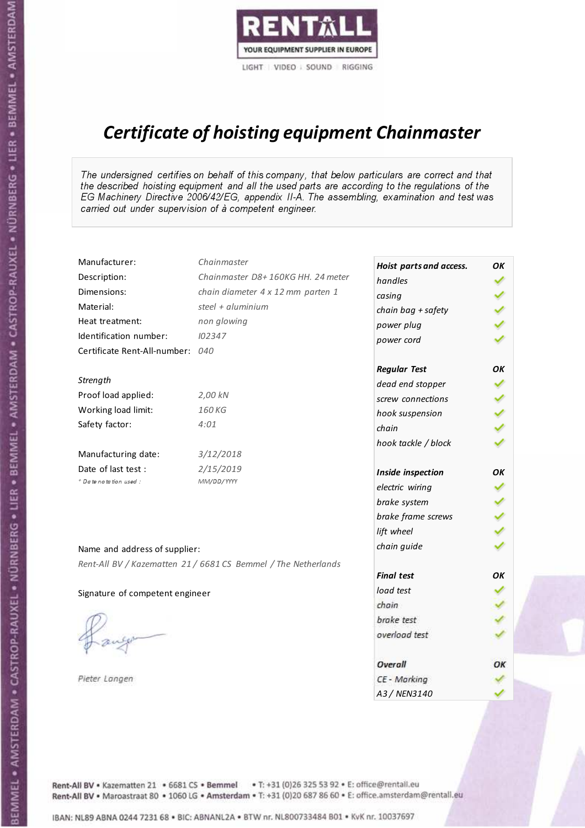

# Certificate of hoisting equipment Chainmaster

The undersigned certifies on behalf of this company, that below particulars are correct and that the described hoisting equipment and all the used parts are according to the regulations of the EG Machinery Directive 2006/42/EG, appendix II-A. The assembling, examination and test was carried out under supervision of à competent engineer.

| Manufacturer:                    | Chainmaster                                                    | Hoist parts and access. | OК  |
|----------------------------------|----------------------------------------------------------------|-------------------------|-----|
| Description:                     | Chainmaster D8+160KG HH. 24 meter                              | handles                 |     |
| Dimensions:                      | chain diameter 4 x 12 mm parten 1                              | casing                  |     |
| Material:                        | steel + aluminium                                              | chain bag + safety      | くりょ |
| Heat treatment:                  | non glowing                                                    | power plug              |     |
| Identification number:           | 102347                                                         | power cord              |     |
| Certificate Rent-All-number: 040 |                                                                |                         |     |
|                                  |                                                                | <b>Regular Test</b>     | OK  |
| Strength                         |                                                                | dead end stopper        | ✔   |
| Proof load applied:              | 2,00 kN                                                        | screw connections       |     |
| Working load limit:              | 160 KG                                                         | hook suspension         |     |
| Safety factor:                   | 4:01                                                           | chain                   | くくく |
|                                  |                                                                | hook tackle / block     |     |
| Manufacturing date:              | 3/12/2018                                                      |                         |     |
| Date of last test :              | 2/15/2019                                                      | Inside inspection       | OK  |
| * Date notation used :           | MM/DD/YYYY                                                     | electric wiring         |     |
|                                  |                                                                | brake system            |     |
|                                  |                                                                | brake frame screws      | くくく |
|                                  |                                                                | lift wheel              |     |
| Name and address of supplier:    |                                                                | chain guide             |     |
|                                  | Rent-All BV / Kazematten 21 / 6681 CS Bemmel / The Netherlands |                         |     |
|                                  |                                                                | <b>Final test</b>       | OK  |
| Signature of competent engineer  |                                                                | load test               |     |
|                                  |                                                                | chain                   |     |
|                                  |                                                                | brake test              |     |
|                                  |                                                                | overload test           |     |
|                                  |                                                                | Overall                 | ОК  |
| Pieter Langen                    |                                                                | CE - Marking            |     |
|                                  |                                                                | A3 / NEN3140            |     |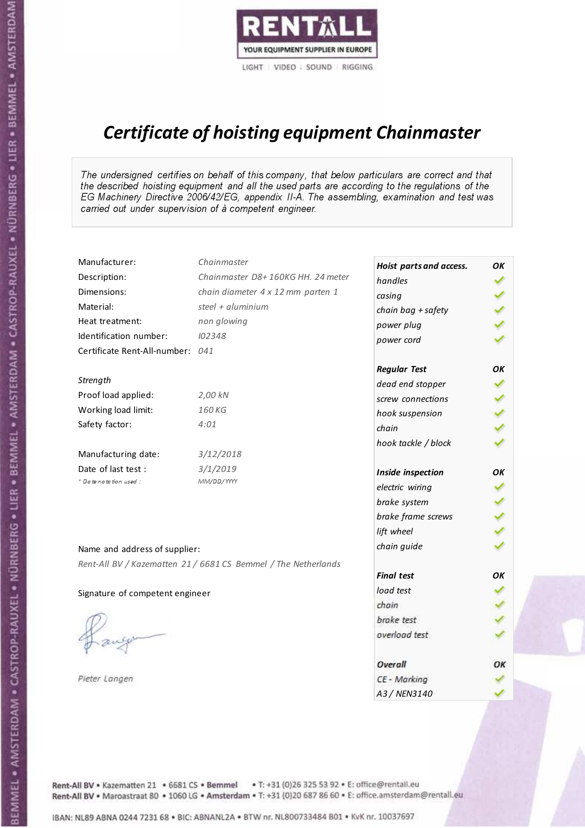

# Certificate of hoisting equipment Chainmaster

The undersigned certifies on behalf of this company, that below particulars are correct and that the described hoisting equipment and all the used parts are according to the regulations of the EG Machinery Directive 2006/42/EG, appendix II-A. The assembling, examination and test was carried out under supervision of à competent engineer.

| Manufacturer:                    | Chainmaster                                                    | Hoist parts and access. | OК  |
|----------------------------------|----------------------------------------------------------------|-------------------------|-----|
| Description:                     | Chainmaster D8+160KG HH. 24 meter                              | handles                 |     |
| Dimensions:                      | chain diameter 4 x 12 mm parten 1                              | casing                  |     |
| Material:                        | steel + $aluminium$                                            | chain bag + safety      |     |
| Heat treatment:                  | non glowing                                                    | power plug              |     |
| Identification number:           | 102348                                                         | power cord              |     |
| Certificate Rent-All-number: 041 |                                                                |                         |     |
|                                  |                                                                | <b>Regular Test</b>     | OK  |
| Strength                         |                                                                | dead end stopper        |     |
| Proof load applied:              | 2,00 kN                                                        | screw connections       |     |
| Working load limit:              | 160 KG                                                         | hook suspension         |     |
| Safety factor:                   | 4:01                                                           | chain                   | くくく |
|                                  |                                                                | hook tackle / block     |     |
| Manufacturing date:              | 3/12/2018                                                      |                         |     |
| Date of last test :              | 3/1/2019                                                       | Inside inspection       | OK  |
| + Date notation used:            | MM/DD/YYYY                                                     | electric wiring         |     |
|                                  |                                                                | brake system            |     |
|                                  |                                                                | brake frame screws      |     |
|                                  |                                                                | lift wheel              |     |
|                                  |                                                                | chain guide             |     |
| Name and address of supplier:    |                                                                |                         |     |
|                                  | Rent-All BV / Kazematten 21 / 6681 CS Bemmel / The Netherlands | <b>Final test</b>       | OK  |
| Signature of competent engineer  |                                                                | load test               |     |
|                                  |                                                                | chain                   |     |
|                                  |                                                                | brake test              |     |
|                                  |                                                                | overload test           |     |
|                                  |                                                                |                         |     |
|                                  |                                                                | Overall                 | ОК  |
| Pieter Langen                    |                                                                | CE - Marking            |     |
|                                  |                                                                | A3 / NEN3140            |     |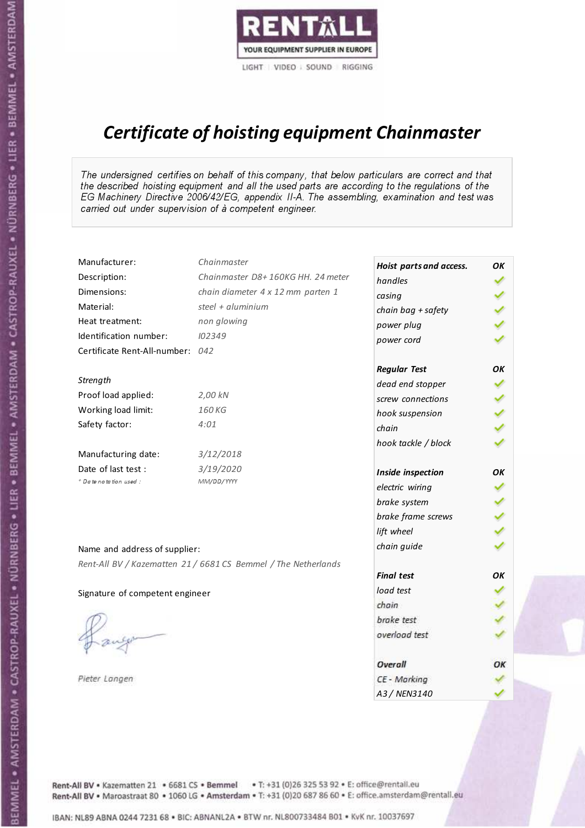

# Certificate of hoisting equipment Chainmaster

The undersigned certifies on behalf of this company, that below particulars are correct and that the described hoisting equipment and all the used parts are according to the regulations of the EG Machinery Directive 2006/42/EG, appendix II-A. The assembling, examination and test was carried out under supervision of à competent engineer.

| Manufacturer:                    | Chainmaster                                                    | Hoist parts and access. | OK  |
|----------------------------------|----------------------------------------------------------------|-------------------------|-----|
| Description:                     | Chainmaster D8+160KG HH. 24 meter                              | handles                 |     |
| Dimensions:                      | chain diameter 4 x 12 mm parten 1                              | casing                  |     |
| Material:                        | steel + aluminium                                              | chain bag + safety      |     |
| Heat treatment:                  | non glowing                                                    | power plug              |     |
| Identification number:           | 102349                                                         | power cord              |     |
| Certificate Rent-All-number: 042 |                                                                |                         |     |
|                                  |                                                                | <b>Regular Test</b>     | OK  |
| Strength                         |                                                                | dead end stopper        |     |
| Proof load applied:              | 2,00 kN                                                        | screw connections       |     |
| Working load limit:              | 160 KG                                                         | hook suspension         |     |
| Safety factor:                   | 4:01                                                           | chain                   | くくく |
|                                  |                                                                | hook tackle / block     |     |
| Manufacturing date:              | 3/12/2018                                                      |                         |     |
| Date of last test :              | 3/19/2020                                                      | Inside inspection       | OΚ  |
| * Date notation used :           | MM/DD/YYYY                                                     | electric wiring         |     |
|                                  |                                                                | brake system            |     |
|                                  |                                                                | brake frame screws      |     |
|                                  |                                                                | lift wheel              |     |
| Name and address of supplier:    |                                                                | chain guide             |     |
|                                  | Rent-All BV / Kazematten 21 / 6681 CS Bemmel / The Netherlands |                         |     |
|                                  |                                                                | <b>Final test</b>       | OΚ  |
| Signature of competent engineer  |                                                                | load test               |     |
|                                  |                                                                | chain                   |     |
|                                  |                                                                | brake test              |     |
|                                  |                                                                | overload test           |     |
|                                  |                                                                | Overall                 | ОК  |
| Pieter Langen                    |                                                                | CE - Marking            |     |
|                                  |                                                                | A3 / NEN3140            |     |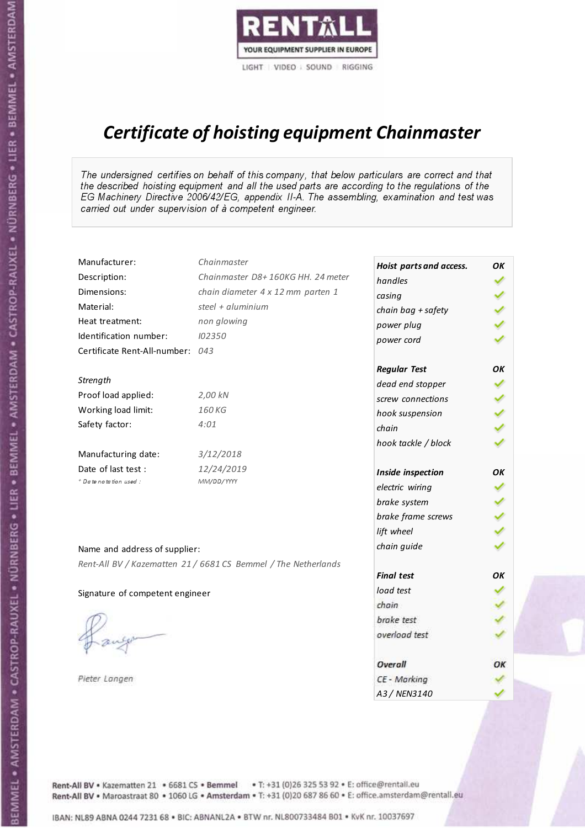

# Certificate of hoisting equipment Chainmaster

The undersigned certifies on behalf of this company, that below particulars are correct and that the described hoisting equipment and all the used parts are according to the regulations of the EG Machinery Directive 2006/42/EG, appendix II-A. The assembling, examination and test was carried out under supervision of à competent engineer.

| Manufacturer:                   | Chainmaster                                                    | Hoist parts and access. | OK  |
|---------------------------------|----------------------------------------------------------------|-------------------------|-----|
| Description:                    | Chainmaster D8+160KG HH. 24 meter                              | handles                 |     |
| Dimensions:                     | chain diameter 4 x 12 mm parten 1                              | casing                  |     |
| Material:                       | steel + aluminium                                              | chain bag + safety      |     |
| Heat treatment:                 | non glowing                                                    | power plug              |     |
| Identification number:          | 102350                                                         | power cord              |     |
| Certificate Rent-All-number:    | 043                                                            |                         |     |
|                                 |                                                                | <b>Regular Test</b>     | OK  |
| Strength                        |                                                                | dead end stopper        |     |
| Proof load applied:             | 2,00 kN                                                        | screw connections       |     |
| Working load limit:             | 160 KG                                                         | hook suspension         |     |
| Safety factor:                  | 4:01                                                           | chain                   | くくく |
|                                 |                                                                | hook tackle / block     |     |
| Manufacturing date:             | 3/12/2018                                                      |                         |     |
| Date of last test :             | 12/24/2019                                                     | Inside inspection       | OΚ  |
| * Date notation used :          | MM/DD/YYYY                                                     | electric wiring         |     |
|                                 |                                                                | brake system            |     |
|                                 |                                                                | brake frame screws      |     |
|                                 |                                                                | lift wheel              |     |
| Name and address of supplier:   |                                                                | chain guide             |     |
|                                 | Rent-All BV / Kazematten 21 / 6681 CS Bemmel / The Netherlands |                         |     |
|                                 |                                                                | <b>Final test</b>       | OΚ  |
| Signature of competent engineer |                                                                | load test               |     |
|                                 |                                                                | chain                   |     |
|                                 |                                                                | brake test              |     |
|                                 |                                                                | overload test           |     |
|                                 |                                                                | Overall                 | OK  |
| Pieter Langen                   |                                                                | CE - Marking            |     |
|                                 |                                                                | A3 / NEN3140            |     |

Rent-All BV . Kazematten 21 . 6681 CS . Bemmel . T: +31 (0)26 325 53 92 . E: office@rentall.eu Rent-All BV · Maroastraat 80 · 1060 LG · Amsterdam · T: +31 (0)20 687 86 60 · E: office.amsterdam@rentall.eu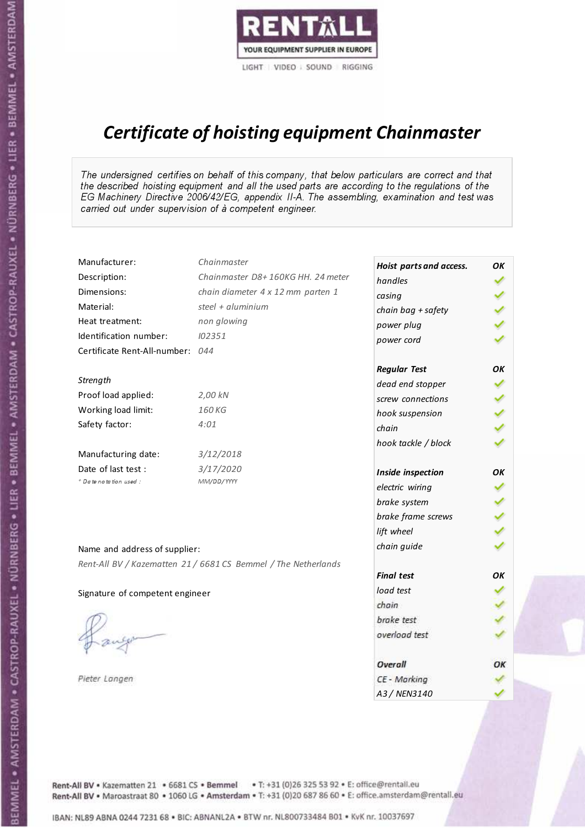

# Certificate of hoisting equipment Chainmaster

The undersigned certifies on behalf of this company, that below particulars are correct and that the described hoisting equipment and all the used parts are according to the regulations of the EG Machinery Directive 2006/42/EG, appendix II-A. The assembling, examination and test was carried out under supervision of à competent engineer.

| Manufacturer:                   | Chainmaster                                                    | Hoist parts and access. | OK  |
|---------------------------------|----------------------------------------------------------------|-------------------------|-----|
| Description:                    | Chainmaster D8+160KG HH. 24 meter                              | handles                 |     |
| Dimensions:                     | chain diameter 4 x 12 mm parten 1                              | casing                  |     |
| Material:                       | steel + aluminium                                              | chain bag + safety      |     |
| Heat treatment:                 | non glowing                                                    | power plug              |     |
| Identification number:          | 102351                                                         | power cord              |     |
| Certificate Rent-All-number:    | 044                                                            |                         |     |
|                                 |                                                                | <b>Regular Test</b>     | OK  |
| Strength                        |                                                                | dead end stopper        |     |
| Proof load applied:             | 2,00 kN                                                        | screw connections       |     |
| Working load limit:             | 160 KG                                                         | hook suspension         |     |
| Safety factor:                  | 4:01                                                           | chain                   | くくく |
|                                 |                                                                | hook tackle / block     |     |
| Manufacturing date:             | 3/12/2018                                                      |                         |     |
| Date of last test :             | 3/17/2020                                                      | Inside inspection       | OΚ  |
| * Date notation used :          | MM/DD/YYYY                                                     | electric wiring         |     |
|                                 |                                                                | brake system            |     |
|                                 |                                                                | brake frame screws      |     |
|                                 |                                                                | lift wheel              |     |
| Name and address of supplier:   |                                                                | chain guide             |     |
|                                 | Rent-All BV / Kazematten 21 / 6681 CS Bemmel / The Netherlands |                         |     |
|                                 |                                                                | <b>Final test</b>       | OΚ  |
| Signature of competent engineer |                                                                | load test               |     |
|                                 |                                                                | chain                   |     |
|                                 |                                                                | brake test              |     |
|                                 |                                                                | overload test           |     |
|                                 |                                                                | Overall                 | OK  |
| Pieter Langen                   |                                                                | CE - Marking            |     |
|                                 |                                                                | A3 / NEN3140            |     |

BEMMEL • AMSTERDAM • CASTROP-RAUXEL • NÜRNBERG • LIER • BEMMEL • AMSTERDAM • CASTROP-RAUXEL • NÜRNBERG • LIER • BEMMEL • AMSTERDAM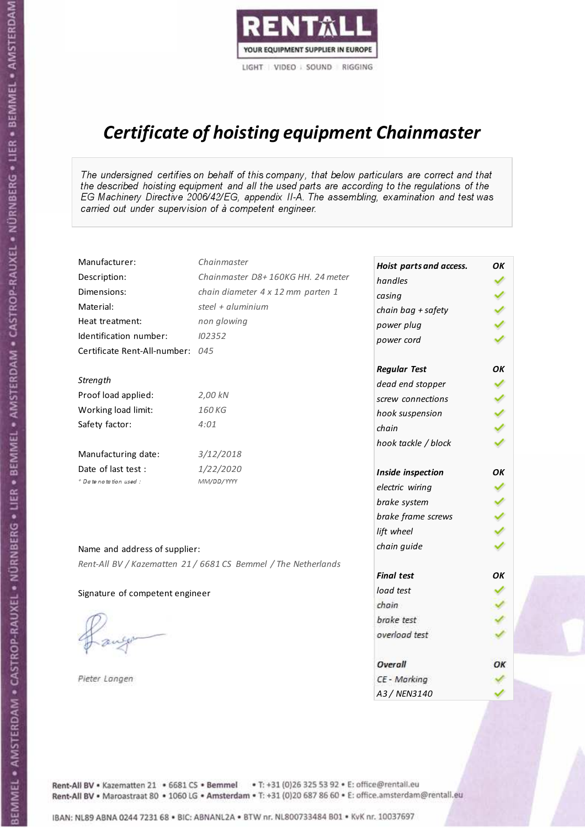

# Certificate of hoisting equipment Chainmaster

The undersigned certifies on behalf of this company, that below particulars are correct and that the described hoisting equipment and all the used parts are according to the regulations of the EG Machinery Directive 2006/42/EG, appendix II-A. The assembling, examination and test was carried out under supervision of à competent engineer.

| Manufacturer:                    | Chainmaster                                                    | Hoist parts and access. | OK  |
|----------------------------------|----------------------------------------------------------------|-------------------------|-----|
| Description:                     | Chainmaster D8+160KG HH. 24 meter                              | handles                 |     |
| Dimensions:                      | chain diameter 4 x 12 mm parten 1                              | casing                  |     |
| Material:                        | steel + $aluminim$                                             | chain bag + safety      |     |
| Heat treatment:                  | non glowing                                                    | power plug              |     |
| Identification number:           | 102352                                                         | power cord              |     |
| Certificate Rent-All-number: 045 |                                                                |                         |     |
|                                  |                                                                | <b>Regular Test</b>     | OΚ  |
| Strength                         |                                                                | dead end stopper        |     |
| Proof load applied:              | 2,00 kN                                                        | screw connections       |     |
| Working load limit:              | 160 KG                                                         | hook suspension         |     |
| Safety factor:                   | 4:01                                                           | chain                   | くくく |
|                                  |                                                                | hook tackle / block     |     |
| Manufacturing date:              | 3/12/2018                                                      |                         |     |
| Date of last test :              | 1/22/2020                                                      | Inside inspection       | ОΚ  |
| + Date notation used :           | MM/DD/YYYY                                                     | electric wiring         |     |
|                                  |                                                                | brake system            |     |
|                                  |                                                                | brake frame screws      |     |
|                                  |                                                                | lift wheel              |     |
| Name and address of supplier:    |                                                                | chain guide             |     |
|                                  | Rent-All BV / Kazematten 21 / 6681 CS Bemmel / The Netherlands |                         |     |
|                                  |                                                                | <b>Final test</b>       | OK  |
| Signature of competent engineer  |                                                                | load test               |     |
|                                  |                                                                | chain                   |     |
|                                  |                                                                | brake test              |     |
|                                  |                                                                | overload test           |     |
|                                  |                                                                | Overall                 | OK  |
| Pieter Langen                    |                                                                | CE - Marking            |     |
|                                  |                                                                | A3 / NEN3140            |     |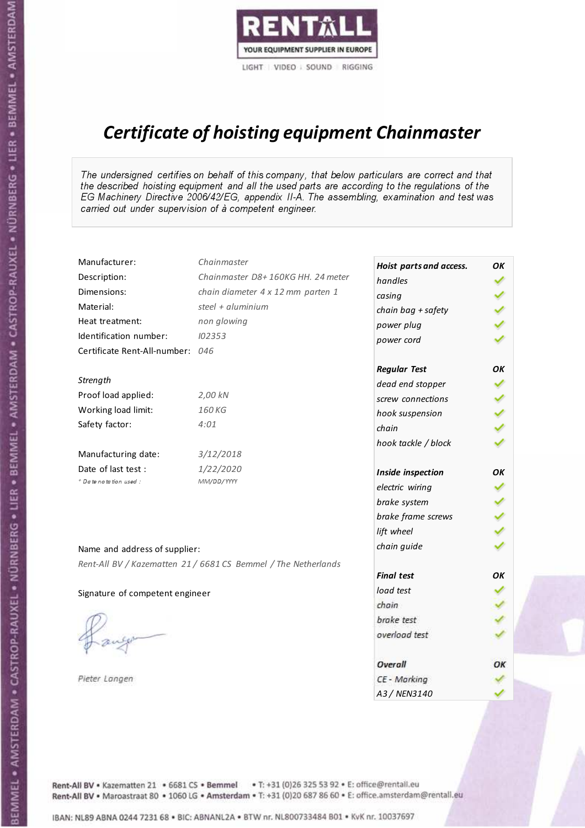

# Certificate of hoisting equipment Chainmaster

The undersigned certifies on behalf of this company, that below particulars are correct and that the described hoisting equipment and all the used parts are according to the regulations of the EG Machinery Directive 2006/42/EG, appendix II-A. The assembling, examination and test was carried out under supervision of à competent engineer.

| Manufacturer:                   | Chainmaster                                                    | Hoist parts and access. | OK  |
|---------------------------------|----------------------------------------------------------------|-------------------------|-----|
| Description:                    | Chainmaster D8+160KG HH. 24 meter                              | handles                 |     |
| Dimensions:                     | chain diameter 4 x 12 mm parten 1                              | casing                  |     |
| Material:                       | steel + aluminium                                              | chain bag + safety      |     |
| Heat treatment:                 | non glowing                                                    | power plug              |     |
| Identification number:          | 102353                                                         | power cord              |     |
| Certificate Rent-All-number:    | 046                                                            |                         |     |
|                                 |                                                                | <b>Regular Test</b>     | OK  |
| Strength                        |                                                                | dead end stopper        |     |
| Proof load applied:             | 2,00 kN                                                        | screw connections       |     |
| Working load limit:             | 160 KG                                                         | hook suspension         |     |
| Safety factor:                  | 4:01                                                           | chain                   | くくく |
|                                 |                                                                | hook tackle / block     |     |
| Manufacturing date:             | 3/12/2018                                                      |                         |     |
| Date of last test :             | 1/22/2020                                                      | Inside inspection       | OΚ  |
| * Date notation used :          | MM/DD/YYYY                                                     | electric wiring         |     |
|                                 |                                                                | brake system            |     |
|                                 |                                                                | brake frame screws      |     |
|                                 |                                                                | lift wheel              |     |
| Name and address of supplier:   |                                                                | chain guide             |     |
|                                 | Rent-All BV / Kazematten 21 / 6681 CS Bemmel / The Netherlands |                         |     |
|                                 |                                                                | <b>Final test</b>       | OΚ  |
| Signature of competent engineer |                                                                | load test               |     |
|                                 |                                                                | chain                   |     |
|                                 |                                                                | brake test              |     |
|                                 |                                                                | overload test           |     |
|                                 |                                                                | Overall                 | OK  |
| Pieter Langen                   |                                                                | CE - Marking            |     |
|                                 |                                                                | A3 / NEN3140            |     |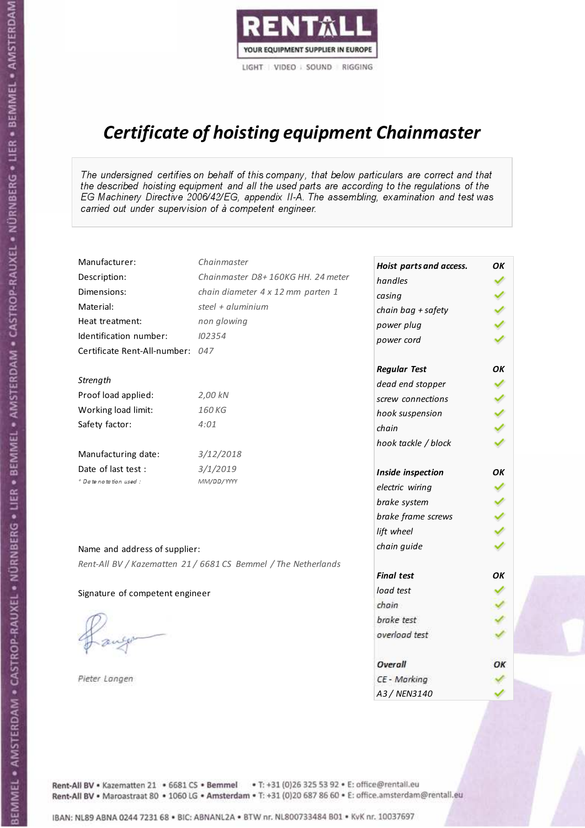

# Certificate of hoisting equipment Chainmaster

The undersigned certifies on behalf of this company, that below particulars are correct and that the described hoisting equipment and all the used parts are according to the regulations of the EG Machinery Directive 2006/42/EG, appendix II-A. The assembling, examination and test was carried out under supervision of à competent engineer.

| Manufacturer:                    | Chainmaster                                                    | Hoist parts and access. | OК  |
|----------------------------------|----------------------------------------------------------------|-------------------------|-----|
| Description:                     | Chainmaster D8+160KG HH. 24 meter                              | handles                 |     |
| Dimensions:                      | chain diameter 4 x 12 mm parten 1                              | casing                  |     |
| Material:                        | steel + $aluminim$                                             | chain bag + safety      |     |
| Heat treatment:                  | non glowing                                                    | power plug              |     |
| Identification number:           | 102354                                                         | power cord              |     |
| Certificate Rent-All-number: 047 |                                                                |                         |     |
|                                  |                                                                | <b>Regular Test</b>     | OK  |
| Strength                         |                                                                | dead end stopper        |     |
| Proof load applied:              | 2,00 kN                                                        | screw connections       |     |
| Working load limit:              | 160 KG                                                         | hook suspension         |     |
| Safety factor:                   | 4:01                                                           | chain                   | くくく |
|                                  |                                                                | hook tackle / block     |     |
| Manufacturing date:              | 3/12/2018                                                      |                         |     |
| Date of last test :              | 3/1/2019                                                       | Inside inspection       | OK  |
| + Date notation used :           | MM/DD/YYYY                                                     | electric wiring         |     |
|                                  |                                                                | brake system            |     |
|                                  |                                                                | brake frame screws      |     |
|                                  |                                                                | lift wheel              |     |
| Name and address of supplier:    |                                                                | chain guide             |     |
|                                  | Rent-All BV / Kazematten 21 / 6681 CS Bemmel / The Netherlands |                         |     |
|                                  |                                                                | <b>Final test</b>       | OK  |
| Signature of competent engineer  |                                                                | load test               |     |
|                                  |                                                                | chain                   |     |
|                                  |                                                                | brake test              |     |
|                                  |                                                                | overload test           |     |
|                                  |                                                                |                         |     |
|                                  |                                                                | Overall                 | ОК  |
| Pieter Langen                    |                                                                | CE - Marking            |     |
|                                  |                                                                | A3 / NEN3140            |     |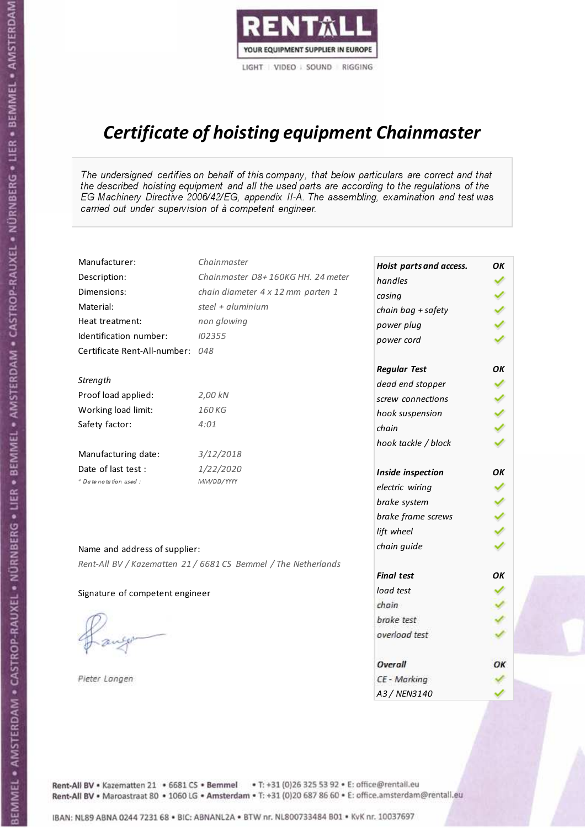

# Certificate of hoisting equipment Chainmaster

The undersigned certifies on behalf of this company, that below particulars are correct and that the described hoisting equipment and all the used parts are according to the regulations of the EG Machinery Directive 2006/42/EG, appendix II-A. The assembling, examination and test was carried out under supervision of à competent engineer.

| Manufacturer:                   | Chainmaster                                                    | Hoist parts and access. | OK  |
|---------------------------------|----------------------------------------------------------------|-------------------------|-----|
| Description:                    | Chainmaster D8+160KG HH. 24 meter                              | handles                 |     |
| Dimensions:                     | chain diameter 4 x 12 mm parten 1                              | casing                  |     |
| Material:                       | steel + $aluminim$                                             | chain bag + safety      |     |
| Heat treatment:                 | non glowing                                                    | power plug              |     |
| Identification number:          | 102355                                                         | power cord              |     |
| Certificate Rent-All-number:    | 048                                                            |                         |     |
|                                 |                                                                | <b>Regular Test</b>     | OΚ  |
| Strength                        |                                                                | dead end stopper        |     |
| Proof load applied:             | 2,00 kN                                                        | screw connections       |     |
| Working load limit:             | 160 KG                                                         | hook suspension         |     |
| Safety factor:                  | 4:01                                                           | chain                   | くくく |
|                                 |                                                                | hook tackle / block     |     |
| Manufacturing date:             | 3/12/2018                                                      |                         |     |
| Date of last test :             | 1/22/2020                                                      | Inside inspection       | ОΚ  |
| + Date notation used :          | MM/DD/YYYY                                                     | electric wiring         |     |
|                                 |                                                                | brake system            |     |
|                                 |                                                                | brake frame screws      |     |
|                                 |                                                                | lift wheel              |     |
| Name and address of supplier:   |                                                                | chain guide             |     |
|                                 | Rent-All BV / Kazematten 21 / 6681 CS Bemmel / The Netherlands |                         |     |
|                                 |                                                                | <b>Final test</b>       | OK  |
| Signature of competent engineer |                                                                | load test               |     |
|                                 |                                                                | chain                   |     |
|                                 |                                                                | brake test              |     |
|                                 |                                                                | overload test           |     |
|                                 |                                                                | Overall                 | OK  |
| Pieter Langen                   |                                                                | CE - Marking            |     |
|                                 |                                                                | A3 / NEN3140            |     |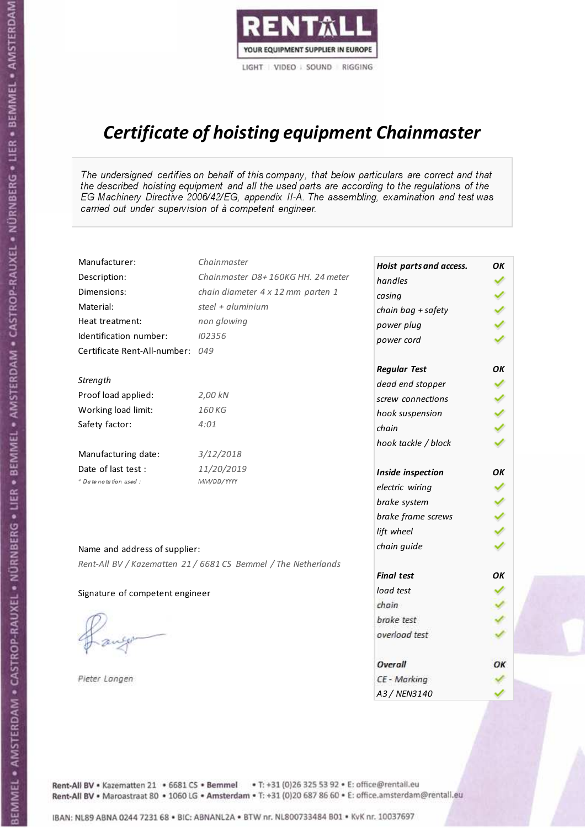

# Certificate of hoisting equipment Chainmaster

The undersigned certifies on behalf of this company, that below particulars are correct and that the described hoisting equipment and all the used parts are according to the regulations of the EG Machinery Directive 2006/42/EG, appendix II-A. The assembling, examination and test was carried out under supervision of à competent engineer.

| Manufacturer:                   | Chainmaster                                                    | Hoist parts and access. | OK |
|---------------------------------|----------------------------------------------------------------|-------------------------|----|
| Description:                    | Chainmaster D8+160KG HH. 24 meter                              | handles                 |    |
| Dimensions:                     | chain diameter 4 x 12 mm parten 1                              | casing                  |    |
| Material:                       | steel + aluminium                                              | chain bag + safety      |    |
| Heat treatment:                 | non glowing                                                    | power plug              |    |
| Identification number:          | 102356                                                         | power cord              |    |
| Certificate Rent-All-number:    | 049                                                            |                         |    |
|                                 |                                                                | <b>Regular Test</b>     | OΚ |
| Strength                        |                                                                | dead end stopper        | ✔  |
| Proof load applied:             | 2,00 kN                                                        | screw connections       | ✔  |
| Working load limit:             | 160 KG                                                         | hook suspension         |    |
| Safety factor:                  | 4:01                                                           | chain                   | りょ |
|                                 |                                                                | hook tackle / block     |    |
| Manufacturing date:             | 3/12/2018                                                      |                         |    |
| Date of last test :             | 11/20/2019                                                     | Inside inspection       | OΚ |
| * Date notation used :          | MM/DD/YYYY                                                     | electric wiring         |    |
|                                 |                                                                | brake system            |    |
|                                 |                                                                | brake frame screws      |    |
|                                 |                                                                | lift wheel              |    |
| Name and address of supplier:   |                                                                | chain guide             |    |
|                                 | Rent-All BV / Kazematten 21 / 6681 CS Bemmel / The Netherlands |                         |    |
|                                 |                                                                | <b>Final test</b>       | OK |
| Signature of competent engineer |                                                                | load test               |    |
|                                 |                                                                | chain                   |    |
|                                 |                                                                | brake test              |    |
|                                 |                                                                | overload test           |    |
|                                 |                                                                | Overall                 | ОК |
| Pieter Langen                   |                                                                | CE - Marking            |    |
|                                 |                                                                | A3 / NEN3140            |    |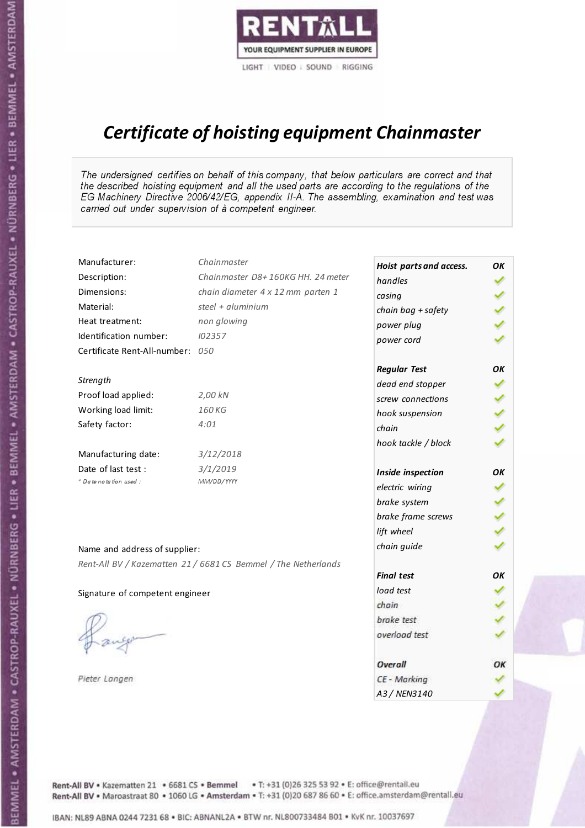

# Certificate of hoisting equipment Chainmaster

The undersigned certifies on behalf of this company, that below particulars are correct and that the described hoisting equipment and all the used parts are according to the regulations of the EG Machinery Directive 2006/42/EG, appendix II-A. The assembling, examination and test was carried out under supervision of à competent engineer.

| Manufacturer:                    | Chainmaster                                                    | Hoist parts and access. | OK  |
|----------------------------------|----------------------------------------------------------------|-------------------------|-----|
| Description:                     | Chainmaster D8+160KG HH. 24 meter                              | handles                 |     |
| Dimensions:                      | chain diameter 4 x 12 mm parten 1                              | casing                  |     |
| Material:                        | steel + aluminium                                              | chain bag + safety      |     |
| Heat treatment:                  | non glowing                                                    | power plug              |     |
| Identification number:           | 102357                                                         | power cord              |     |
| Certificate Rent-All-number: 050 |                                                                |                         |     |
|                                  |                                                                | <b>Regular Test</b>     | OΚ  |
| Strength                         |                                                                | dead end stopper        | ✔   |
| Proof load applied:              | 2,00 kN                                                        | screw connections       |     |
| Working load limit:              | 160KG                                                          | hook suspension         |     |
| Safety factor:                   | 4:01                                                           | chain                   | くくく |
|                                  |                                                                | hook tackle / block     |     |
| Manufacturing date:              | 3/12/2018                                                      |                         |     |
| Date of last test :              | 3/1/2019                                                       | Inside inspection       | ОΚ  |
| * Date notation used :           | MM/DD/YYYY                                                     | electric wiring         |     |
|                                  |                                                                | brake system            |     |
|                                  |                                                                | brake frame screws      |     |
|                                  |                                                                | lift wheel              |     |
| Name and address of supplier:    |                                                                | chain guide             |     |
|                                  | Rent-All BV / Kazematten 21 / 6681 CS Bemmel / The Netherlands |                         |     |
|                                  |                                                                | <b>Final test</b>       | OK  |
| Signature of competent engineer  |                                                                | load test               |     |
|                                  |                                                                | chain                   |     |
|                                  |                                                                | brake test              |     |
|                                  |                                                                | overload test           |     |
|                                  |                                                                | Overall                 | ОК  |
| Pieter Langen                    |                                                                | CE - Marking            |     |
|                                  |                                                                | A3 / NEN3140            |     |

BEMMEL • AMSTERDAM • CASTROP-RAUXEL • NÜRNBERG • LIER • BEMMEL • AMSTERDAM • CASTROP-RAUXEL • NÜRNBERG • LIER • BEMMEL • AMSTERDAM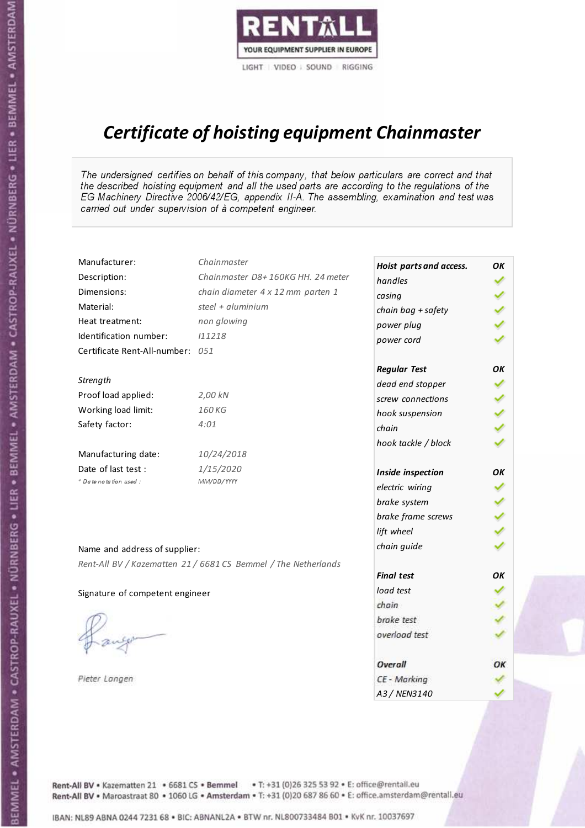

# Certificate of hoisting equipment Chainmaster

The undersigned certifies on behalf of this company, that below particulars are correct and that the described hoisting equipment and all the used parts are according to the regulations of the EG Machinery Directive 2006/42/EG, appendix II-A. The assembling, examination and test was carried out under supervision of à competent engineer.

| Manufacturer:                    | Chainmaster                                                    | Hoist parts and access. | OK  |
|----------------------------------|----------------------------------------------------------------|-------------------------|-----|
| Description:                     | Chainmaster D8+160KG HH. 24 meter                              | handles                 |     |
| Dimensions:                      | chain diameter 4 x 12 mm parten 1                              | casing                  |     |
| Material:                        | steel $+$ aluminium                                            | chain bag + safety      |     |
| Heat treatment:                  | non glowing                                                    | power plug              |     |
| Identification number:           | 111218                                                         | power cord              |     |
| Certificate Rent-All-number: 051 |                                                                |                         |     |
|                                  |                                                                | <b>Regular Test</b>     | OK  |
| Strength                         |                                                                | dead end stopper        | ✔   |
| Proof load applied:              | 2,00 kN                                                        | screw connections       |     |
| Working load limit:              | 160KG                                                          | hook suspension         |     |
| Safety factor:                   | 4:01                                                           | chain                   | くくく |
|                                  |                                                                | hook tackle / block     |     |
| Manufacturing date:              | 10/24/2018                                                     |                         |     |
| Date of last test :              | 1/15/2020                                                      | Inside inspection       | OK  |
| * Date notation used :           | MM/DD/YYYY                                                     | electric wiring         |     |
|                                  |                                                                | brake system            |     |
|                                  |                                                                | brake frame screws      | くくく |
|                                  |                                                                | lift wheel              |     |
| Name and address of supplier:    |                                                                | chain guide             |     |
|                                  | Rent-All BV / Kazematten 21 / 6681 CS Bemmel / The Netherlands |                         |     |
|                                  |                                                                | <b>Final test</b>       | OK  |
| Signature of competent engineer  |                                                                | load test               |     |
|                                  |                                                                | chain                   |     |
|                                  |                                                                | brake test              |     |
|                                  |                                                                | overload test           |     |
|                                  |                                                                | Overall                 | OK  |
| Pieter Langen                    |                                                                | CE - Marking            |     |
|                                  |                                                                | A3 / NEN3140            |     |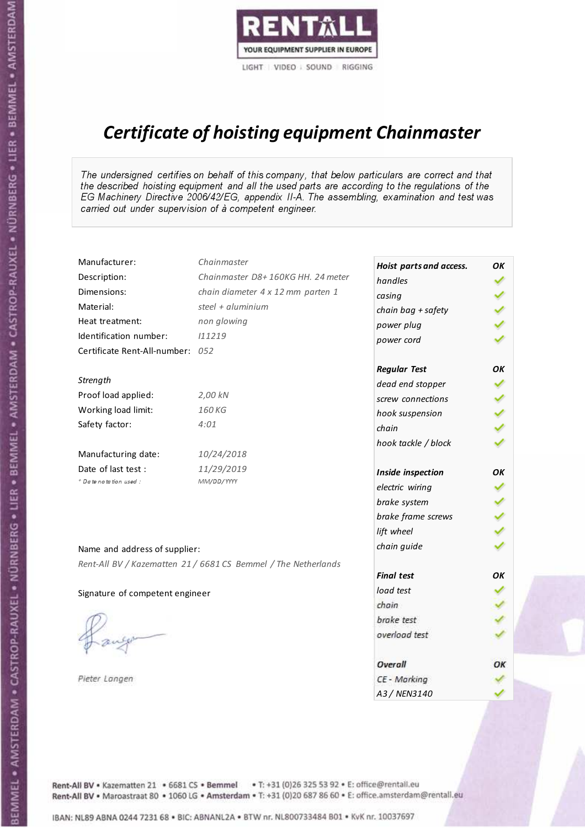

# Certificate of hoisting equipment Chainmaster

The undersigned certifies on behalf of this company, that below particulars are correct and that the described hoisting equipment and all the used parts are according to the regulations of the EG Machinery Directive 2006/42/EG, appendix II-A. The assembling, examination and test was carried out under supervision of à competent engineer.

| Manufacturer:                    | Chainmaster                                                    | Hoist parts and access. | OK  |
|----------------------------------|----------------------------------------------------------------|-------------------------|-----|
| Description:                     | Chainmaster D8+160KG HH. 24 meter                              | handles                 |     |
| Dimensions:                      | chain diameter 4 x 12 mm parten 1                              | casing                  |     |
| Material:                        | steel + $aluminim$                                             | chain bag + safety      |     |
| Heat treatment:                  | non glowing                                                    | power plug              |     |
| Identification number:           | 111219                                                         | power cord              |     |
| Certificate Rent-All-number: 052 |                                                                |                         |     |
|                                  |                                                                | <b>Regular Test</b>     | ΟK  |
| Strength                         |                                                                | dead end stopper        | ✔   |
| Proof load applied:              | 2,00 kN                                                        | screw connections       |     |
| Working load limit:              | 160KG                                                          | hook suspension         |     |
| Safety factor:                   | 4:01                                                           | chain                   | くくく |
|                                  |                                                                | hook tackle / block     |     |
| Manufacturing date:              | 10/24/2018                                                     |                         |     |
| Date of last test :              | 11/29/2019                                                     | Inside inspection       | ОΚ  |
| + Date notation used:            | MM/DD/YYYY                                                     | electric wiring         |     |
|                                  |                                                                | brake system            | ✔   |
|                                  |                                                                | brake frame screws      |     |
|                                  |                                                                | lift wheel              | りょ  |
| Name and address of supplier:    |                                                                | chain guide             |     |
|                                  | Rent-All BV / Kazematten 21 / 6681 CS Bemmel / The Netherlands |                         |     |
|                                  |                                                                | <b>Final test</b>       | ΟK  |
| Signature of competent engineer  |                                                                | load test               |     |
|                                  |                                                                | chain                   |     |
|                                  |                                                                | brake test              |     |
|                                  |                                                                | overload test           |     |
|                                  |                                                                | <b>Overall</b>          | OK  |
| Pieter Langen                    |                                                                | CE - Marking            |     |
|                                  |                                                                | A3 / NEN3140            |     |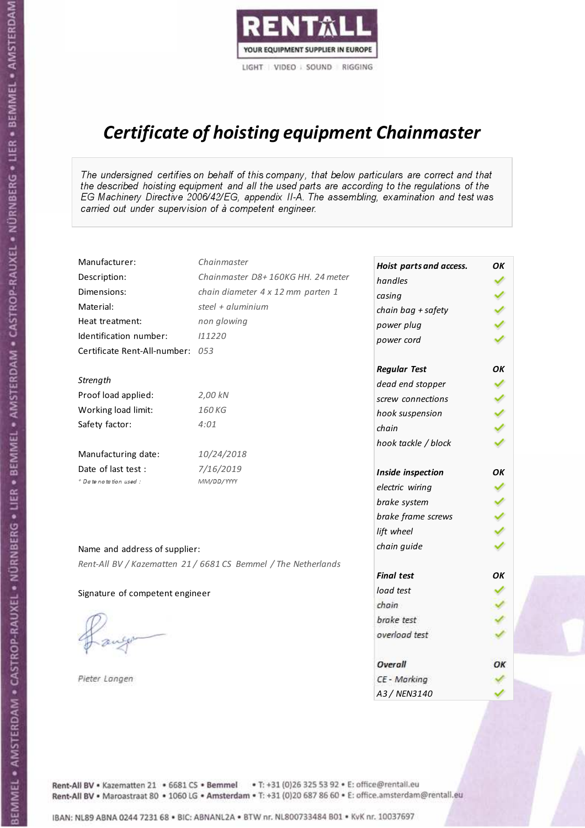

# Certificate of hoisting equipment Chainmaster

The undersigned certifies on behalf of this company, that below particulars are correct and that the described hoisting equipment and all the used parts are according to the regulations of the EG Machinery Directive 2006/42/EG, appendix II-A. The assembling, examination and test was carried out under supervision of à competent engineer.

| Manufacturer:                    | Chainmaster                                                    | Hoist parts and access. | OK  |
|----------------------------------|----------------------------------------------------------------|-------------------------|-----|
| Description:                     | Chainmaster D8+160KG HH. 24 meter                              | handles                 |     |
| Dimensions:                      | chain diameter 4 x 12 mm parten 1                              | casing                  |     |
| Material:                        | steel + aluminium                                              | chain bag + safety      |     |
| Heat treatment:                  | non glowing                                                    | power plug              |     |
| Identification number:           | 111220                                                         | power cord              |     |
| Certificate Rent-All-number: 053 |                                                                |                         |     |
|                                  |                                                                | <b>Regular Test</b>     | OK  |
| Strength                         |                                                                | dead end stopper        | ✔   |
| Proof load applied:              | 2,00 kN                                                        | screw connections       |     |
| Working load limit:              | 160 KG                                                         | hook suspension         |     |
| Safety factor:                   | 4:01                                                           | chain                   | くくく |
|                                  |                                                                | hook tackle / block     |     |
| Manufacturing date:              | 10/24/2018                                                     |                         |     |
| Date of last test :              | 7/16/2019                                                      | Inside inspection       | ОΚ  |
| + Date notation used :           | MM/DD/YYYY                                                     | electric wiring         |     |
|                                  |                                                                | brake system            |     |
|                                  |                                                                | brake frame screws      | くくく |
|                                  |                                                                | lift wheel              |     |
| Name and address of supplier:    |                                                                | chain guide             |     |
|                                  | Rent-All BV / Kazematten 21 / 6681 CS Bemmel / The Netherlands |                         |     |
|                                  |                                                                | <b>Final test</b>       | OK  |
| Signature of competent engineer  |                                                                | load test               |     |
|                                  |                                                                | chain                   |     |
|                                  |                                                                | brake test              |     |
|                                  |                                                                | overload test           |     |
|                                  |                                                                | Overall                 | OK  |
| Pieter Langen                    |                                                                | CE - Marking            |     |
|                                  |                                                                | A3 / NEN3140            |     |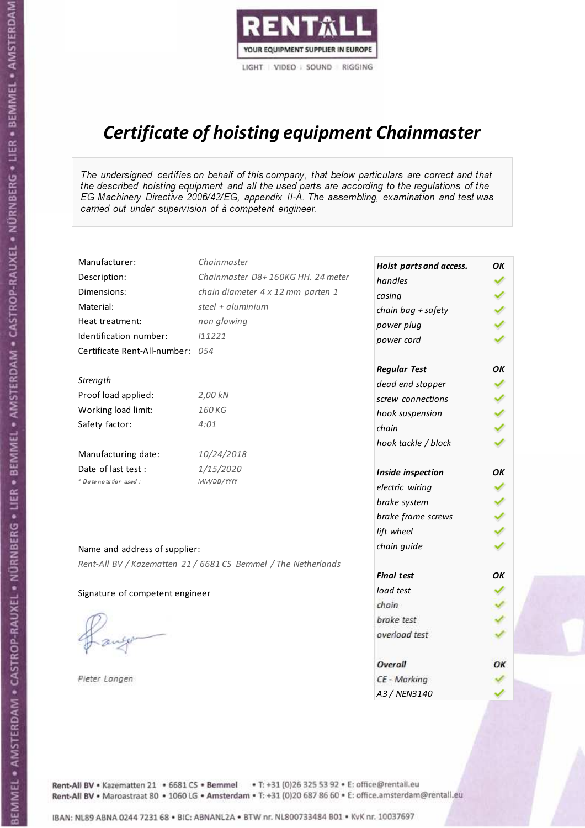

# Certificate of hoisting equipment Chainmaster

The undersigned certifies on behalf of this company, that below particulars are correct and that the described hoisting equipment and all the used parts are according to the regulations of the EG Machinery Directive 2006/42/EG, appendix II-A. The assembling, examination and test was carried out under supervision of à competent engineer.

| Manufacturer:                    | Chainmaster                                                    | Hoist parts and access. | OK |
|----------------------------------|----------------------------------------------------------------|-------------------------|----|
| Description:                     | Chainmaster D8+160KG HH. 24 meter                              | handles                 |    |
| Dimensions:                      | chain diameter 4 x 12 mm parten 1                              | casing                  |    |
| Material:                        | steel + aluminium                                              | chain bag + safety      |    |
| Heat treatment:                  | non glowing                                                    | power plug              |    |
| Identification number:           | 111221                                                         | power cord              |    |
| Certificate Rent-All-number: 054 |                                                                |                         |    |
|                                  |                                                                | <b>Regular Test</b>     | OΚ |
| Strength                         |                                                                | dead end stopper        | ✔  |
| Proof load applied:              | 2,00 kN                                                        | screw connections       | ✔  |
| Working load limit:              | 160KG                                                          | hook suspension         |    |
| Safety factor:                   | 4:01                                                           | chain                   | くり |
|                                  |                                                                | hook tackle / block     |    |
| Manufacturing date:              | 10/24/2018                                                     |                         |    |
| Date of last test :              | 1/15/2020                                                      | Inside inspection       | ОΚ |
| + Date notation used:            | MM/DD/YYYY                                                     | electric wiring         |    |
|                                  |                                                                | brake system            |    |
|                                  |                                                                | brake frame screws      |    |
|                                  |                                                                | lift wheel              |    |
| Name and address of supplier:    |                                                                | chain guide             |    |
|                                  | Rent-All BV / Kazematten 21 / 6681 CS Bemmel / The Netherlands |                         |    |
|                                  |                                                                | <b>Final test</b>       | ΟK |
| Signature of competent engineer  |                                                                | load test               |    |
|                                  |                                                                | chain                   |    |
|                                  |                                                                | brake test              |    |
|                                  |                                                                | overload test           |    |
|                                  |                                                                |                         |    |
|                                  |                                                                | Overall                 | OK |
| Pieter Langen                    |                                                                | CE - Marking            |    |
|                                  |                                                                | A3 / NEN3140            |    |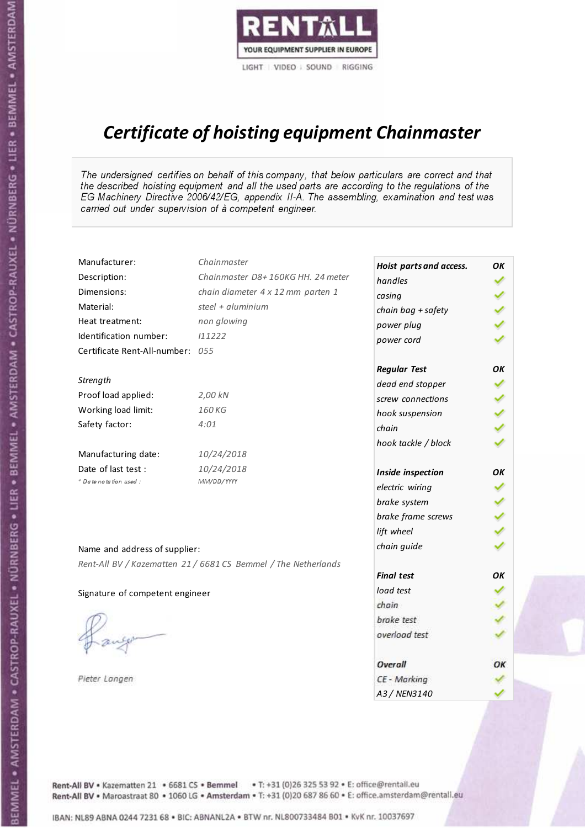

# Certificate of hoisting equipment Chainmaster

The undersigned certifies on behalf of this company, that below particulars are correct and that the described hoisting equipment and all the used parts are according to the regulations of the EG Machinery Directive 2006/42/EG, appendix II-A. The assembling, examination and test was carried out under supervision of à competent engineer.

| Manufacturer:                    | Chainmaster                                                    | Hoist parts and access. | OK  |
|----------------------------------|----------------------------------------------------------------|-------------------------|-----|
| Description:                     | Chainmaster D8+160KG HH. 24 meter                              | handles                 |     |
| Dimensions:                      | chain diameter 4 x 12 mm parten 1                              | casing                  |     |
| Material:                        | steel + $aluminim$                                             | chain bag + safety      |     |
| Heat treatment:                  | non glowing                                                    | power plug              |     |
| Identification number:           | 111222                                                         | power cord              |     |
| Certificate Rent-All-number: 055 |                                                                |                         |     |
|                                  |                                                                | <b>Regular Test</b>     | OK  |
| Strength                         |                                                                | dead end stopper        | ✔   |
| Proof load applied:              | 2,00 kN                                                        | screw connections       |     |
| Working load limit:              | 160 KG                                                         | hook suspension         |     |
| Safety factor:                   | 4:01                                                           | chain                   | くくく |
|                                  |                                                                | hook tackle / block     |     |
| Manufacturing date:              | 10/24/2018                                                     |                         |     |
| Date of last test :              | 10/24/2018                                                     | Inside inspection       | OK  |
| * Date notation used :           | MM/DD/YYYY                                                     | electric wiring         |     |
|                                  |                                                                | brake system            |     |
|                                  |                                                                | brake frame screws      | くりょ |
|                                  |                                                                | lift wheel              |     |
| Name and address of supplier:    |                                                                | chain guide             |     |
|                                  | Rent-All BV / Kazematten 21 / 6681 CS Bemmel / The Netherlands |                         |     |
|                                  |                                                                | <b>Final test</b>       | OK  |
| Signature of competent engineer  |                                                                | load test               |     |
|                                  |                                                                | chain                   |     |
|                                  |                                                                | brake test              |     |
|                                  |                                                                | overload test           |     |
|                                  |                                                                | Overall                 | OK  |
| Pieter Langen                    |                                                                | CE - Marking            |     |
|                                  |                                                                | A3 / NEN3140            |     |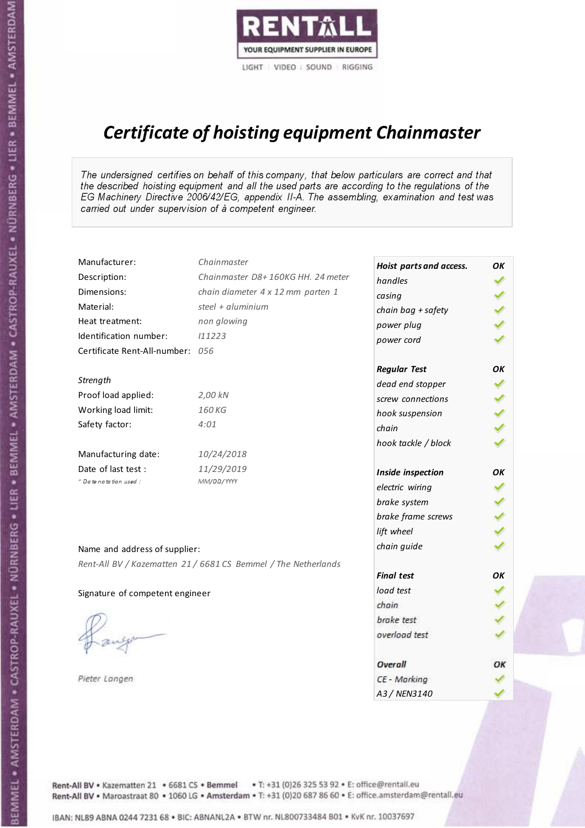

# Certificate of hoisting equipment Chainmaster

The undersigned certifies on behalf of this company, that below particulars are correct and that the described hoisting equipment and all the used parts are according to the regulations of the EG Machinery Directive 2006/42/EG, appendix II-A. The assembling, examination and test was carried out under supervision of à competent engineer.

| Manufacturer:                    | Chainmaster                                                    | Hoist parts and access. | OK  |
|----------------------------------|----------------------------------------------------------------|-------------------------|-----|
| Description:                     | Chainmaster D8+160KG HH. 24 meter                              | handles                 |     |
| Dimensions:                      | chain diameter 4 x 12 mm parten 1                              | casing                  |     |
| Material:                        | steel + $aluminim$                                             | chain bag + safety      |     |
| Heat treatment:                  | non glowing                                                    | power plug              |     |
| Identification number:           | 111223                                                         | power cord              |     |
| Certificate Rent-All-number: 056 |                                                                |                         |     |
|                                  |                                                                | <b>Regular Test</b>     | ΟK  |
| Strength                         |                                                                | dead end stopper        | ✔   |
| Proof load applied:              | 2,00 kN                                                        | screw connections       |     |
| Working load limit:              | 160 KG                                                         | hook suspension         | くくく |
| Safety factor:                   | 4:01                                                           | chain                   |     |
|                                  |                                                                | hook tackle / block     |     |
| Manufacturing date:              | 10/24/2018                                                     |                         |     |
| Date of last test :              | 11/29/2019                                                     | Inside inspection       | ОΚ  |
| + Date notation used:            | MM/DD/YYYY                                                     | electric wiring         |     |
|                                  |                                                                | brake system            |     |
|                                  |                                                                | brake frame screws      |     |
|                                  |                                                                | lift wheel              |     |
|                                  |                                                                | chain guide             |     |
| Name and address of supplier:    |                                                                |                         |     |
|                                  | Rent-All BV / Kazematten 21 / 6681 CS Bemmel / The Netherlands | <b>Final test</b>       | OK  |
|                                  |                                                                | load test               |     |
| Signature of competent engineer  |                                                                | chain                   |     |
|                                  |                                                                | brake test              |     |
|                                  |                                                                | overload test           |     |
|                                  |                                                                |                         |     |
|                                  |                                                                | Overall                 | OK  |
| Pieter Langen                    |                                                                | CE - Marking            |     |
|                                  |                                                                | A3 / NEN3140            |     |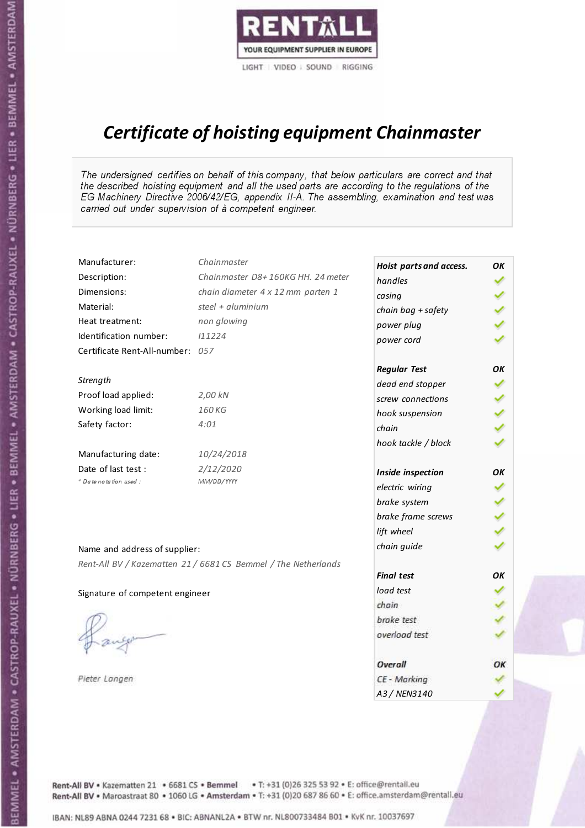

# Certificate of hoisting equipment Chainmaster

The undersigned certifies on behalf of this company, that below particulars are correct and that the described hoisting equipment and all the used parts are according to the regulations of the EG Machinery Directive 2006/42/EG, appendix II-A. The assembling, examination and test was carried out under supervision of à competent engineer.

| Manufacturer:                    | Chainmaster                                                    | Hoist parts and access. | OK  |
|----------------------------------|----------------------------------------------------------------|-------------------------|-----|
| Description:                     | Chainmaster D8+160KG HH. 24 meter                              | handles                 |     |
| Dimensions:                      | chain diameter 4 x 12 mm parten 1                              | casing                  |     |
| Material:                        | steel + aluminium                                              | chain bag + safety      |     |
| Heat treatment:                  | non glowing                                                    | power plug              |     |
| Identification number:           | 111224                                                         | power cord              |     |
| Certificate Rent-All-number: 057 |                                                                |                         |     |
|                                  |                                                                | <b>Regular Test</b>     | OΚ  |
| Strength                         |                                                                | dead end stopper        | ✔   |
| Proof load applied:              | 2,00 kN                                                        | screw connections       | ✔   |
| Working load limit:              | 160KG                                                          | hook suspension         |     |
| Safety factor:                   | 4:01                                                           | chain                   | りょ  |
|                                  |                                                                | hook tackle / block     |     |
| Manufacturing date:              | 10/24/2018                                                     |                         |     |
| Date of last test :              | 2/12/2020                                                      | Inside inspection       | OK  |
| * Date notation used :           | MM/DD/YYYY                                                     | electric wiring         |     |
|                                  |                                                                | brake system            |     |
|                                  |                                                                | brake frame screws      | くりょ |
|                                  |                                                                | lift wheel              |     |
| Name and address of supplier:    |                                                                | chain guide             |     |
|                                  | Rent-All BV / Kazematten 21 / 6681 CS Bemmel / The Netherlands |                         |     |
|                                  |                                                                | <b>Final test</b>       | OK  |
| Signature of competent engineer  |                                                                | load test               |     |
|                                  |                                                                | chain                   |     |
|                                  |                                                                | brake test              |     |
|                                  |                                                                | overload test           |     |
|                                  |                                                                | Overall                 | OK  |
| Pieter Langen                    |                                                                | CE - Marking            |     |
|                                  |                                                                | A3 / NEN3140            |     |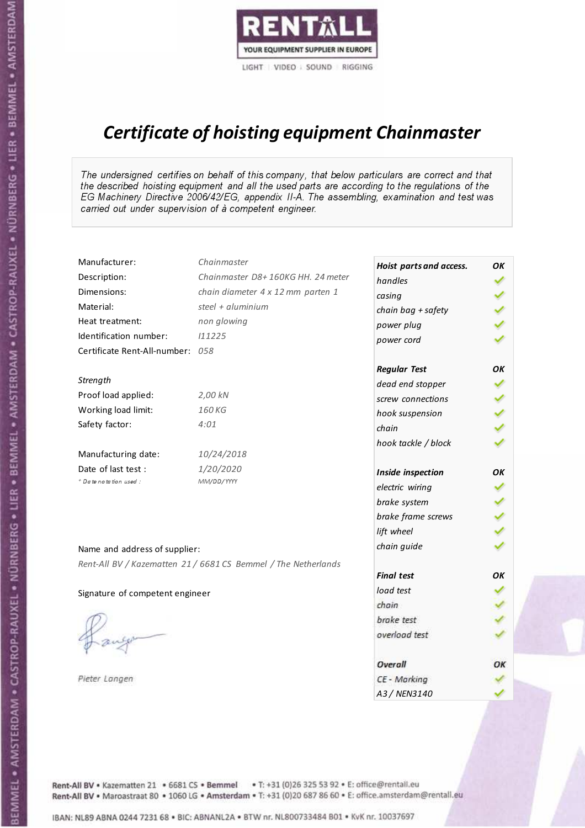

# Certificate of hoisting equipment Chainmaster

The undersigned certifies on behalf of this company, that below particulars are correct and that the described hoisting equipment and all the used parts are according to the regulations of the EG Machinery Directive 2006/42/EG, appendix II-A. The assembling, examination and test was carried out under supervision of à competent engineer.

| Manufacturer:                    | Chainmaster                                                    | Hoist parts and access. | OK  |
|----------------------------------|----------------------------------------------------------------|-------------------------|-----|
| Description:                     | Chainmaster D8+160KG HH. 24 meter                              | handles                 |     |
| Dimensions:                      | chain diameter 4 x 12 mm parten 1                              | casing                  |     |
| Material:                        | steel + $aluminim$                                             | chain bag + safety      |     |
| Heat treatment:                  | non glowing                                                    | power plug              |     |
| Identification number:           | 111225                                                         | power cord              |     |
| Certificate Rent-All-number: 058 |                                                                |                         |     |
|                                  |                                                                | <b>Regular Test</b>     | OK  |
| Strength                         |                                                                | dead end stopper        | ✔   |
| Proof load applied:              | 2,00 kN                                                        | screw connections       |     |
| Working load limit:              | 160 KG                                                         | hook suspension         |     |
| Safety factor:                   | 4:01                                                           | chain                   | くくく |
|                                  |                                                                | hook tackle / block     |     |
| Manufacturing date:              | 10/24/2018                                                     |                         |     |
| Date of last test :              | 1/20/2020                                                      | Inside inspection       | OK  |
| * Date notation used :           | MM/DD/YYYY                                                     | electric wiring         |     |
|                                  |                                                                | brake system            |     |
|                                  |                                                                | brake frame screws      | くくく |
|                                  |                                                                | lift wheel              |     |
| Name and address of supplier:    |                                                                | chain guide             |     |
|                                  | Rent-All BV / Kazematten 21 / 6681 CS Bemmel / The Netherlands |                         |     |
|                                  |                                                                | <b>Final test</b>       | OK  |
| Signature of competent engineer  |                                                                | load test               |     |
|                                  |                                                                | chain                   |     |
|                                  |                                                                | brake test              |     |
|                                  |                                                                | overload test           |     |
|                                  |                                                                | <b>Overall</b>          | OK  |
| Pieter Langen                    |                                                                | CE - Marking            |     |
|                                  |                                                                | A3 / NEN3140            |     |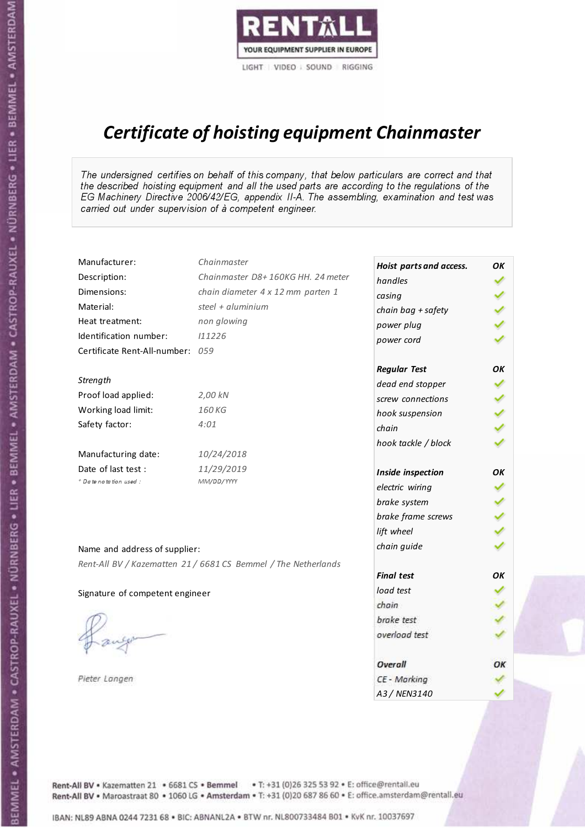

# Certificate of hoisting equipment Chainmaster

The undersigned certifies on behalf of this company, that below particulars are correct and that the described hoisting equipment and all the used parts are according to the regulations of the EG Machinery Directive 2006/42/EG, appendix II-A. The assembling, examination and test was carried out under supervision of à competent engineer.

| Manufacturer:                    | Chainmaster                                                    | Hoist parts and access. | OK                   |
|----------------------------------|----------------------------------------------------------------|-------------------------|----------------------|
| Description:                     | Chainmaster D8+160KG HH. 24 meter                              | handles                 |                      |
| Dimensions:                      | chain diameter 4 x 12 mm parten 1                              | casing                  |                      |
| Material:                        | steel + aluminium                                              | chain bag + safety      |                      |
| Heat treatment:                  | non glowing                                                    | power plug              |                      |
| Identification number:           | 111226                                                         | power cord              |                      |
| Certificate Rent-All-number: 059 |                                                                |                         |                      |
|                                  |                                                                | <b>Regular Test</b>     | OK                   |
| Strength                         |                                                                | dead end stopper        | ✔                    |
| Proof load applied:              | 2,00 kN                                                        | screw connections       | $\blacktriangledown$ |
| Working load limit:              | 160 KG                                                         | hook suspension         |                      |
| Safety factor:                   | 4:01                                                           | chain                   | くり                   |
|                                  |                                                                | hook tackle / block     |                      |
| Manufacturing date:              | 10/24/2018                                                     |                         |                      |
| Date of last test :              | 11/29/2019                                                     | Inside inspection       | ΟK                   |
| * Date notation used :           | MM/DD/YYYY                                                     | electric wiring         |                      |
|                                  |                                                                | brake system            |                      |
|                                  |                                                                | brake frame screws      |                      |
|                                  |                                                                | lift wheel              |                      |
| Name and address of supplier:    |                                                                | chain guide             |                      |
|                                  | Rent-All BV / Kazematten 21 / 6681 CS Bemmel / The Netherlands |                         |                      |
|                                  |                                                                | <b>Final test</b>       | OK                   |
| Signature of competent engineer  |                                                                | load test               |                      |
|                                  |                                                                | chain                   |                      |
|                                  |                                                                | brake test              |                      |
|                                  |                                                                | overload test           |                      |
|                                  |                                                                | Overall                 | ОК                   |
| Pieter Langen                    |                                                                | CE - Marking            |                      |
|                                  |                                                                | A3 / NEN3140            |                      |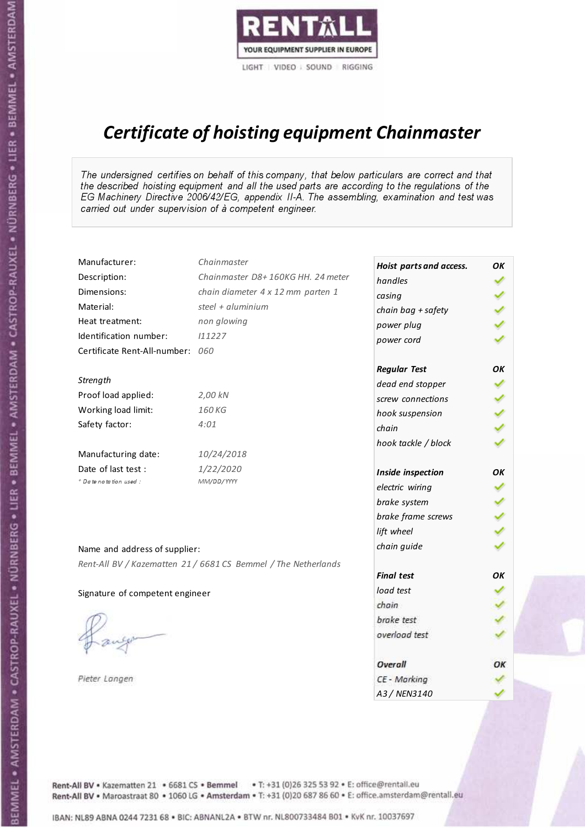

# Certificate of hoisting equipment Chainmaster

The undersigned certifies on behalf of this company, that below particulars are correct and that the described hoisting equipment and all the used parts are according to the regulations of the EG Machinery Directive 2006/42/EG, appendix II-A. The assembling, examination and test was carried out under supervision of à competent engineer.

| Manufacturer:                    | Chainmaster                                                    | Hoist parts and access. | OK |
|----------------------------------|----------------------------------------------------------------|-------------------------|----|
| Description:                     | Chainmaster D8+160KG HH. 24 meter                              | handles                 |    |
| Dimensions:                      | chain diameter 4 x 12 mm parten 1                              | casing                  |    |
| Material:                        | steel + aluminium                                              | chain bag + safety      |    |
| Heat treatment:                  | non glowing                                                    | power plug              |    |
| Identification number:           | 111227                                                         | power cord              |    |
| Certificate Rent-All-number: 060 |                                                                |                         |    |
|                                  |                                                                | <b>Regular Test</b>     | ΟK |
| Strength                         |                                                                | dead end stopper        | ✔  |
| Proof load applied:              | 2,00 kN                                                        | screw connections       |    |
| Working load limit:              | 160KG                                                          | hook suspension         |    |
| Safety factor:                   | 4:01                                                           | chain                   | くり |
|                                  |                                                                | hook tackle / block     |    |
| Manufacturing date:              | 10/24/2018                                                     |                         |    |
| Date of last test :              | 1/22/2020                                                      | Inside inspection       | ОΚ |
| + Date notation used:            | MM/DD/YYYY                                                     | electric wiring         |    |
|                                  |                                                                | brake system            |    |
|                                  |                                                                | brake frame screws      |    |
|                                  |                                                                | lift wheel              |    |
| Name and address of supplier:    |                                                                | chain guide             |    |
|                                  | Rent-All BV / Kazematten 21 / 6681 CS Bemmel / The Netherlands |                         |    |
|                                  |                                                                | <b>Final test</b>       | ΟK |
| Signature of competent engineer  |                                                                | load test               |    |
|                                  |                                                                | chain                   |    |
|                                  |                                                                | brake test              |    |
|                                  |                                                                | overload test           |    |
|                                  |                                                                | Overall                 | OK |
| Pieter Langen                    |                                                                | CE - Marking            |    |
|                                  |                                                                | A3 / NEN3140            |    |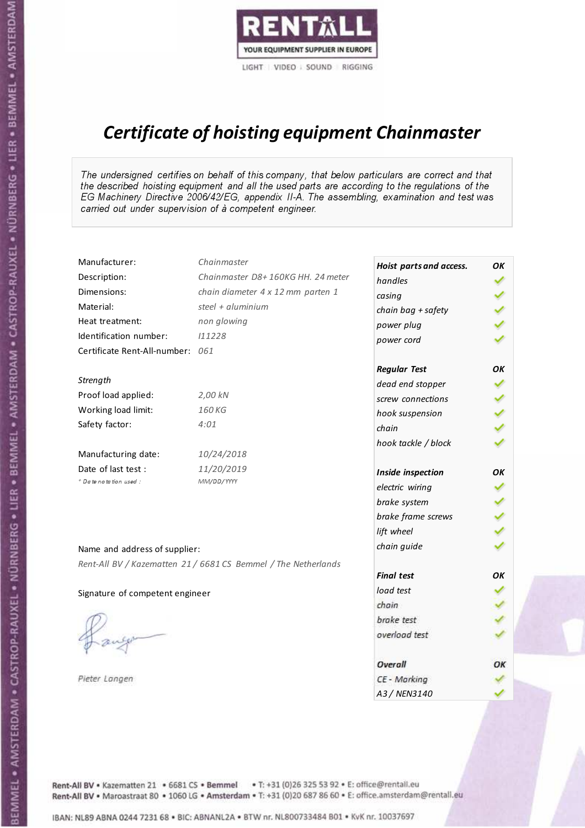

# Certificate of hoisting equipment Chainmaster

The undersigned certifies on behalf of this company, that below particulars are correct and that the described hoisting equipment and all the used parts are according to the regulations of the EG Machinery Directive 2006/42/EG, appendix II-A. The assembling, examination and test was carried out under supervision of à competent engineer.

| Manufacturer:                    | Chainmaster                                                    | Hoist parts and access. | OK  |
|----------------------------------|----------------------------------------------------------------|-------------------------|-----|
| Description:                     | Chainmaster D8+160KG HH. 24 meter                              | handles                 |     |
| Dimensions:                      | chain diameter 4 x 12 mm parten 1                              | casing                  |     |
| Material:                        | steel + aluminium                                              | chain bag + safety      |     |
| Heat treatment:                  | non glowing                                                    | power plug              |     |
| Identification number:           | 111228                                                         | power cord              |     |
| Certificate Rent-All-number: 061 |                                                                |                         |     |
|                                  |                                                                | <b>Regular Test</b>     | OK  |
| Strength                         |                                                                | dead end stopper        | ✔   |
| Proof load applied:              | 2,00 kN                                                        | screw connections       |     |
| Working load limit:              | 160KG                                                          | hook suspension         |     |
| Safety factor:                   | 4:01                                                           | chain                   | くくく |
|                                  |                                                                | hook tackle / block     |     |
| Manufacturing date:              | 10/24/2018                                                     |                         |     |
| Date of last test :              | 11/20/2019                                                     | Inside inspection       | OK  |
| * Date notation used :           | MM/DD/YYYY                                                     | electric wiring         |     |
|                                  |                                                                | brake system            |     |
|                                  |                                                                | brake frame screws      | くりょ |
|                                  |                                                                | lift wheel              |     |
| Name and address of supplier:    |                                                                | chain guide             |     |
|                                  | Rent-All BV / Kazematten 21 / 6681 CS Bemmel / The Netherlands |                         |     |
|                                  |                                                                | <b>Final test</b>       | OK  |
| Signature of competent engineer  |                                                                | load test               |     |
|                                  |                                                                | chain                   |     |
|                                  |                                                                | brake test              |     |
|                                  |                                                                | overload test           |     |
|                                  |                                                                | Overall                 | OK  |
| Pieter Langen                    |                                                                | CE - Marking            |     |
|                                  |                                                                | A3 / NEN3140            |     |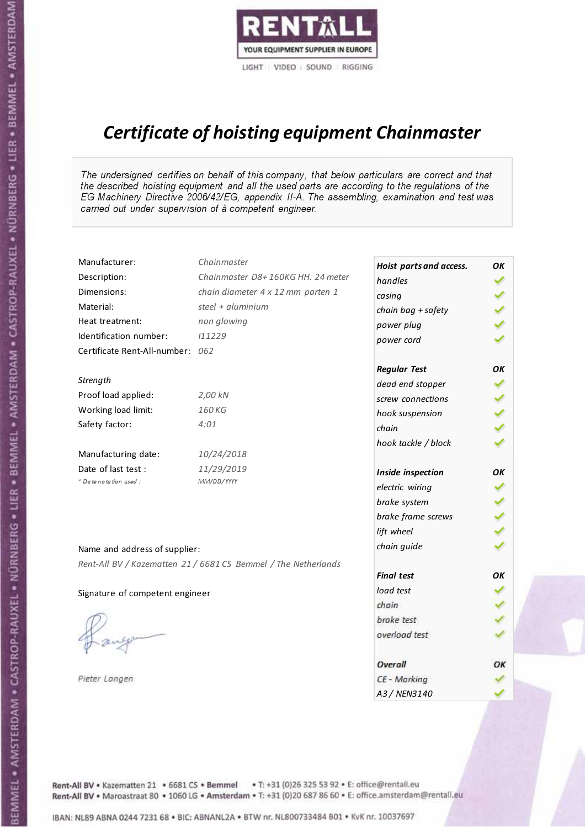

# Certificate of hoisting equipment Chainmaster

The undersigned certifies on behalf of this company, that below particulars are correct and that the described hoisting equipment and all the used parts are according to the regulations of the EG Machinery Directive 2006/42/EG, appendix II-A. The assembling, examination and test was carried out under supervision of à competent engineer.

| Manufacturer:                    | Chainmaster                                                    | Hoist parts and access. | OK |
|----------------------------------|----------------------------------------------------------------|-------------------------|----|
| Description:                     | Chainmaster D8+160KG HH. 24 meter                              | handles                 |    |
| Dimensions:                      | chain diameter 4 x 12 mm parten 1                              | casing                  |    |
| Material:                        | steel + aluminium                                              | chain bag + safety      |    |
| Heat treatment:                  | non glowing                                                    | power plug              |    |
| Identification number:           | 111229                                                         | power cord              |    |
| Certificate Rent-All-number: 062 |                                                                |                         |    |
|                                  |                                                                | <b>Regular Test</b>     | OK |
| Strength                         |                                                                | dead end stopper        | ✓  |
| Proof load applied:              | 2,00 kN                                                        | screw connections       |    |
| Working load limit:              | 160 KG                                                         | hook suspension         |    |
| Safety factor:                   | 4:01                                                           | chain                   | りょ |
|                                  |                                                                | hook tackle / block     |    |
| Manufacturing date:              | 10/24/2018                                                     |                         |    |
| Date of last test :              | 11/29/2019                                                     | Inside inspection       | OK |
| * Date notation used :           | MM/DD/YYYY                                                     | electric wiring         |    |
|                                  |                                                                | brake system            |    |
|                                  |                                                                | brake frame screws      |    |
|                                  |                                                                | lift wheel              |    |
| Name and address of supplier:    |                                                                | chain guide             |    |
|                                  | Rent-All BV / Kazematten 21 / 6681 CS Bemmel / The Netherlands |                         |    |
|                                  |                                                                | <b>Final test</b>       | OК |
| Signature of competent engineer  |                                                                | load test               |    |
|                                  |                                                                | chain                   |    |
|                                  |                                                                | brake test              |    |
|                                  |                                                                | overload test           |    |
|                                  |                                                                | Overall                 | ОК |
| Pieter Langen                    |                                                                | CE - Marking            |    |
|                                  |                                                                | A3 / NEN3140            |    |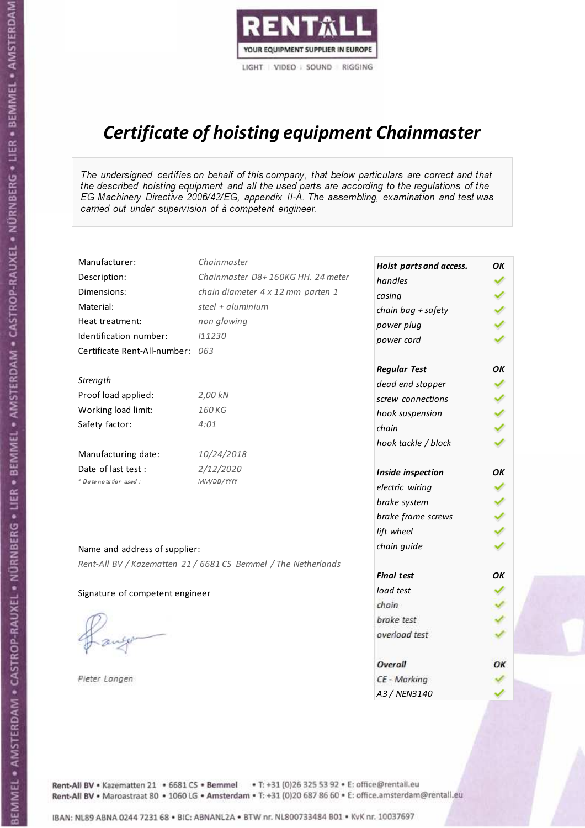

# Certificate of hoisting equipment Chainmaster

The undersigned certifies on behalf of this company, that below particulars are correct and that the described hoisting equipment and all the used parts are according to the regulations of the EG Machinery Directive 2006/42/EG, appendix II-A. The assembling, examination and test was carried out under supervision of à competent engineer.

| Manufacturer:                    | Chainmaster                                                    | Hoist parts and access. | OK  |
|----------------------------------|----------------------------------------------------------------|-------------------------|-----|
| Description:                     | Chainmaster D8+160KG HH. 24 meter                              | handles                 |     |
| Dimensions:                      | chain diameter 4 x 12 mm parten 1                              | casing                  |     |
| Material:                        | steel + aluminium                                              | chain bag + safety      |     |
| Heat treatment:                  | non glowing                                                    | power plug              |     |
| Identification number:           | 111230                                                         | power cord              |     |
| Certificate Rent-All-number: 063 |                                                                |                         |     |
|                                  |                                                                | <b>Regular Test</b>     | OK  |
| Strength                         |                                                                | dead end stopper        | ✔   |
| Proof load applied:              | 2,00 kN                                                        | screw connections       |     |
| Working load limit:              | 160 KG                                                         | hook suspension         |     |
| Safety factor:                   | 4:01                                                           | chain                   | くくく |
|                                  |                                                                | hook tackle / block     |     |
| Manufacturing date:              | 10/24/2018                                                     |                         |     |
| Date of last test :              | 2/12/2020                                                      | Inside inspection       | ОΚ  |
| + Date notation used :           | MM/DD/YYYY                                                     | electric wiring         |     |
|                                  |                                                                | brake system            |     |
|                                  |                                                                | brake frame screws      | くくく |
|                                  |                                                                | lift wheel              |     |
| Name and address of supplier:    |                                                                | chain guide             |     |
|                                  | Rent-All BV / Kazematten 21 / 6681 CS Bemmel / The Netherlands |                         |     |
|                                  |                                                                | <b>Final test</b>       | OK  |
| Signature of competent engineer  |                                                                | load test               |     |
|                                  |                                                                | chain                   |     |
|                                  |                                                                | brake test              |     |
|                                  |                                                                | overload test           |     |
|                                  |                                                                | Overall                 | OK  |
| Pieter Langen                    |                                                                | CE - Marking            |     |
|                                  |                                                                | A3 / NEN3140            |     |

BEMMEL • AMSTERDAM • CASTROP-RAUXEL • NÜRNBERG • LIER • BEMMEL • AMSTERDAM • CASTROP-RAUXEL • NÜRNBERG • LIER • BEMMEL • AMSTERDAM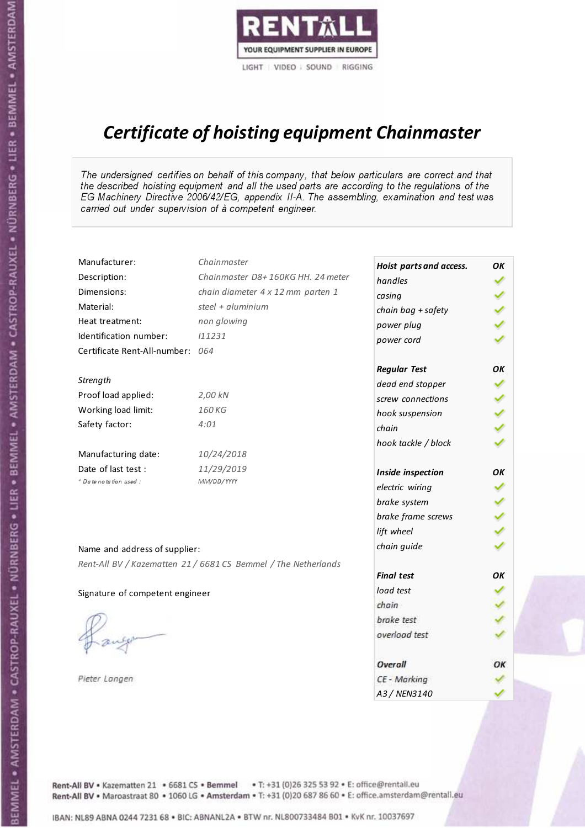

# Certificate of hoisting equipment Chainmaster

The undersigned certifies on behalf of this company, that below particulars are correct and that the described hoisting equipment and all the used parts are according to the regulations of the EG Machinery Directive 2006/42/EG, appendix II-A. The assembling, examination and test was carried out under supervision of à competent engineer.

| Manufacturer:                    | Chainmaster                                                    | Hoist parts and access. | OK  |
|----------------------------------|----------------------------------------------------------------|-------------------------|-----|
| Description:                     | Chainmaster D8+160KG HH. 24 meter                              | handles                 |     |
| Dimensions:                      | chain diameter 4 x 12 mm parten 1                              | casing                  |     |
| Material:                        | steel + aluminium                                              | chain bag + safety      |     |
| Heat treatment:                  | non glowing                                                    | power plug              |     |
| Identification number:           | 111231                                                         | power cord              |     |
| Certificate Rent-All-number: 064 |                                                                |                         |     |
|                                  |                                                                | <b>Regular Test</b>     | OK  |
| Strength                         |                                                                | dead end stopper        | ✔   |
| Proof load applied:              | 2,00 kN                                                        | screw connections       |     |
| Working load limit:              | 160KG                                                          | hook suspension         |     |
| Safety factor:                   | 4:01                                                           | chain                   | くくく |
|                                  |                                                                | hook tackle / block     |     |
| Manufacturing date:              | 10/24/2018                                                     |                         |     |
| Date of last test :              | 11/29/2019                                                     | Inside inspection       | OK  |
| * Date notation used :           | MM/DD/YYYY                                                     | electric wiring         |     |
|                                  |                                                                | brake system            |     |
|                                  |                                                                | brake frame screws      | くくく |
|                                  |                                                                | lift wheel              |     |
| Name and address of supplier:    |                                                                | chain guide             |     |
|                                  | Rent-All BV / Kazematten 21 / 6681 CS Bemmel / The Netherlands |                         |     |
|                                  |                                                                | <b>Final test</b>       | OK  |
| Signature of competent engineer  |                                                                | load test               |     |
|                                  |                                                                | chain                   |     |
|                                  |                                                                | brake test              |     |
|                                  |                                                                | overload test           |     |
|                                  |                                                                | Overall                 | OK  |
| Pieter Langen                    |                                                                | CE - Marking            |     |
|                                  |                                                                | A3 / NEN3140            |     |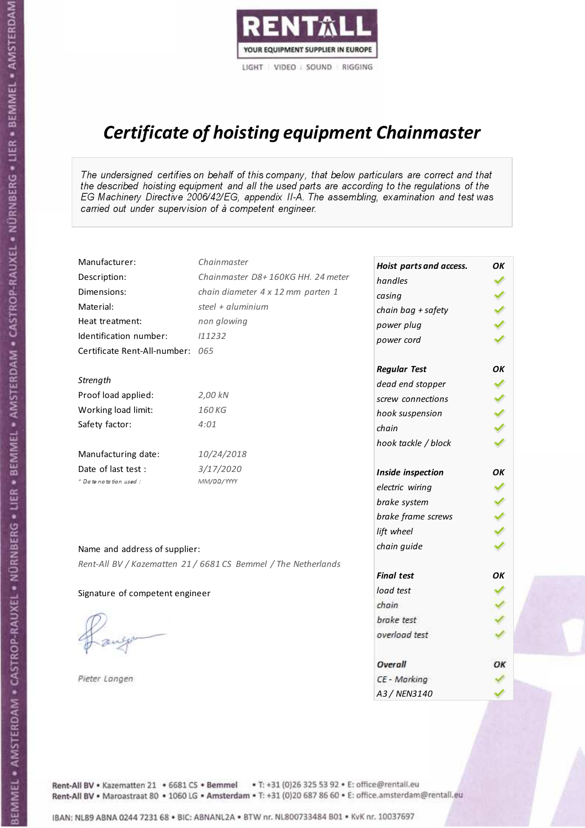

# Certificate of hoisting equipment Chainmaster

The undersigned certifies on behalf of this company, that below particulars are correct and that the described hoisting equipment and all the used parts are according to the regulations of the EG Machinery Directive 2006/42/EG, appendix II-A. The assembling, examination and test was carried out under supervision of à competent engineer.

| Manufacturer:                    | Chainmaster                                                    | Hoist parts and access. | OK |
|----------------------------------|----------------------------------------------------------------|-------------------------|----|
| Description:                     | Chainmaster D8+160KG HH. 24 meter                              | handles                 |    |
| Dimensions:                      | chain diameter 4 x 12 mm parten 1                              | casing                  |    |
| Material:                        | steel + aluminium                                              | chain bag + safety      |    |
| Heat treatment:                  | non glowing                                                    | power plug              |    |
| Identification number:           | 111232                                                         | power cord              |    |
| Certificate Rent-All-number: 065 |                                                                |                         |    |
|                                  |                                                                | <b>Regular Test</b>     | OK |
| Strength                         |                                                                | dead end stopper        | ✔  |
| Proof load applied:              | 2,00 kN                                                        | screw connections       |    |
| Working load limit:              | 160KG                                                          | hook suspension         |    |
| Safety factor:                   | 4:01                                                           | chain                   | りょ |
|                                  |                                                                | hook tackle / block     |    |
| Manufacturing date:              | 10/24/2018                                                     |                         |    |
| Date of last test :              | 3/17/2020                                                      | Inside inspection       | OK |
| + Date notation used :           | MM/DD/YYYY                                                     | electric wiring         |    |
|                                  |                                                                | brake system            |    |
|                                  |                                                                | brake frame screws      |    |
|                                  |                                                                | lift wheel              |    |
| Name and address of supplier:    |                                                                | chain guide             |    |
|                                  | Rent-All BV / Kazematten 21 / 6681 CS Bemmel / The Netherlands |                         |    |
|                                  |                                                                | <b>Final test</b>       | OK |
| Signature of competent engineer  |                                                                | load test               |    |
|                                  |                                                                | chain                   |    |
|                                  |                                                                | brake test              |    |
|                                  |                                                                | overload test           |    |
|                                  |                                                                | Overall                 | OK |
| Pieter Langen                    |                                                                | CE - Marking            |    |
|                                  |                                                                | A3 / NEN3140            |    |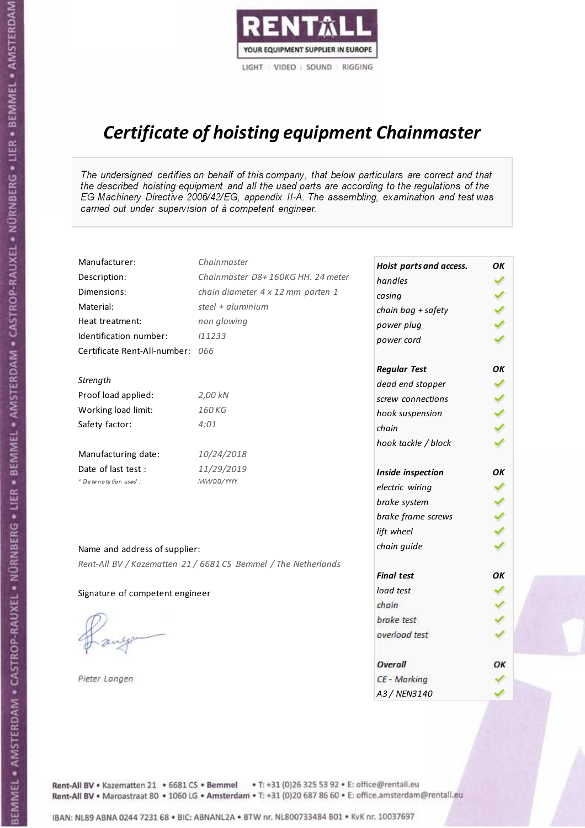

# Certificate of hoisting equipment Chainmaster

The undersigned certifies on behalf of this company, that below particulars are correct and that the described hoisting equipment and all the used parts are according to the regulations of the EG Machinery Directive 2006/42/EG, appendix II-A. The assembling, examination and test was carried out under supervision of à competent engineer.

| Manufacturer:                    | Chainmaster                                                    | Hoist parts and access. | OK  |
|----------------------------------|----------------------------------------------------------------|-------------------------|-----|
| Description:                     | Chainmaster D8+160KG HH. 24 meter                              | handles                 |     |
| Dimensions:                      | chain diameter 4 x 12 mm parten 1                              | casing                  |     |
| Material:                        | steel + aluminium                                              | chain bag + safety      |     |
| Heat treatment:                  | non glowing                                                    | power plug              |     |
| Identification number:           | 111233                                                         | power cord              |     |
| Certificate Rent-All-number: 066 |                                                                |                         |     |
|                                  |                                                                | <b>Regular Test</b>     | OK  |
| Strength                         |                                                                | dead end stopper        | ✔   |
| Proof load applied:              | 2,00 kN                                                        | screw connections       |     |
| Working load limit:              | 160KG                                                          | hook suspension         |     |
| Safety factor:                   | 4:01                                                           | chain                   | くくく |
|                                  |                                                                | hook tackle / block     |     |
| Manufacturing date:              | 10/24/2018                                                     |                         |     |
| Date of last test :              | 11/29/2019                                                     | Inside inspection       | OK  |
| * Date notation used :           | MM/DD/YYYY                                                     | electric wiring         |     |
|                                  |                                                                | brake system            |     |
|                                  |                                                                | brake frame screws      | くりょ |
|                                  |                                                                | lift wheel              |     |
| Name and address of supplier:    |                                                                | chain guide             |     |
|                                  | Rent-All BV / Kazematten 21 / 6681 CS Bemmel / The Netherlands |                         |     |
|                                  |                                                                | <b>Final test</b>       | OK  |
| Signature of competent engineer  |                                                                | load test               |     |
|                                  |                                                                | chain                   |     |
|                                  |                                                                | brake test              |     |
|                                  |                                                                | overload test           |     |
|                                  |                                                                | Overall                 | OK  |
| Pieter Langen                    |                                                                | CE - Marking            |     |
|                                  |                                                                | A3 / NEN3140            |     |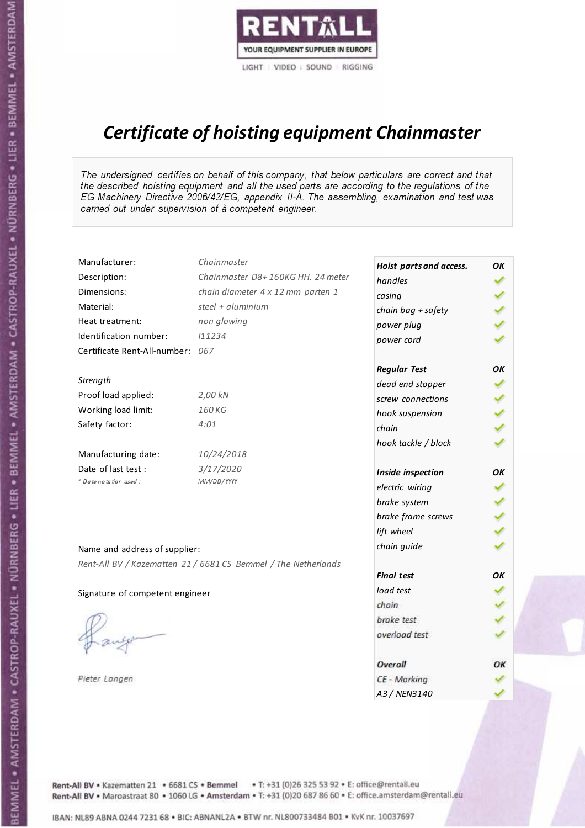

# Certificate of hoisting equipment Chainmaster

The undersigned certifies on behalf of this company, that below particulars are correct and that the described hoisting equipment and all the used parts are according to the regulations of the EG Machinery Directive 2006/42/EG, appendix II-A. The assembling, examination and test was carried out under supervision of à competent engineer.

| Manufacturer:                    | Chainmaster                                                    | Hoist parts and access. | OK  |
|----------------------------------|----------------------------------------------------------------|-------------------------|-----|
| Description:                     | Chainmaster D8+160KG HH. 24 meter                              | handles                 |     |
| Dimensions:                      | chain diameter 4 x 12 mm parten 1                              | casing                  |     |
| Material:                        | steel + aluminium                                              | chain bag + safety      |     |
| Heat treatment:                  | non glowing                                                    | power plug              |     |
| Identification number:           | 111234                                                         | power cord              |     |
| Certificate Rent-All-number: 067 |                                                                |                         |     |
|                                  |                                                                | <b>Regular Test</b>     | OK  |
| Strength                         |                                                                | dead end stopper        | ✔   |
| Proof load applied:              | 2,00 kN                                                        | screw connections       |     |
| Working load limit:              | 160KG                                                          | hook suspension         | くりょ |
| Safety factor:                   | 4:01                                                           | chain                   |     |
|                                  |                                                                | hook tackle / block     |     |
| Manufacturing date:              | 10/24/2018                                                     |                         |     |
| Date of last test :              | 3/17/2020                                                      | Inside inspection       | OK  |
| + Date notation used :           | MM/DD/YYYY                                                     | electric wiring         |     |
|                                  |                                                                | brake system            |     |
|                                  |                                                                | brake frame screws      |     |
|                                  |                                                                | lift wheel              |     |
| Name and address of supplier:    |                                                                | chain guide             |     |
|                                  | Rent-All BV / Kazematten 21 / 6681 CS Bemmel / The Netherlands |                         |     |
|                                  |                                                                | <b>Final test</b>       | OK  |
| Signature of competent engineer  |                                                                | load test               |     |
|                                  |                                                                | chain                   |     |
|                                  |                                                                | brake test              |     |
|                                  |                                                                | overload test           |     |
|                                  |                                                                | Overall                 | OK  |
| Pieter Langen                    |                                                                | CE - Marking            |     |
|                                  |                                                                | A3 / NEN3140            |     |

BEMMEL • AMSTERDAM • CASTROP-RAUXEL • NÜRNBERG • LIER • BEMMEL • AMSTERDAM • CASTROP-RAUXEL • NÜRNBERG • LIER • BEMMEL • AMSTERDAM

Rent-All BV . Kazematten 21 . 6681 CS . Bemmel . T: +31 (0)26 325 53 92 . E: office@rentall.eu Rent-All BV · Maroastraat 80 · 1060 LG · Amsterdam · T: +31 (0)20 687 86 60 · E: office.amsterdam@rentall.eu

IBAN: NL89 ABNA 0244 7231 68 . BIC: ABNANL2A . BTW nr. NL800733484 B01 . KyK nr. 10037697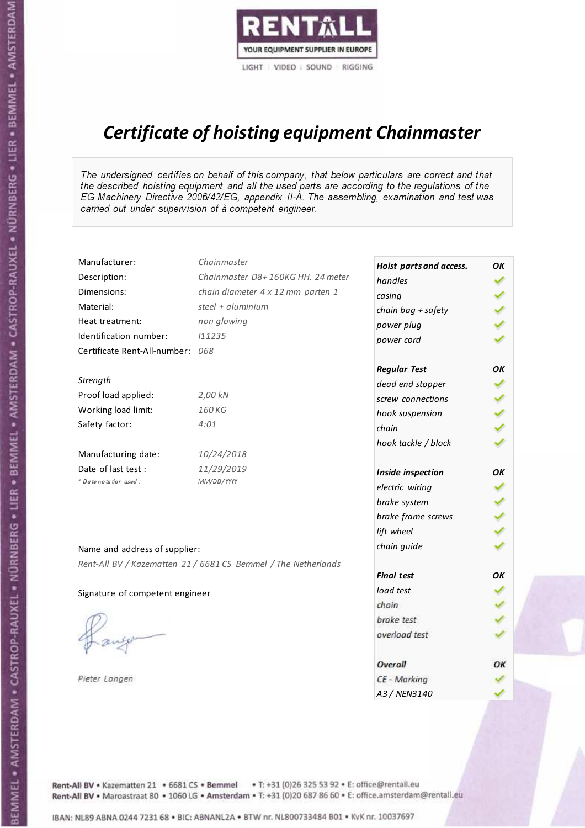

# Certificate of hoisting equipment Chainmaster

The undersigned certifies on behalf of this company, that below particulars are correct and that the described hoisting equipment and all the used parts are according to the regulations of the EG Machinery Directive 2006/42/EG, appendix II-A. The assembling, examination and test was carried out under supervision of à competent engineer.

| Manufacturer:                   | Chainmaster                                                    | Hoist parts and access. | OK |
|---------------------------------|----------------------------------------------------------------|-------------------------|----|
| Description:                    | Chainmaster D8+160KG HH. 24 meter                              | handles                 |    |
| Dimensions:                     | chain diameter 4 x 12 mm parten 1                              | casing                  |    |
| Material:                       | steel + aluminium                                              | chain bag + safety      |    |
| Heat treatment:                 | non glowing                                                    | power plug              |    |
| Identification number:          | 111235                                                         | power cord              |    |
| Certificate Rent-All-number:    | 068                                                            |                         |    |
|                                 |                                                                | <b>Regular Test</b>     | ΟK |
| Strength                        |                                                                | dead end stopper        | ✔  |
| Proof load applied:             | 2,00 kN                                                        | screw connections       |    |
| Working load limit:             | 160 KG                                                         | hook suspension         |    |
| Safety factor:                  | 4:01                                                           | chain                   | くり |
|                                 |                                                                | hook tackle / block     |    |
| Manufacturing date:             | 10/24/2018                                                     |                         |    |
| Date of last test :             | 11/29/2019                                                     | Inside inspection       | OK |
| * Date notation used :          | MM/DD/YYYY                                                     | electric wiring         |    |
|                                 |                                                                | brake system            |    |
|                                 |                                                                | brake frame screws      |    |
|                                 |                                                                | lift wheel              |    |
| Name and address of supplier:   |                                                                | chain guide             |    |
|                                 | Rent-All BV / Kazematten 21 / 6681 CS Bemmel / The Netherlands |                         |    |
|                                 |                                                                | <b>Final test</b>       | OK |
| Signature of competent engineer |                                                                | load test               |    |
|                                 |                                                                | chain                   |    |
|                                 |                                                                | brake test              |    |
|                                 |                                                                | overload test           |    |
|                                 |                                                                | Overall                 | OK |
| Pieter Langen                   |                                                                | CE - Marking            |    |
|                                 |                                                                | A3 / NEN3140            |    |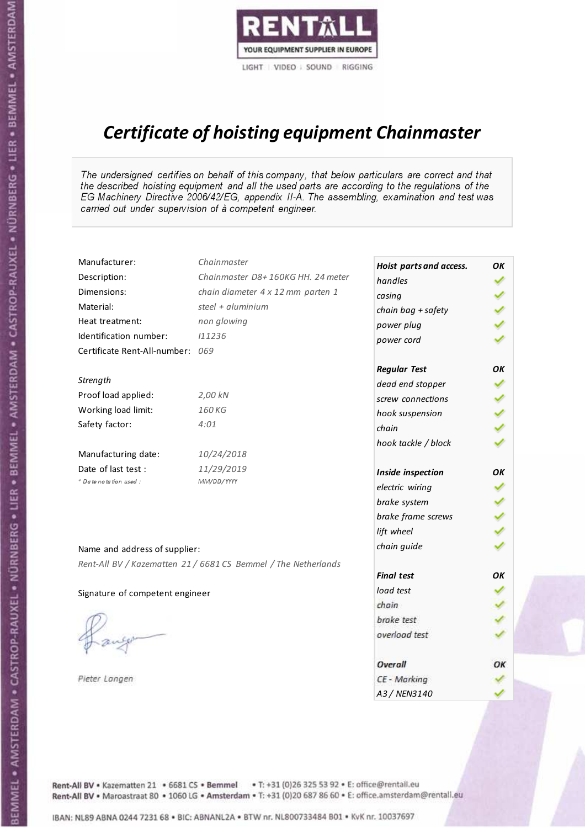

# Certificate of hoisting equipment Chainmaster

The undersigned certifies on behalf of this company, that below particulars are correct and that the described hoisting equipment and all the used parts are according to the regulations of the EG Machinery Directive 2006/42/EG, appendix II-A. The assembling, examination and test was carried out under supervision of à competent engineer.

| Manufacturer:                    | Chainmaster                                                    | Hoist parts and access. | ΟK |
|----------------------------------|----------------------------------------------------------------|-------------------------|----|
| Description:                     | Chainmaster D8+160KG HH. 24 meter                              | handles                 |    |
| Dimensions:                      | chain diameter 4 x 12 mm parten 1                              | casing                  |    |
| Material:                        | steel + aluminium                                              | chain bag + safety      |    |
| Heat treatment:                  | non glowing                                                    | power plug              |    |
| Identification number:           | 111236                                                         | power cord              |    |
| Certificate Rent-All-number: 069 |                                                                |                         |    |
|                                  |                                                                | <b>Regular Test</b>     | OK |
| Strength                         |                                                                | dead end stopper        | ✓  |
| Proof load applied:              | 2,00 kN                                                        | screw connections       |    |
| Working load limit:              | 160 KG                                                         | hook suspension         |    |
| Safety factor:                   | 4:01                                                           | chain                   |    |
|                                  |                                                                | hook tackle / block     |    |
| Manufacturing date:              | 10/24/2018                                                     |                         |    |
| Date of last test :              | 11/29/2019                                                     | Inside inspection       | ОΚ |
| + Date notation used:            | MM/DD/YYYY                                                     | electric wiring         |    |
|                                  |                                                                | brake system            |    |
|                                  |                                                                | brake frame screws      |    |
|                                  |                                                                | lift wheel              |    |
|                                  |                                                                | chain guide             |    |
| Name and address of supplier:    |                                                                |                         |    |
|                                  | Rent-All BV / Kazematten 21 / 6681 CS Bemmel / The Netherlands | <b>Final test</b>       | OK |
|                                  |                                                                | load test               |    |
| Signature of competent engineer  |                                                                | chain                   |    |
|                                  |                                                                | brake test              |    |
|                                  |                                                                | overload test           |    |
|                                  |                                                                |                         |    |
|                                  |                                                                | Overall                 | ОК |
| Pieter Langen                    |                                                                | CE - Marking            |    |
|                                  |                                                                | A3 / NEN3140            |    |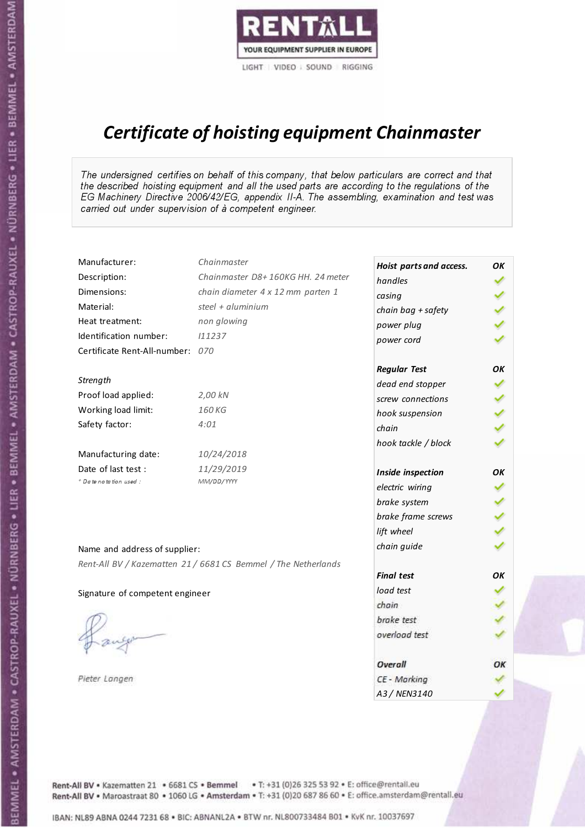

# Certificate of hoisting equipment Chainmaster

The undersigned certifies on behalf of this company, that below particulars are correct and that the described hoisting equipment and all the used parts are according to the regulations of the EG Machinery Directive 2006/42/EG, appendix II-A. The assembling, examination and test was carried out under supervision of à competent engineer.

| Manufacturer:                    | Chainmaster                                                    | Hoist parts and access. | OK  |
|----------------------------------|----------------------------------------------------------------|-------------------------|-----|
| Description:                     | Chainmaster D8+160KG HH. 24 meter                              | handles                 |     |
| Dimensions:                      | chain diameter 4 x 12 mm parten 1                              | casing                  |     |
| Material:                        | steel + aluminium                                              | chain bag + safety      |     |
| Heat treatment:                  | non glowing                                                    | power plug              |     |
| Identification number:           | 111237                                                         | power cord              |     |
| Certificate Rent-All-number: 070 |                                                                |                         |     |
|                                  |                                                                | <b>Regular Test</b>     | OK  |
| Strength                         |                                                                | dead end stopper        | ✔   |
| Proof load applied:              | 2,00 kN                                                        | screw connections       |     |
| Working load limit:              | 160KG                                                          | hook suspension         |     |
| Safety factor:                   | 4:01                                                           | chain                   | くくく |
|                                  |                                                                | hook tackle / block     |     |
| Manufacturing date:              | 10/24/2018                                                     |                         |     |
| Date of last test :              | 11/29/2019                                                     | Inside inspection       | OK  |
| * Date notation used :           | MM/DD/YYYY                                                     | electric wiring         |     |
|                                  |                                                                | brake system            |     |
|                                  |                                                                | brake frame screws      | くくく |
|                                  |                                                                | lift wheel              |     |
| Name and address of supplier:    |                                                                | chain guide             |     |
|                                  | Rent-All BV / Kazematten 21 / 6681 CS Bemmel / The Netherlands |                         |     |
|                                  |                                                                | <b>Final test</b>       | OK  |
| Signature of competent engineer  |                                                                | load test               |     |
|                                  |                                                                | chain                   |     |
|                                  |                                                                | brake test              |     |
|                                  |                                                                | overload test           |     |
|                                  |                                                                | Overall                 | OK  |
| Pieter Langen                    |                                                                | CE - Marking            |     |
|                                  |                                                                | A3 / NEN3140            |     |

BEMMEL • AMSTERDAM • CASTROP-RAUXEL • NÜRNBERG • LIER • BEMMEL • AMSTERDAM • CASTROP-RAUXEL • NÜRNBERG • LIER • BEMMEL • AMSTERDAM

Rent-All BV . Kazematten 21 . 6681 CS . Bemmel . T: +31 (0)26 325 53 92 . E: office@rentall.eu Rent-All BV · Maroastraat 80 · 1060 LG · Amsterdam · T: +31 (0)20 687 86 60 · E: office.amsterdam@rentall.eu

IBAN: NL89 ABNA 0244 7231 68 . BIC: ABNANL2A . BTW nr. NL800733484 B01 . KyK nr. 10037697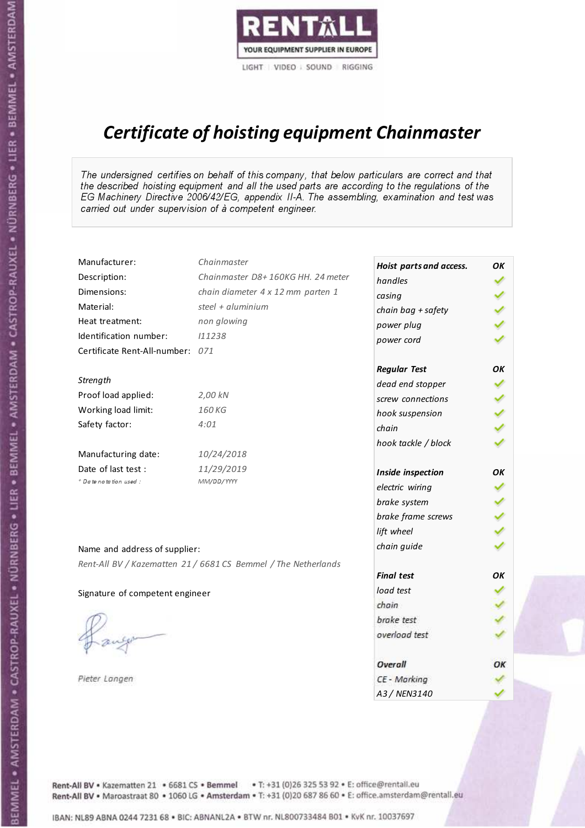

# Certificate of hoisting equipment Chainmaster

The undersigned certifies on behalf of this company, that below particulars are correct and that the described hoisting equipment and all the used parts are according to the regulations of the EG Machinery Directive 2006/42/EG, appendix II-A. The assembling, examination and test was carried out under supervision of à competent engineer.

| Manufacturer:                    | Chainmaster                                                    | Hoist parts and access. | OK |
|----------------------------------|----------------------------------------------------------------|-------------------------|----|
| Description:                     | Chainmaster D8+160KG HH. 24 meter                              | handles                 |    |
| Dimensions:                      | chain diameter 4 x 12 mm parten 1                              | casing                  |    |
| Material:                        | steel + aluminium                                              | chain bag + safety      |    |
| Heat treatment:                  | non glowing                                                    | power plug              |    |
| Identification number:           | 111238                                                         | power cord              |    |
| Certificate Rent-All-number: 071 |                                                                |                         |    |
|                                  |                                                                | <b>Regular Test</b>     | OK |
| Strength                         |                                                                | dead end stopper        | ✓  |
| Proof load applied:              | 2,00 kN                                                        | screw connections       |    |
| Working load limit:              | 160 KG                                                         | hook suspension         |    |
| Safety factor:                   | 4:01                                                           | chain                   | りょ |
|                                  |                                                                | hook tackle / block     |    |
| Manufacturing date:              | 10/24/2018                                                     |                         |    |
| Date of last test :              | 11/29/2019                                                     | Inside inspection       | OK |
| * Date notation used :           | MM/DD/YYYY                                                     | electric wiring         |    |
|                                  |                                                                | brake system            |    |
|                                  |                                                                | brake frame screws      |    |
|                                  |                                                                | lift wheel              |    |
| Name and address of supplier:    |                                                                | chain guide             |    |
|                                  | Rent-All BV / Kazematten 21 / 6681 CS Bemmel / The Netherlands |                         |    |
|                                  |                                                                | <b>Final test</b>       | OК |
| Signature of competent engineer  |                                                                | load test               |    |
|                                  |                                                                | chain                   |    |
|                                  |                                                                | brake test              |    |
|                                  |                                                                | overload test           |    |
|                                  |                                                                | Overall                 | ОК |
| Pieter Langen                    |                                                                | CE - Marking            |    |
|                                  |                                                                | A3 / NEN3140            |    |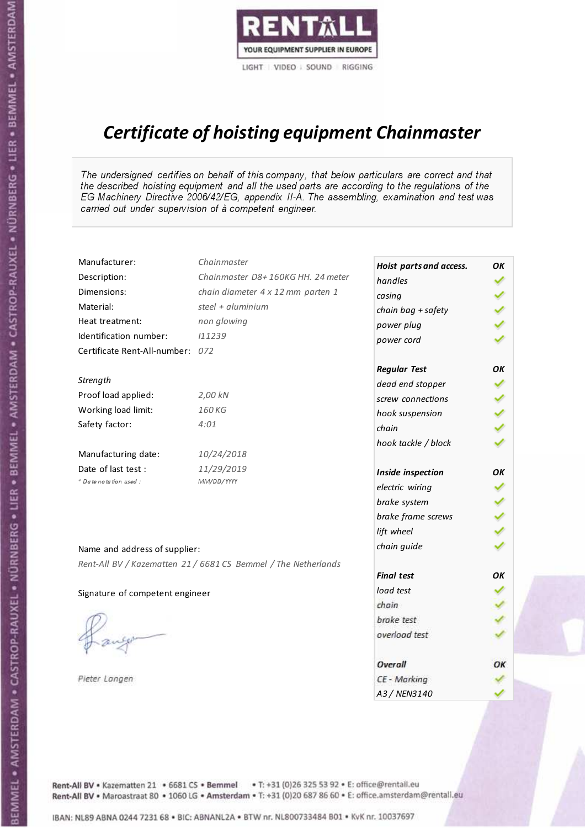

# Certificate of hoisting equipment Chainmaster

The undersigned certifies on behalf of this company, that below particulars are correct and that the described hoisting equipment and all the used parts are according to the regulations of the EG Machinery Directive 2006/42/EG, appendix II-A. The assembling, examination and test was carried out under supervision of à competent engineer.

| Manufacturer:                    | Chainmaster                                                    | Hoist parts and access. | OK  |
|----------------------------------|----------------------------------------------------------------|-------------------------|-----|
| Description:                     | Chainmaster D8+160KG HH. 24 meter                              | handles                 |     |
| Dimensions:                      | chain diameter 4 x 12 mm parten 1                              | casing                  |     |
| Material:                        | steel + aluminium                                              | chain bag + safety      |     |
| Heat treatment:                  | non glowing                                                    | power plug              |     |
| Identification number:           | 111239                                                         | power cord              |     |
| Certificate Rent-All-number: 072 |                                                                |                         |     |
|                                  |                                                                | <b>Regular Test</b>     | OK  |
| Strength                         |                                                                | dead end stopper        | ✔   |
| Proof load applied:              | 2,00 kN                                                        | screw connections       |     |
| Working load limit:              | 160 KG                                                         | hook suspension         |     |
| Safety factor:                   | 4:01                                                           | chain                   | くくく |
|                                  |                                                                | hook tackle / block     |     |
| Manufacturing date:              | 10/24/2018                                                     |                         |     |
| Date of last test :              | 11/29/2019                                                     | Inside inspection       | OK  |
| * Date notation used :           | MM/DD/YYYY                                                     | electric wiring         |     |
|                                  |                                                                | brake system            |     |
|                                  |                                                                | brake frame screws      | くくく |
|                                  |                                                                | lift wheel              |     |
| Name and address of supplier:    |                                                                | chain guide             |     |
|                                  | Rent-All BV / Kazematten 21 / 6681 CS Bemmel / The Netherlands |                         |     |
|                                  |                                                                | <b>Final test</b>       | OK  |
| Signature of competent engineer  |                                                                | load test               |     |
|                                  |                                                                | chain                   |     |
|                                  |                                                                | brake test              |     |
|                                  |                                                                | overload test           |     |
|                                  |                                                                | Overall                 | ОК  |
| Pieter Langen                    |                                                                | CE - Marking            |     |
|                                  |                                                                | A3 / NEN3140            |     |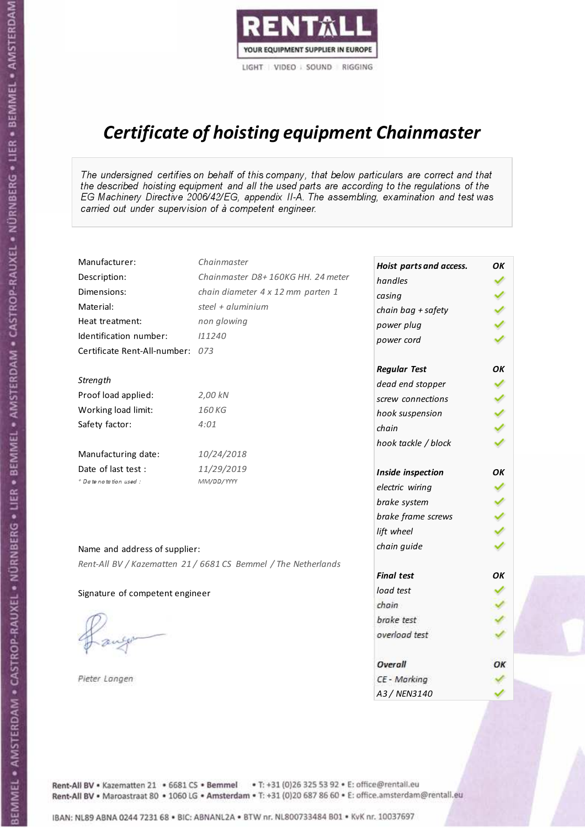

# Certificate of hoisting equipment Chainmaster

The undersigned certifies on behalf of this company, that below particulars are correct and that the described hoisting equipment and all the used parts are according to the regulations of the EG Machinery Directive 2006/42/EG, appendix II-A. The assembling, examination and test was carried out under supervision of à competent engineer.

| Manufacturer:                    | Chainmaster                                                    | Hoist parts and access. | OK  |
|----------------------------------|----------------------------------------------------------------|-------------------------|-----|
| Description:                     | Chainmaster D8+160KG HH. 24 meter                              | handles                 |     |
| Dimensions:                      | chain diameter 4 x 12 mm parten 1                              | casing                  |     |
| Material:                        | steel + aluminium                                              | chain bag + safety      |     |
| Heat treatment:                  | non glowing                                                    | power plug              |     |
| Identification number:           | 111240                                                         | power cord              |     |
| Certificate Rent-All-number: 073 |                                                                |                         |     |
|                                  |                                                                | <b>Regular Test</b>     | OK  |
| Strength                         |                                                                | dead end stopper        | ✔   |
| Proof load applied:              | 2,00 kN                                                        | screw connections       |     |
| Working load limit:              | 160KG                                                          | hook suspension         |     |
| Safety factor:                   | 4:01                                                           | chain                   | くくく |
|                                  |                                                                | hook tackle / block     |     |
| Manufacturing date:              | 10/24/2018                                                     |                         |     |
| Date of last test :              | 11/29/2019                                                     | Inside inspection       | ОΚ  |
| * Date notation used :           | MM/DD/YYYY                                                     | electric wiring         |     |
|                                  |                                                                | brake system            |     |
|                                  |                                                                | brake frame screws      | くくく |
|                                  |                                                                | lift wheel              |     |
| Name and address of supplier:    |                                                                | chain guide             |     |
|                                  | Rent-All BV / Kazematten 21 / 6681 CS Bemmel / The Netherlands |                         |     |
|                                  |                                                                | <b>Final test</b>       | OK  |
| Signature of competent engineer  |                                                                | load test               |     |
|                                  |                                                                | chain                   |     |
|                                  |                                                                | brake test              |     |
|                                  |                                                                | overload test           |     |
|                                  |                                                                | Overall                 | ОК  |
| Pieter Langen                    |                                                                | CE - Marking            |     |
|                                  |                                                                | A3 / NEN3140            |     |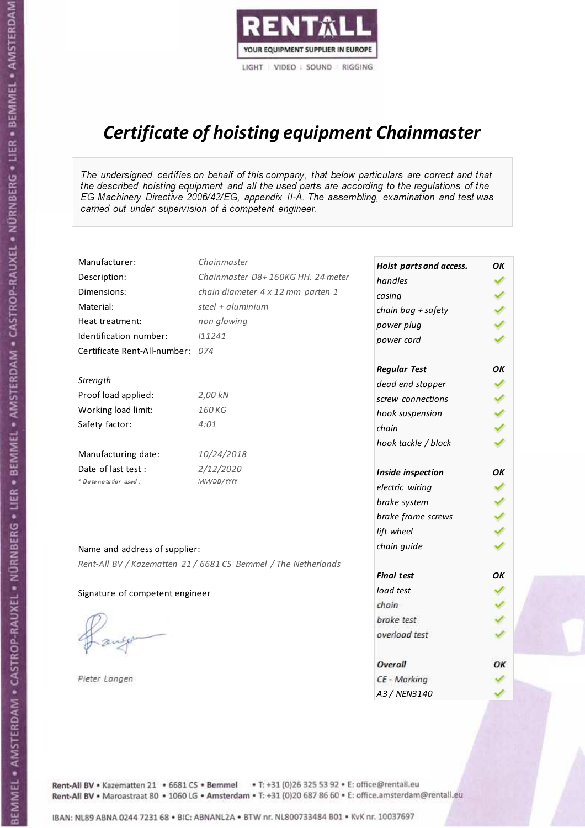

# Certificate of hoisting equipment Chainmaster

The undersigned certifies on behalf of this company, that below particulars are correct and that the described hoisting equipment and all the used parts are according to the regulations of the EG Machinery Directive 2006/42/EG, appendix II-A. The assembling, examination and test was carried out under supervision of à competent engineer.

| Manufacturer:                    | Chainmaster                                                    | Hoist parts and access. | OK   |
|----------------------------------|----------------------------------------------------------------|-------------------------|------|
| Description:                     | Chainmaster D8+160KG HH. 24 meter                              | handles                 |      |
| Dimensions:                      | chain diameter 4 x 12 mm parten 1                              | casing                  |      |
| Material:                        | steel + aluminium                                              | chain bag + safety      | ソソソン |
| Heat treatment:                  | non glowing                                                    | power plug              |      |
| Identification number:           | 111241                                                         | power cord              |      |
| Certificate Rent-All-number: 074 |                                                                |                         |      |
|                                  |                                                                | <b>Regular Test</b>     | OK   |
| Strength                         |                                                                | dead end stopper        | ✔    |
| Proof load applied:              | 2,00 kN                                                        | screw connections       |      |
| Working load limit:              | 160 KG                                                         | hook suspension         |      |
| Safety factor:                   | 4:01                                                           | chain                   | くくく  |
|                                  |                                                                | hook tackle / block     |      |
| Manufacturing date:              | 10/24/2018                                                     |                         |      |
| Date of last test :              | 2/12/2020                                                      | Inside inspection       | ΟK   |
| + Date notation used :           | MM/DD/YYYY                                                     | electric wiring         |      |
|                                  |                                                                | brake system            |      |
|                                  |                                                                | brake frame screws      | くりょ  |
|                                  |                                                                | lift wheel              |      |
| Name and address of supplier:    |                                                                | chain guide             |      |
|                                  | Rent-All BV / Kazematten 21 / 6681 CS Bemmel / The Netherlands |                         |      |
|                                  |                                                                | <b>Final test</b>       | OK   |
| Signature of competent engineer  |                                                                | load test               |      |
|                                  |                                                                | chain                   |      |
|                                  |                                                                | brake test              |      |
|                                  |                                                                | overload test           |      |
|                                  |                                                                | Overall                 | OK   |
| Pieter Langen                    |                                                                | CE - Marking            |      |
|                                  |                                                                | A3 / NEN3140            |      |

Rent-All BV . Kazematten 21 . 6681 CS . Bemmel . T: +31 (0)26 325 53 92 . E: office@rentall.eu Rent-All BV · Maroastraat 80 · 1060 LG · Amsterdam · T: +31 (0)20 687 86 60 · E: office.amsterdam@rentall.eu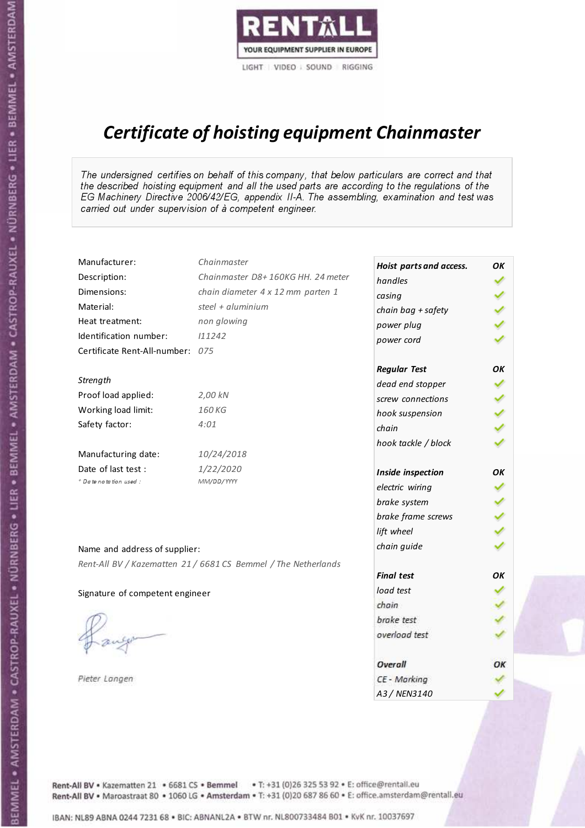

# Certificate of hoisting equipment Chainmaster

The undersigned certifies on behalf of this company, that below particulars are correct and that the described hoisting equipment and all the used parts are according to the regulations of the EG Machinery Directive 2006/42/EG, appendix II-A. The assembling, examination and test was carried out under supervision of à competent engineer.

| Manufacturer:                    | Chainmaster                                                    | Hoist parts and access. | OK |
|----------------------------------|----------------------------------------------------------------|-------------------------|----|
| Description:                     | Chainmaster D8+160KG HH. 24 meter                              | handles                 |    |
| Dimensions:                      | chain diameter 4 x 12 mm parten 1                              | casing                  |    |
| Material:                        | steel + aluminium                                              | chain bag + safety      |    |
| Heat treatment:                  | non glowing                                                    | power plug              |    |
| Identification number:           | 111242                                                         | power cord              |    |
| Certificate Rent-All-number: 075 |                                                                |                         |    |
|                                  |                                                                | <b>Regular Test</b>     | ΟK |
| Strength                         |                                                                | dead end stopper        | ✔  |
| Proof load applied:              | 2,00 kN                                                        | screw connections       | ✔  |
| Working load limit:              | 160 KG                                                         | hook suspension         |    |
| Safety factor:                   | 4:01                                                           | chain                   | りょ |
|                                  |                                                                | hook tackle / block     |    |
| Manufacturing date:              | 10/24/2018                                                     |                         |    |
| Date of last test :              | 1/22/2020                                                      | Inside inspection       | ΟK |
| * Date notation used :           | MM/DD/YYYY                                                     | electric wiring         |    |
|                                  |                                                                | brake system            |    |
|                                  |                                                                | brake frame screws      |    |
|                                  |                                                                | lift wheel              |    |
| Name and address of supplier:    |                                                                | chain guide             |    |
|                                  | Rent-All BV / Kazematten 21 / 6681 CS Bemmel / The Netherlands |                         |    |
|                                  |                                                                | <b>Final test</b>       | OK |
| Signature of competent engineer  |                                                                | load test               |    |
|                                  |                                                                | chain                   |    |
|                                  |                                                                | brake test              |    |
|                                  |                                                                | overload test           |    |
|                                  |                                                                | Overall                 | ОК |
| Pieter Langen                    |                                                                | CE - Marking            |    |
|                                  |                                                                | A3 / NEN3140            |    |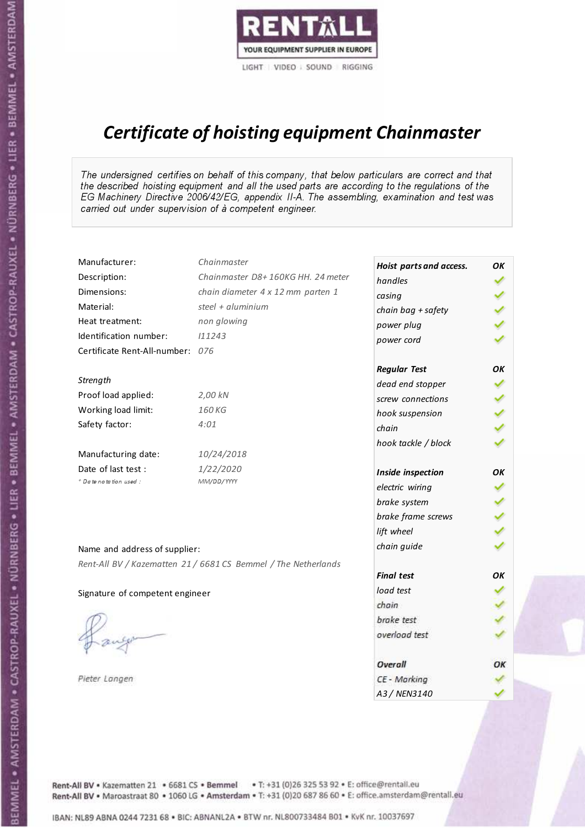

# Certificate of hoisting equipment Chainmaster

The undersigned certifies on behalf of this company, that below particulars are correct and that the described hoisting equipment and all the used parts are according to the regulations of the EG Machinery Directive 2006/42/EG, appendix II-A. The assembling, examination and test was carried out under supervision of à competent engineer.

| Manufacturer:                    | Chainmaster                                                    | Hoist parts and access. | OK |
|----------------------------------|----------------------------------------------------------------|-------------------------|----|
| Description:                     | Chainmaster D8+160KG HH. 24 meter                              | handles                 |    |
| Dimensions:                      | chain diameter 4 x 12 mm parten 1                              | casing                  |    |
| Material:                        | steel + aluminium                                              | chain bag + safety      |    |
| Heat treatment:                  | non glowing                                                    | power plug              |    |
| Identification number:           | 111243                                                         | power cord              |    |
| Certificate Rent-All-number: 076 |                                                                |                         |    |
|                                  |                                                                | <b>Regular Test</b>     | ΟK |
| Strength                         |                                                                | dead end stopper        | ✔  |
| Proof load applied:              | 2,00 kN                                                        | screw connections       | ✔  |
| Working load limit:              | 160 KG                                                         | hook suspension         |    |
| Safety factor:                   | 4:01                                                           | chain                   | りょ |
|                                  |                                                                | hook tackle / block     |    |
| Manufacturing date:              | 10/24/2018                                                     |                         |    |
| Date of last test :              | 1/22/2020                                                      | Inside inspection       | ΟK |
| * Date notation used :           | MM/DD/YYYY                                                     | electric wiring         |    |
|                                  |                                                                | brake system            |    |
|                                  |                                                                | brake frame screws      |    |
|                                  |                                                                | lift wheel              |    |
| Name and address of supplier:    |                                                                | chain guide             |    |
|                                  | Rent-All BV / Kazematten 21 / 6681 CS Bemmel / The Netherlands |                         |    |
|                                  |                                                                | <b>Final test</b>       | OK |
| Signature of competent engineer  |                                                                | load test               |    |
|                                  |                                                                | chain                   |    |
|                                  |                                                                | brake test              |    |
|                                  |                                                                | overload test           |    |
|                                  |                                                                | Overall                 | ОК |
| Pieter Langen                    |                                                                | CE - Marking            |    |
|                                  |                                                                | A3 / NEN3140            |    |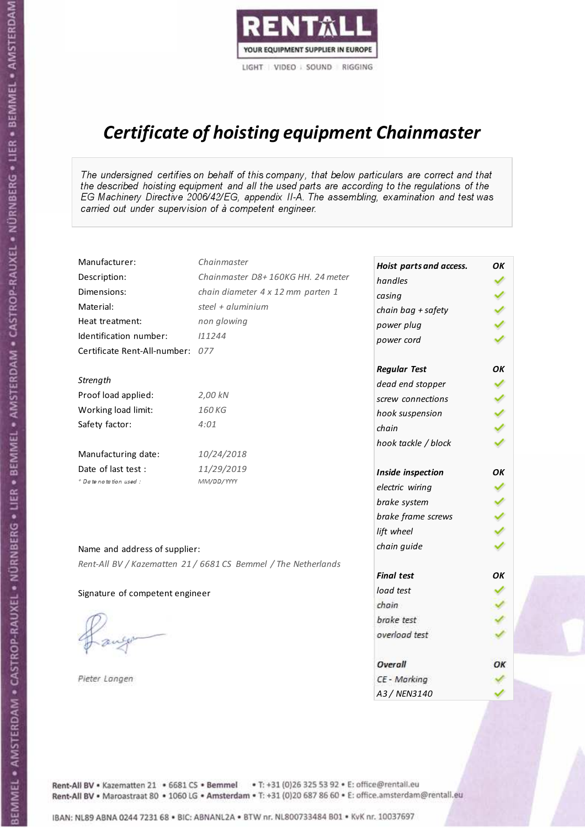

# Certificate of hoisting equipment Chainmaster

The undersigned certifies on behalf of this company, that below particulars are correct and that the described hoisting equipment and all the used parts are according to the regulations of the EG Machinery Directive 2006/42/EG, appendix II-A. The assembling, examination and test was carried out under supervision of à competent engineer.

| Manufacturer:                    | Chainmaster                                                    | Hoist parts and access. | OK  |
|----------------------------------|----------------------------------------------------------------|-------------------------|-----|
| Description:                     | Chainmaster D8+160KG HH. 24 meter                              | handles                 |     |
| Dimensions:                      | chain diameter 4 x 12 mm parten 1                              | casing                  |     |
| Material:                        | steel + $aluminim$                                             | chain bag + safety      |     |
| Heat treatment:                  | non glowing                                                    | power plug              |     |
| Identification number:           | 111244                                                         | power cord              |     |
| Certificate Rent-All-number: 077 |                                                                |                         |     |
|                                  |                                                                | <b>Regular Test</b>     | ΟK  |
| Strength                         |                                                                | dead end stopper        | ✔   |
| Proof load applied:              | 2,00 kN                                                        | screw connections       |     |
| Working load limit:              | 160KG                                                          | hook suspension         | くくく |
| Safety factor:                   | 4:01                                                           | chain                   |     |
|                                  |                                                                | hook tackle / block     |     |
| Manufacturing date:              | 10/24/2018                                                     |                         |     |
| Date of last test :              | 11/29/2019                                                     | Inside inspection       | ОΚ  |
| + Date notation used:            | MM/DD/YYYY                                                     | electric wiring         |     |
|                                  |                                                                | brake system            | ✔   |
|                                  |                                                                | brake frame screws      |     |
|                                  |                                                                | lift wheel              | りょ  |
| Name and address of supplier:    |                                                                | chain guide             |     |
|                                  | Rent-All BV / Kazematten 21 / 6681 CS Bemmel / The Netherlands |                         |     |
|                                  |                                                                | <b>Final test</b>       | ΟK  |
| Signature of competent engineer  |                                                                | load test               |     |
|                                  |                                                                | chain                   |     |
|                                  |                                                                | brake test              |     |
|                                  |                                                                | overload test           |     |
|                                  |                                                                | Overall                 | OK  |
| Pieter Langen                    |                                                                | CE - Marking            |     |
|                                  |                                                                | A3 / NEN3140            |     |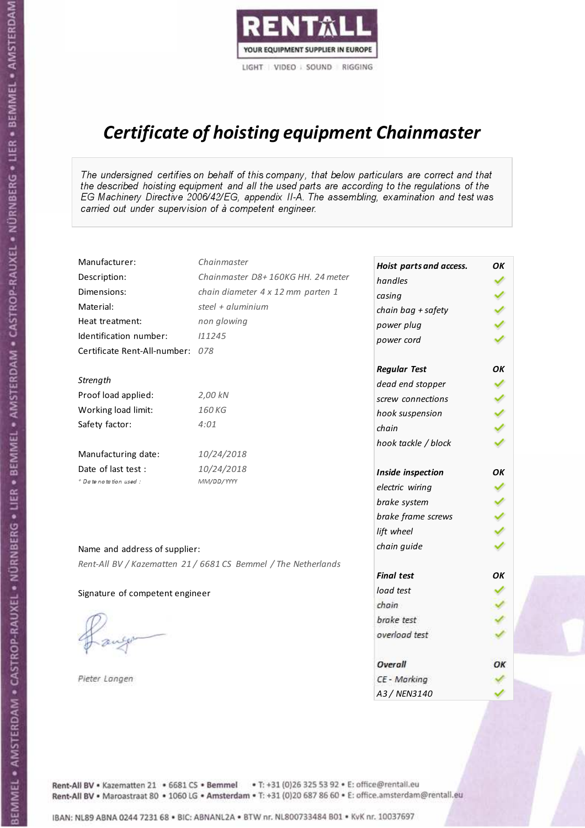

# Certificate of hoisting equipment Chainmaster

The undersigned certifies on behalf of this company, that below particulars are correct and that the described hoisting equipment and all the used parts are according to the regulations of the EG Machinery Directive 2006/42/EG, appendix II-A. The assembling, examination and test was carried out under supervision of à competent engineer.

| Manufacturer:                    | Chainmaster                                                    | Hoist parts and access. | OK |
|----------------------------------|----------------------------------------------------------------|-------------------------|----|
| Description:                     | Chainmaster D8+160KG HH. 24 meter                              | handles                 |    |
| Dimensions:                      | chain diameter 4 x 12 mm parten 1                              | casing                  |    |
| Material:                        | steel + $aluminium$                                            | chain bag + safety      |    |
| Heat treatment:                  | non glowing                                                    | power plug              |    |
| Identification number:           | 111245                                                         | power cord              |    |
| Certificate Rent-All-number: 078 |                                                                |                         |    |
|                                  |                                                                | <b>Regular Test</b>     | ΟK |
| Strength                         |                                                                | dead end stopper        | ✔  |
| Proof load applied:              | 2,00 kN                                                        | screw connections       |    |
| Working load limit:              | 160 KG                                                         | hook suspension         |    |
| Safety factor:                   | 4:01                                                           | chain                   | くり |
|                                  |                                                                | hook tackle / block     |    |
| Manufacturing date:              | 10/24/2018                                                     |                         |    |
| Date of last test :              | 10/24/2018                                                     | Inside inspection       | ΟK |
| * Date notation used :           | MM/DD/YYYY                                                     | electric wiring         |    |
|                                  |                                                                | brake system            |    |
|                                  |                                                                | brake frame screws      |    |
|                                  |                                                                | lift wheel              |    |
| Name and address of supplier:    |                                                                | chain guide             |    |
|                                  | Rent-All BV / Kazematten 21 / 6681 CS Bemmel / The Netherlands |                         |    |
|                                  |                                                                | <b>Final test</b>       | ΟK |
| Signature of competent engineer  |                                                                | load test               |    |
|                                  |                                                                | chain                   |    |
|                                  |                                                                | brake test              |    |
|                                  |                                                                | overload test           |    |
|                                  |                                                                | Overall                 | ОК |
| Pieter Langen                    |                                                                | CE - Marking            |    |
|                                  |                                                                | A3 / NEN3140            |    |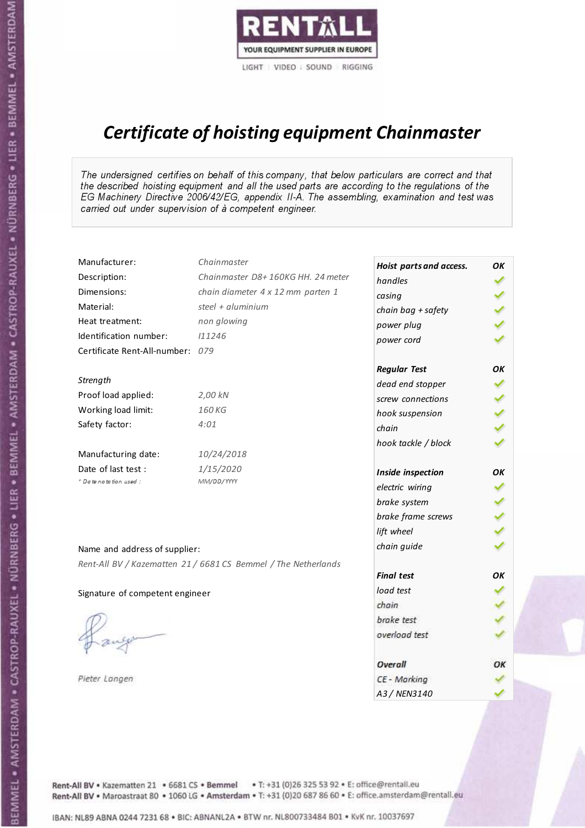

# Certificate of hoisting equipment Chainmaster

The undersigned certifies on behalf of this company, that below particulars are correct and that the described hoisting equipment and all the used parts are according to the regulations of the EG Machinery Directive 2006/42/EG, appendix II-A. The assembling, examination and test was carried out under supervision of à competent engineer.

| Manufacturer:                    | Chainmaster                                                    | Hoist parts and access. | OK  |
|----------------------------------|----------------------------------------------------------------|-------------------------|-----|
| Description:                     | Chainmaster D8+160KG HH. 24 meter                              | handles                 |     |
| Dimensions:                      | chain diameter 4 x 12 mm parten 1                              | casing                  |     |
| Material:                        | steel + aluminium                                              | chain bag + safety      |     |
| Heat treatment:                  | non glowing                                                    | power plug              |     |
| Identification number:           | 111246                                                         | power cord              |     |
| Certificate Rent-All-number: 079 |                                                                |                         |     |
|                                  |                                                                | <b>Regular Test</b>     | OK  |
| Strength                         |                                                                | dead end stopper        | ✔   |
| Proof load applied:              | 2,00 kN                                                        | screw connections       |     |
| Working load limit:              | 160KG                                                          | hook suspension         |     |
| Safety factor:                   | 4:01                                                           | chain                   | くくく |
|                                  |                                                                | hook tackle / block     |     |
| Manufacturing date:              | 10/24/2018                                                     |                         |     |
| Date of last test :              | 1/15/2020                                                      | Inside inspection       | OK  |
| * Date notation used :           | MM/DD/YYYY                                                     | electric wiring         |     |
|                                  |                                                                | brake system            |     |
|                                  |                                                                | brake frame screws      | くくく |
|                                  |                                                                | lift wheel              |     |
| Name and address of supplier:    |                                                                | chain guide             |     |
|                                  | Rent-All BV / Kazematten 21 / 6681 CS Bemmel / The Netherlands |                         |     |
|                                  |                                                                | <b>Final test</b>       | OK  |
| Signature of competent engineer  |                                                                | load test               |     |
|                                  |                                                                | chain                   |     |
|                                  |                                                                | brake test              |     |
|                                  |                                                                | overload test           |     |
|                                  |                                                                | Overall                 | ОК  |
| Pieter Langen                    |                                                                | CE - Marking            |     |
|                                  |                                                                | A3 / NEN3140            |     |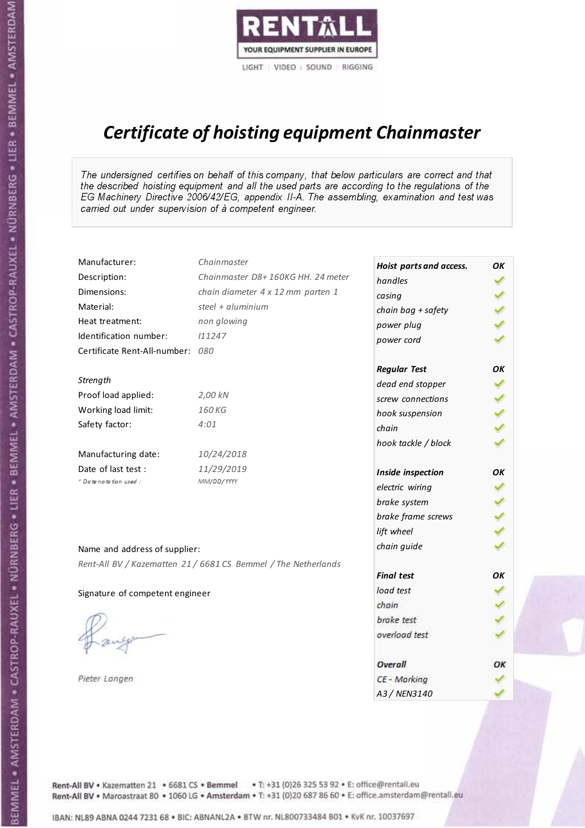

# Certificate of hoisting equipment Chainmaster

The undersigned certifies on behalf of this company, that below particulars are correct and that the described hoisting equipment and all the used parts are according to the regulations of the EG Machinery Directive 2006/42/EG, appendix II-A. The assembling, examination and test was carried out under supervision of à competent engineer.

| Manufacturer:                    | Chainmaster                                                    | Hoist parts and access. | OК  |
|----------------------------------|----------------------------------------------------------------|-------------------------|-----|
| Description:                     | Chainmaster D8+160KG HH. 24 meter                              | handles                 | ✓   |
| Dimensions:                      | chain diameter 4 x 12 mm parten 1                              | casing                  |     |
| Material:                        | steel + aluminium                                              | chain bag + safety      |     |
| Heat treatment:                  | non glowing                                                    | power plug              |     |
| Identification number:           | 111247                                                         | power cord              |     |
| Certificate Rent-All-number: 080 |                                                                |                         |     |
|                                  |                                                                | <b>Regular Test</b>     | OK  |
| Strength                         |                                                                | dead end stopper        |     |
| Proof load applied:              | 2,00 kN                                                        | screw connections       |     |
| Working load limit:              | 160 KG                                                         | hook suspension         |     |
| Safety factor:                   | 4:01                                                           | chain                   | くくく |
|                                  |                                                                | hook tackle / block     |     |
| Manufacturing date:              | 10/24/2018                                                     |                         |     |
| Date of last test :              | 11/29/2019                                                     | Inside inspection       | OK  |
| * Date notation used :           | MM/DD/YYYY                                                     | electric wiring         |     |
|                                  |                                                                | brake system            |     |
|                                  |                                                                | brake frame screws      |     |
|                                  |                                                                | lift wheel              |     |
| Name and address of supplier:    |                                                                | chain guide             |     |
|                                  | Rent-All BV / Kazematten 21 / 6681 CS Bemmel / The Netherlands |                         |     |
|                                  |                                                                | <b>Final test</b>       | OK  |
| Signature of competent engineer  |                                                                | load test               |     |
|                                  |                                                                | chain                   |     |
|                                  |                                                                | brake test              |     |
|                                  |                                                                | overload test           |     |
|                                  |                                                                | <b>Overall</b>          | ОК  |
| Pieter Langen                    |                                                                | CE - Marking            |     |
|                                  |                                                                | A3 / NEN3140            |     |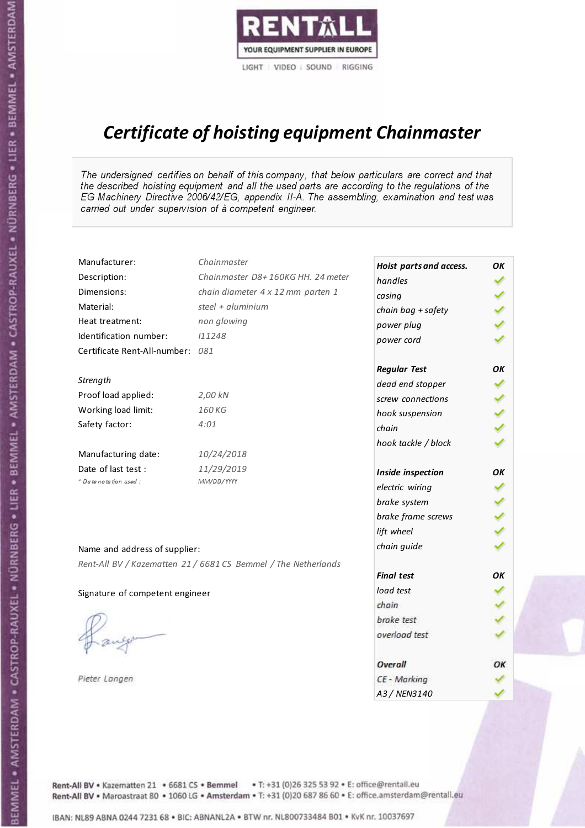

# Certificate of hoisting equipment Chainmaster

The undersigned certifies on behalf of this company, that below particulars are correct and that the described hoisting equipment and all the used parts are according to the regulations of the EG Machinery Directive 2006/42/EG, appendix II-A. The assembling, examination and test was carried out under supervision of à competent engineer.

| Manufacturer:                    | Chainmaster                                                    | Hoist parts and access. | OК  |
|----------------------------------|----------------------------------------------------------------|-------------------------|-----|
| Description:                     | Chainmaster D8+160KG HH. 24 meter                              | handles                 | ✓   |
| Dimensions:                      | chain diameter 4 x 12 mm parten 1                              | casing                  |     |
| Material:                        | steel + aluminium                                              | chain bag + safety      |     |
| Heat treatment:                  | non glowing                                                    | power plug              |     |
| Identification number:           | 111248                                                         | power cord              |     |
| Certificate Rent-All-number: 081 |                                                                |                         |     |
|                                  |                                                                | <b>Regular Test</b>     | OK  |
| Strength                         |                                                                | dead end stopper        |     |
| Proof load applied:              | 2,00 kN                                                        | screw connections       |     |
| Working load limit:              | 160 KG                                                         | hook suspension         |     |
| Safety factor:                   | 4:01                                                           | chain                   | くくく |
|                                  |                                                                | hook tackle / block     |     |
| Manufacturing date:              | 10/24/2018                                                     |                         |     |
| Date of last test :              | 11/29/2019                                                     | Inside inspection       | OK  |
| * Date notation used :           | MM/DD/YYYY                                                     | electric wiring         |     |
|                                  |                                                                | brake system            |     |
|                                  |                                                                | brake frame screws      |     |
|                                  |                                                                | lift wheel              |     |
| Name and address of supplier:    |                                                                | chain guide             |     |
|                                  | Rent-All BV / Kazematten 21 / 6681 CS Bemmel / The Netherlands |                         |     |
|                                  |                                                                | <b>Final test</b>       | OK  |
| Signature of competent engineer  |                                                                | load test               |     |
|                                  |                                                                | chain                   |     |
|                                  |                                                                | brake test              |     |
|                                  |                                                                | overload test           |     |
|                                  |                                                                | <b>Overall</b>          | ОК  |
| Pieter Langen                    |                                                                | CE - Marking            |     |
|                                  |                                                                | A3 / NEN3140            |     |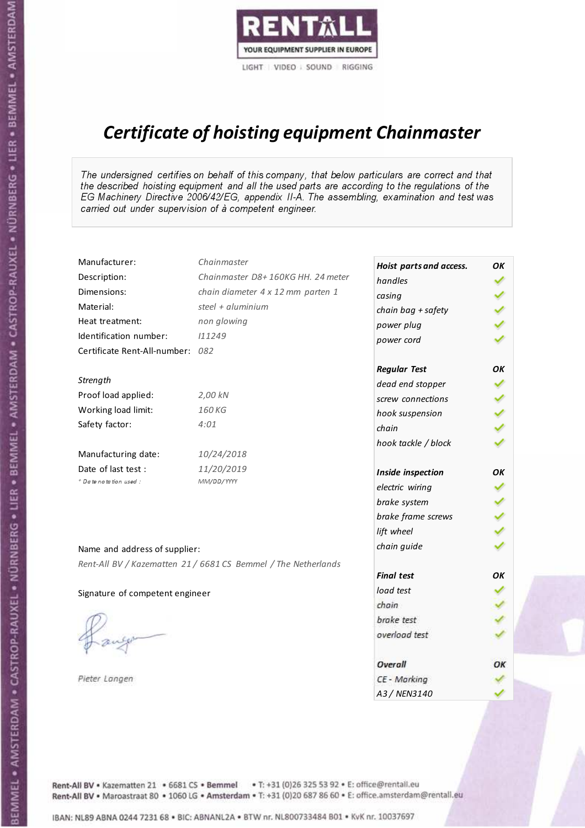

# Certificate of hoisting equipment Chainmaster

The undersigned certifies on behalf of this company, that below particulars are correct and that the described hoisting equipment and all the used parts are according to the regulations of the EG Machinery Directive 2006/42/EG, appendix II-A. The assembling, examination and test was carried out under supervision of à competent engineer.

| Manufacturer:                    | Chainmaster                                                    | Hoist parts and access. | OK           |
|----------------------------------|----------------------------------------------------------------|-------------------------|--------------|
| Description:                     | Chainmaster D8+160KG HH. 24 meter                              | handles                 |              |
| Dimensions:                      | chain diameter 4 x 12 mm parten 1                              | casing                  |              |
| Material:                        | steel + aluminium                                              | chain bag + safety      |              |
| Heat treatment:                  | non glowing                                                    | power plug              |              |
| Identification number:           | 111249                                                         | power cord              |              |
| Certificate Rent-All-number: 082 |                                                                |                         |              |
|                                  |                                                                | <b>Regular Test</b>     | ΟK           |
| Strength                         |                                                                | dead end stopper        | ✔            |
| Proof load applied:              | 2,00 kN                                                        | screw connections       |              |
| Working load limit:              | 160 KG                                                         | hook suspension         |              |
| Safety factor:                   | 4:01                                                           | chain                   | くくく          |
|                                  |                                                                | hook tackle / block     |              |
| Manufacturing date:              | 10/24/2018                                                     |                         |              |
| Date of last test :              | 11/20/2019                                                     | Inside inspection       | OK           |
| * Date notation used :           | MM/DD/YYYY                                                     | electric wiring         |              |
|                                  |                                                                | brake system            |              |
|                                  |                                                                | brake frame screws      |              |
|                                  |                                                                | lift wheel              | $\checkmark$ |
| Name and address of supplier:    |                                                                | chain guide             |              |
|                                  | Rent-All BV / Kazematten 21 / 6681 CS Bemmel / The Netherlands |                         |              |
|                                  |                                                                | <b>Final test</b>       | OK           |
| Signature of competent engineer  |                                                                | load test               |              |
|                                  |                                                                | chain                   |              |
|                                  |                                                                | brake test              |              |
|                                  |                                                                | overload test           |              |
|                                  |                                                                | <b>Overall</b>          | OK           |
| Pieter Langen                    |                                                                | CE - Marking            |              |
|                                  |                                                                | A3 / NEN3140            |              |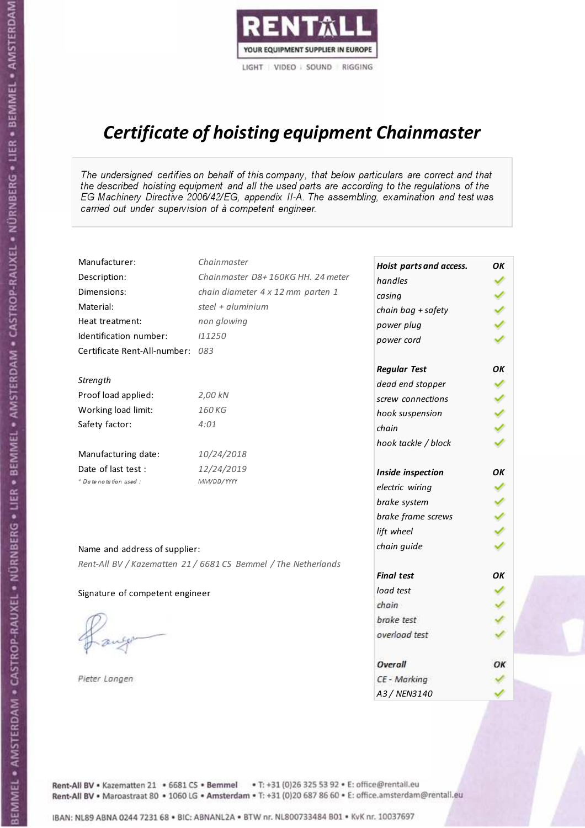

# Certificate of hoisting equipment Chainmaster

The undersigned certifies on behalf of this company, that below particulars are correct and that the described hoisting equipment and all the used parts are according to the regulations of the EG Machinery Directive 2006/42/EG, appendix II-A. The assembling, examination and test was carried out under supervision of à competent engineer.

| Manufacturer:                    | Chainmaster                                                    | Hoist parts and access. | OK |
|----------------------------------|----------------------------------------------------------------|-------------------------|----|
| Description:                     | Chainmaster D8+160KG HH. 24 meter                              | handles                 |    |
| Dimensions:                      | chain diameter 4 x 12 mm parten 1                              | casing                  |    |
| Material:                        | steel + aluminium                                              | chain bag + safety      |    |
| Heat treatment:                  | non glowing                                                    | power plug              |    |
| Identification number:           | 111250                                                         | power cord              |    |
| Certificate Rent-All-number: 083 |                                                                |                         |    |
|                                  |                                                                | <b>Regular Test</b>     | OK |
| Strength                         |                                                                | dead end stopper        | ✓  |
| Proof load applied:              | 2,00 kN                                                        | screw connections       |    |
| Working load limit:              | 160 KG                                                         | hook suspension         |    |
| Safety factor:                   | 4:01                                                           | chain                   | りょ |
|                                  |                                                                | hook tackle / block     |    |
| Manufacturing date:              | 10/24/2018                                                     |                         |    |
| Date of last test :              | 12/24/2019                                                     | Inside inspection       | OK |
| * Date notation used :           | MM/DD/YYYY                                                     | electric wiring         |    |
|                                  |                                                                | brake system            |    |
|                                  |                                                                | brake frame screws      |    |
|                                  |                                                                | lift wheel              |    |
| Name and address of supplier:    |                                                                | chain guide             |    |
|                                  | Rent-All BV / Kazematten 21 / 6681 CS Bemmel / The Netherlands |                         |    |
|                                  |                                                                | <b>Final test</b>       | OК |
| Signature of competent engineer  |                                                                | load test               |    |
|                                  |                                                                | chain                   |    |
|                                  |                                                                | brake test              |    |
|                                  |                                                                | overload test           |    |
|                                  |                                                                | Overall                 | ОК |
| Pieter Langen                    |                                                                | CE - Marking            |    |
|                                  |                                                                | A3 / NEN3140            |    |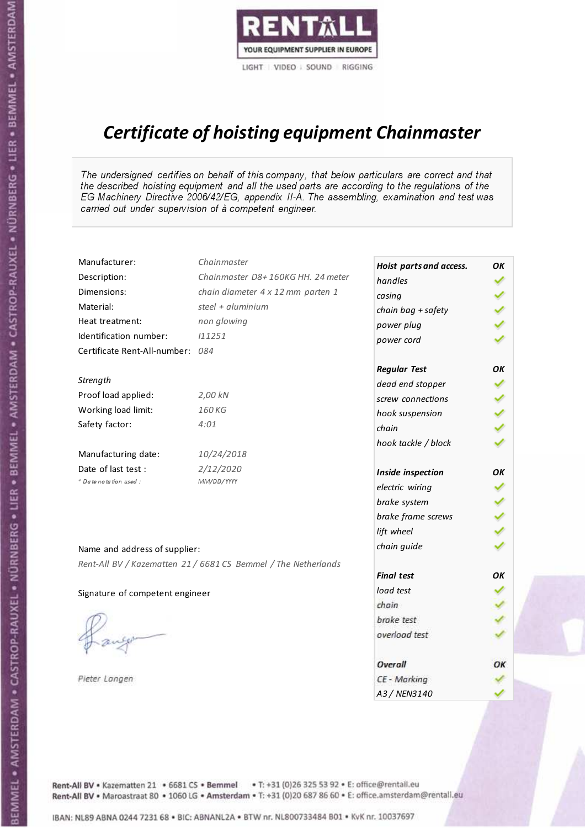

# Certificate of hoisting equipment Chainmaster

The undersigned certifies on behalf of this company, that below particulars are correct and that the described hoisting equipment and all the used parts are according to the regulations of the EG Machinery Directive 2006/42/EG, appendix II-A. The assembling, examination and test was carried out under supervision of à competent engineer.

| Manufacturer:                    | Chainmaster                                                    | Hoist parts and access. | OK  |
|----------------------------------|----------------------------------------------------------------|-------------------------|-----|
| Description:                     | Chainmaster D8+160KG HH. 24 meter                              | handles                 |     |
| Dimensions:                      | chain diameter 4 x 12 mm parten 1                              | casing                  |     |
| Material:                        | steel + aluminium                                              | chain bag + safety      |     |
| Heat treatment:                  | non glowing                                                    | power plug              |     |
| Identification number:           | 111251                                                         | power cord              |     |
| Certificate Rent-All-number: 084 |                                                                |                         |     |
|                                  |                                                                | <b>Regular Test</b>     | OK  |
| Strength                         |                                                                | dead end stopper        | ✔   |
| Proof load applied:              | 2,00 kN                                                        | screw connections       | ✔   |
| Working load limit:              | 160KG                                                          | hook suspension         |     |
| Safety factor:                   | 4:01                                                           | chain                   | くり  |
|                                  |                                                                | hook tackle / block     |     |
| Manufacturing date:              | 10/24/2018                                                     |                         |     |
| Date of last test :              | 2/12/2020                                                      | Inside inspection       | OK  |
| * Date notation used :           | MM/DD/YYYY                                                     | electric wiring         |     |
|                                  |                                                                | brake system            |     |
|                                  |                                                                | brake frame screws      | くりょ |
|                                  |                                                                | lift wheel              |     |
| Name and address of supplier:    |                                                                | chain guide             |     |
|                                  | Rent-All BV / Kazematten 21 / 6681 CS Bemmel / The Netherlands |                         |     |
|                                  |                                                                | <b>Final test</b>       | ΟK  |
| Signature of competent engineer  |                                                                | load test               |     |
|                                  |                                                                | chain                   |     |
|                                  |                                                                | brake test              |     |
|                                  |                                                                | overload test           |     |
|                                  |                                                                | Overall                 | ОК  |
| Pieter Langen                    |                                                                | CE - Marking            |     |
|                                  |                                                                | A3 / NEN3140            |     |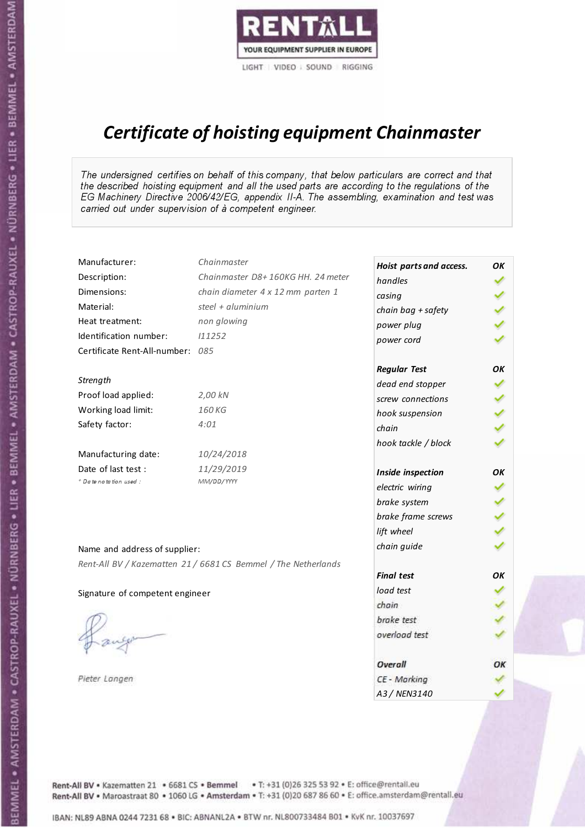

# Certificate of hoisting equipment Chainmaster

The undersigned certifies on behalf of this company, that below particulars are correct and that the described hoisting equipment and all the used parts are according to the regulations of the EG Machinery Directive 2006/42/EG, appendix II-A. The assembling, examination and test was carried out under supervision of à competent engineer.

| Manufacturer:                    | Chainmaster                                                    | Hoist parts and access. | OK  |
|----------------------------------|----------------------------------------------------------------|-------------------------|-----|
| Description:                     | Chainmaster D8+160KG HH. 24 meter                              | handles                 |     |
| Dimensions:                      | chain diameter 4 x 12 mm parten 1                              | casing                  |     |
| Material:                        | steel + $aluminim$                                             | chain bag + safety      |     |
| Heat treatment:                  | non glowing                                                    | power plug              |     |
| Identification number:           | 111252                                                         | power cord              |     |
| Certificate Rent-All-number: 085 |                                                                |                         |     |
|                                  |                                                                | <b>Regular Test</b>     | ΟK  |
| Strength                         |                                                                | dead end stopper        | ✔   |
| Proof load applied:              | 2,00 kN                                                        | screw connections       |     |
| Working load limit:              | 160KG                                                          | hook suspension         |     |
| Safety factor:                   | 4:01                                                           | chain                   | くくく |
|                                  |                                                                | hook tackle / block     |     |
| Manufacturing date:              | 10/24/2018                                                     |                         |     |
| Date of last test :              | 11/29/2019                                                     | Inside inspection       | ОΚ  |
| + Date notation used:            | MM/DD/YYYY                                                     | electric wiring         |     |
|                                  |                                                                | brake system            | ✔   |
|                                  |                                                                | brake frame screws      |     |
|                                  |                                                                | lift wheel              | りょ  |
| Name and address of supplier:    |                                                                | chain guide             |     |
|                                  | Rent-All BV / Kazematten 21 / 6681 CS Bemmel / The Netherlands |                         |     |
|                                  |                                                                | <b>Final test</b>       | ΟK  |
| Signature of competent engineer  |                                                                | load test               |     |
|                                  |                                                                | chain                   |     |
|                                  |                                                                | brake test              |     |
|                                  |                                                                | overload test           |     |
|                                  |                                                                | Overall                 | OK  |
| Pieter Langen                    |                                                                | CE - Marking            |     |
|                                  |                                                                | A3 / NEN3140            |     |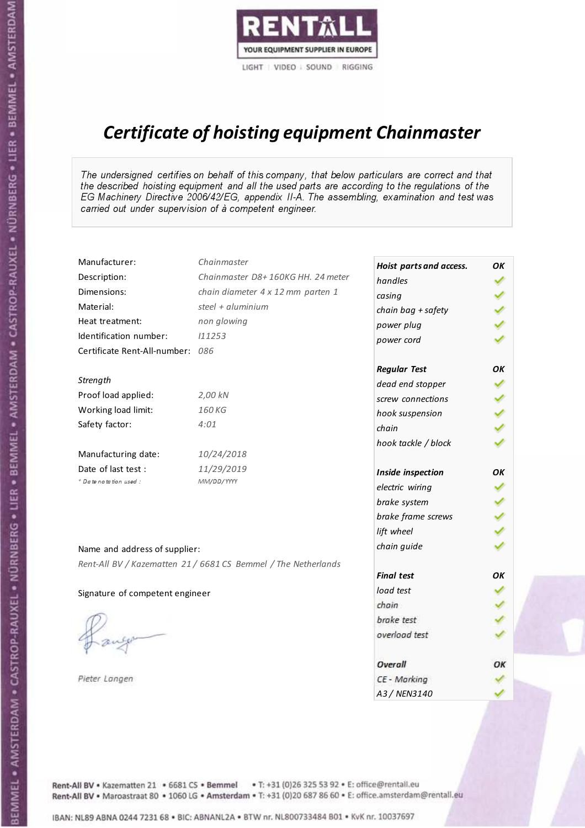

# Certificate of hoisting equipment Chainmaster

The undersigned certifies on behalf of this company, that below particulars are correct and that the described hoisting equipment and all the used parts are according to the regulations of the EG Machinery Directive 2006/42/EG, appendix II-A. The assembling, examination and test was carried out under supervision of à competent engineer.

| Manufacturer:                    | Chainmaster                                                    | Hoist parts and access. | OK |
|----------------------------------|----------------------------------------------------------------|-------------------------|----|
| Description:                     | Chainmaster D8+160KG HH. 24 meter                              | handles                 |    |
| Dimensions:                      | chain diameter 4 x 12 mm parten 1                              | casing                  |    |
| Material:                        | steel + aluminium                                              | chain bag + safety      |    |
| Heat treatment:                  | non glowing                                                    | power plug              |    |
| Identification number:           | 111253                                                         | power cord              |    |
| Certificate Rent-All-number: 086 |                                                                |                         |    |
|                                  |                                                                | <b>Regular Test</b>     | ΟK |
| Strength                         |                                                                | dead end stopper        | ✔  |
| Proof load applied:              | 2,00 kN                                                        | screw connections       |    |
| Working load limit:              | 160 KG                                                         | hook suspension         |    |
| Safety factor:                   | 4:01                                                           | chain                   | くり |
|                                  |                                                                | hook tackle / block     |    |
| Manufacturing date:              | 10/24/2018                                                     |                         |    |
| Date of last test :              | 11/29/2019                                                     | Inside inspection       | OK |
| * Date notation used :           | MM/DD/YYYY                                                     | electric wiring         |    |
|                                  |                                                                | brake system            |    |
|                                  |                                                                | brake frame screws      |    |
|                                  |                                                                | lift wheel              |    |
| Name and address of supplier:    |                                                                | chain guide             |    |
|                                  | Rent-All BV / Kazematten 21 / 6681 CS Bemmel / The Netherlands |                         |    |
|                                  |                                                                | <b>Final test</b>       | OK |
| Signature of competent engineer  |                                                                | load test               |    |
|                                  |                                                                | chain                   |    |
|                                  |                                                                | brake test              |    |
|                                  |                                                                | overload test           |    |
|                                  |                                                                | Overall                 | OK |
| Pieter Langen                    |                                                                | CE - Marking            |    |
|                                  |                                                                | A3 / NEN3140            |    |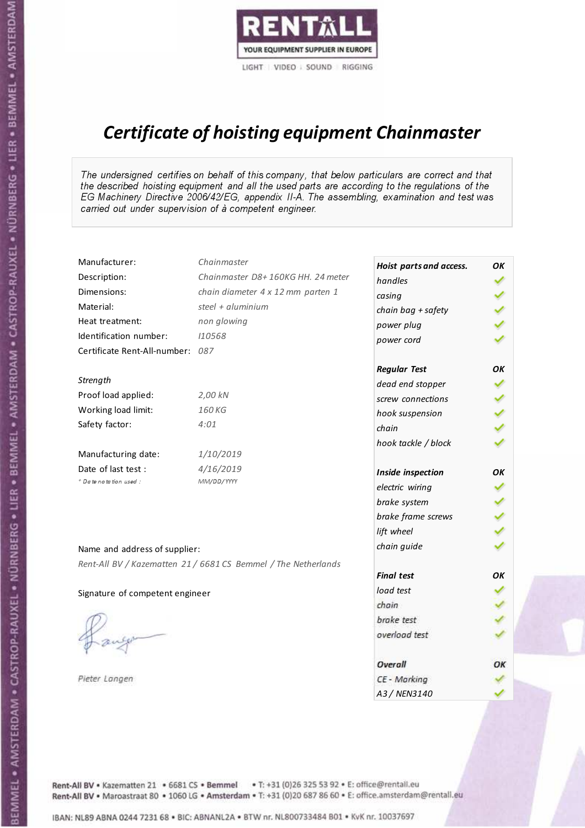

# Certificate of hoisting equipment Chainmaster

The undersigned certifies on behalf of this company, that below particulars are correct and that the described hoisting equipment and all the used parts are according to the regulations of the EG Machinery Directive 2006/42/EG, appendix II-A. The assembling, examination and test was carried out under supervision of à competent engineer.

| Manufacturer:                    | Chainmaster                                                    | Hoist parts and access. | OK  |
|----------------------------------|----------------------------------------------------------------|-------------------------|-----|
| Description:                     | Chainmaster D8+160KG HH. 24 meter                              | handles                 |     |
| Dimensions:                      | chain diameter 4 x 12 mm parten 1                              | casing                  |     |
| Material:                        | steel + aluminium                                              | chain bag + safety      |     |
| Heat treatment:                  | non glowing                                                    | power plug              |     |
| Identification number:           | 110568                                                         | power cord              |     |
| Certificate Rent-All-number: 087 |                                                                |                         |     |
|                                  |                                                                | <b>Regular Test</b>     | OK  |
| Strength                         |                                                                | dead end stopper        |     |
| Proof load applied:              | 2,00 kN                                                        | screw connections       |     |
| Working load limit:              | 160 KG                                                         | hook suspension         |     |
| Safety factor:                   | 4:01                                                           | chain                   | くくく |
|                                  |                                                                | hook tackle / block     |     |
| Manufacturing date:              | 1/10/2019                                                      |                         |     |
| Date of last test :              | 4/16/2019                                                      | Inside inspection       | ΟK  |
| * Date notation used :           | MM/DD/YYYY                                                     | electric wiring         |     |
|                                  |                                                                | brake system            |     |
|                                  |                                                                | brake frame screws      |     |
|                                  |                                                                | lift wheel              |     |
| Name and address of supplier:    |                                                                | chain guide             |     |
|                                  | Rent-All BV / Kazematten 21 / 6681 CS Bemmel / The Netherlands |                         |     |
|                                  |                                                                | <b>Final test</b>       | ΟK  |
| Signature of competent engineer  |                                                                | load test               |     |
|                                  |                                                                | chain                   |     |
|                                  |                                                                | brake test              |     |
|                                  |                                                                | overload test           |     |
|                                  |                                                                | Overall                 | ОК  |
| Pieter Langen                    |                                                                | CE - Marking            |     |
|                                  |                                                                | A3 / NEN3140            |     |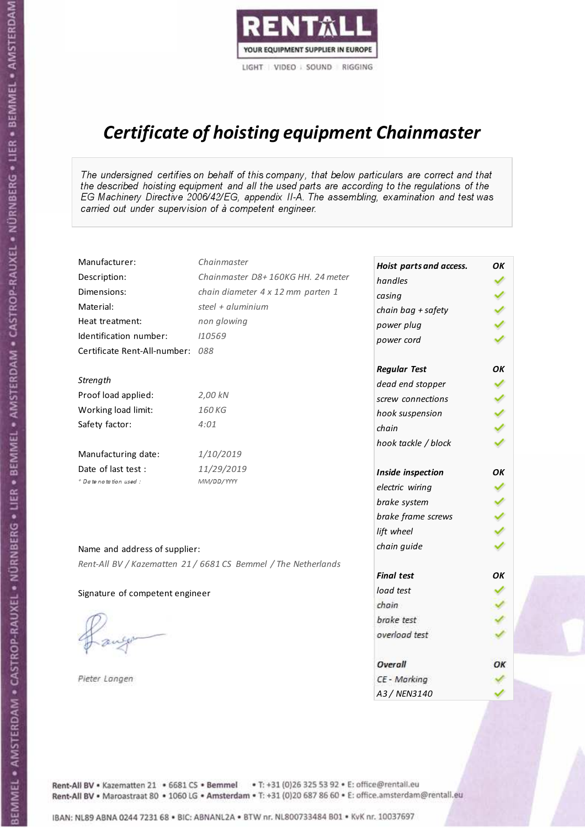

# Certificate of hoisting equipment Chainmaster

The undersigned certifies on behalf of this company, that below particulars are correct and that the described hoisting equipment and all the used parts are according to the regulations of the EG Machinery Directive 2006/42/EG, appendix II-A. The assembling, examination and test was carried out under supervision of à competent engineer.

| Manufacturer:                    | Chainmaster                                                    | Hoist parts and access. | OK |
|----------------------------------|----------------------------------------------------------------|-------------------------|----|
| Description:                     | Chainmaster D8+160KG HH. 24 meter                              | handles                 |    |
| Dimensions:                      | chain diameter 4 x 12 mm parten 1                              | casing                  |    |
| Material:                        | steel + aluminium                                              | chain bag + safety      |    |
| Heat treatment:                  | non glowing                                                    | power plug              |    |
| Identification number:           | 110569                                                         | power cord              |    |
| Certificate Rent-All-number: 088 |                                                                |                         |    |
|                                  |                                                                | <b>Regular Test</b>     | ΟK |
| Strength                         |                                                                | dead end stopper        | ✔  |
| Proof load applied:              | 2,00 kN                                                        | screw connections       | ✔  |
| Working load limit:              | 160 KG                                                         | hook suspension         |    |
| Safety factor:                   | 4:01                                                           | chain                   | りょ |
|                                  |                                                                | hook tackle / block     |    |
| Manufacturing date:              | 1/10/2019                                                      |                         |    |
| Date of last test :              | 11/29/2019                                                     | Inside inspection       | ΟK |
| * Date notation used :           | MM/DD/YYYY                                                     | electric wiring         |    |
|                                  |                                                                | brake system            |    |
|                                  |                                                                | brake frame screws      |    |
|                                  |                                                                | lift wheel              |    |
| Name and address of supplier:    |                                                                | chain guide             |    |
|                                  | Rent-All BV / Kazematten 21 / 6681 CS Bemmel / The Netherlands |                         |    |
|                                  |                                                                | <b>Final test</b>       | OK |
| Signature of competent engineer  |                                                                | load test               |    |
|                                  |                                                                | chain                   |    |
|                                  |                                                                | brake test              |    |
|                                  |                                                                | overload test           |    |
|                                  |                                                                | Overall                 | ОК |
| Pieter Langen                    |                                                                | CE - Marking            |    |
|                                  |                                                                | A3 / NEN3140            |    |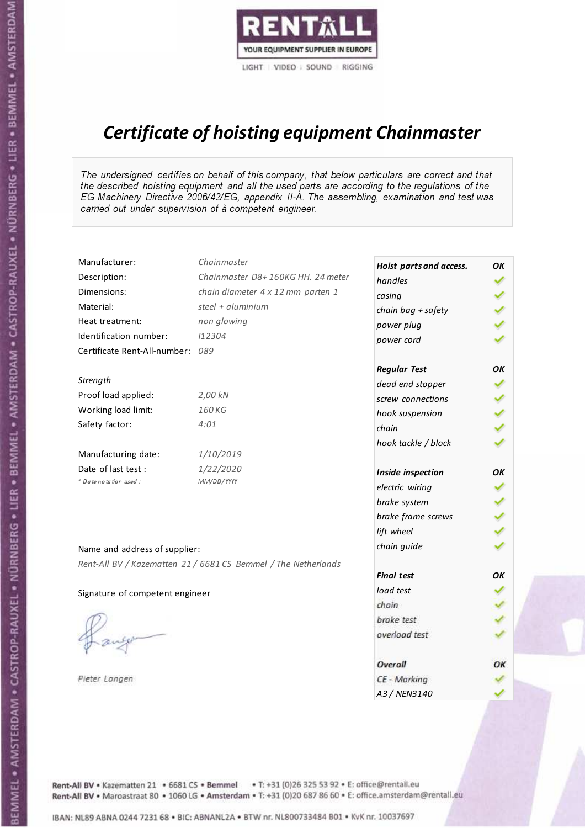

# Certificate of hoisting equipment Chainmaster

The undersigned certifies on behalf of this company, that below particulars are correct and that the described hoisting equipment and all the used parts are according to the regulations of the EG Machinery Directive 2006/42/EG, appendix II-A. The assembling, examination and test was carried out under supervision of à competent engineer.

| Manufacturer:                    | Chainmaster                                                    | Hoist parts and access. | OK  |
|----------------------------------|----------------------------------------------------------------|-------------------------|-----|
| Description:                     | Chainmaster D8+160KG HH. 24 meter                              | handles                 |     |
| Dimensions:                      | chain diameter 4 x 12 mm parten 1                              | casing                  |     |
| Material:                        | steel + $aluminim$                                             | chain bag + safety      |     |
| Heat treatment:                  | non glowing                                                    | power plug              |     |
| Identification number:           | 112304                                                         | power cord              |     |
| Certificate Rent-All-number: 089 |                                                                |                         |     |
|                                  |                                                                | <b>Regular Test</b>     | ΟK  |
| Strength                         |                                                                | dead end stopper        |     |
| Proof load applied:              | 2,00 kN                                                        | screw connections       |     |
| Working load limit:              | 160 KG                                                         | hook suspension         |     |
| Safety factor:                   | 4:01                                                           | chain                   | くくく |
|                                  |                                                                | hook tackle / block     |     |
| Manufacturing date:              | 1/10/2019                                                      |                         |     |
| Date of last test :              | 1/22/2020                                                      | Inside inspection       | ОΚ  |
| + Date notation used :           | MM/DD/YYYY                                                     | electric wiring         |     |
|                                  |                                                                | brake system            |     |
|                                  |                                                                | brake frame screws      |     |
|                                  |                                                                | lift wheel              |     |
| Name and address of supplier:    |                                                                | chain guide             |     |
|                                  | Rent-All BV / Kazematten 21 / 6681 CS Bemmel / The Netherlands |                         |     |
|                                  |                                                                | <b>Final test</b>       | OK  |
| Signature of competent engineer  |                                                                | load test               |     |
|                                  |                                                                | chain                   |     |
|                                  |                                                                | brake test              |     |
|                                  |                                                                | overload test           |     |
|                                  |                                                                | Overall                 | OK  |
| Pieter Langen                    |                                                                | CE - Marking            |     |
|                                  |                                                                | A3 / NEN3140            |     |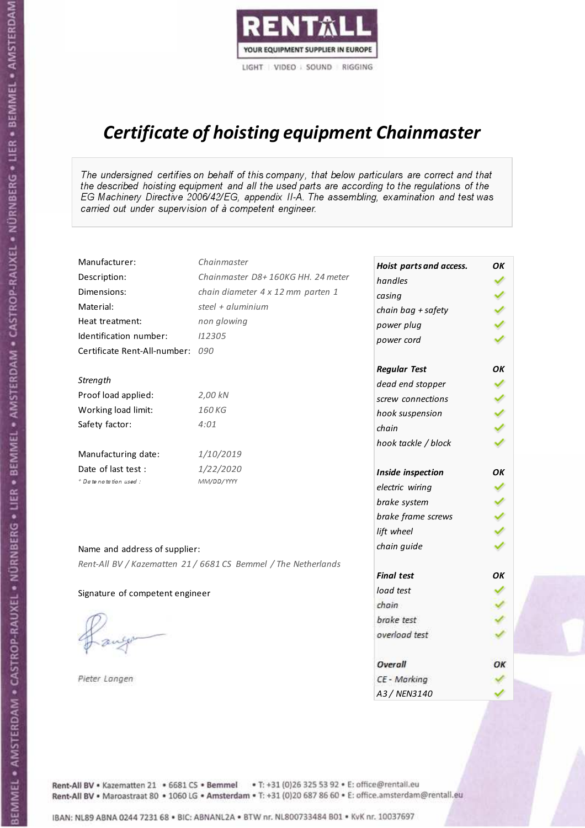

# Certificate of hoisting equipment Chainmaster

The undersigned certifies on behalf of this company, that below particulars are correct and that the described hoisting equipment and all the used parts are according to the regulations of the EG Machinery Directive 2006/42/EG, appendix II-A. The assembling, examination and test was carried out under supervision of à competent engineer.

| Manufacturer:                    | Chainmaster                                                    | Hoist parts and access. | OK |
|----------------------------------|----------------------------------------------------------------|-------------------------|----|
| Description:                     | Chainmaster D8+160KG HH. 24 meter                              | handles                 |    |
| Dimensions:                      | chain diameter 4 x 12 mm parten 1                              | casing                  |    |
| Material:                        | steel + aluminium                                              | chain bag + safety      |    |
| Heat treatment:                  | non glowing                                                    | power plug              |    |
| Identification number:           | 112305                                                         | power cord              |    |
| Certificate Rent-All-number: 090 |                                                                |                         |    |
|                                  |                                                                | <b>Regular Test</b>     | ΟK |
| Strength                         |                                                                | dead end stopper        | ✔  |
| Proof load applied:              | 2,00 kN                                                        | screw connections       | ✔  |
| Working load limit:              | 160 KG                                                         | hook suspension         |    |
| Safety factor:                   | 4:01                                                           | chain                   | りょ |
|                                  |                                                                | hook tackle / block     |    |
| Manufacturing date:              | 1/10/2019                                                      |                         |    |
| Date of last test :              | 1/22/2020                                                      | Inside inspection       | OΚ |
| * Date notation used :           | MM/DD/YYYY                                                     | electric wiring         |    |
|                                  |                                                                | brake system            |    |
|                                  |                                                                | brake frame screws      |    |
|                                  |                                                                | lift wheel              |    |
| Name and address of supplier:    |                                                                | chain guide             |    |
|                                  | Rent-All BV / Kazematten 21 / 6681 CS Bemmel / The Netherlands |                         |    |
|                                  |                                                                | <b>Final test</b>       | OK |
| Signature of competent engineer  |                                                                | load test               |    |
|                                  |                                                                | chain                   |    |
|                                  |                                                                | brake test              |    |
|                                  |                                                                | overload test           |    |
|                                  |                                                                | Overall                 | ОК |
| Pieter Langen                    |                                                                | CE - Marking            |    |
|                                  |                                                                | A3 / NEN3140            |    |

BEMMEL • AMSTERDAM • CASTROP-RAUXEL • NÜRNBERG • LIER • BEMMEL • AMSTERDAM • CASTROP-RAUXEL • NÜRNBERG • LIER • BEMMEL • AMSTERDAM